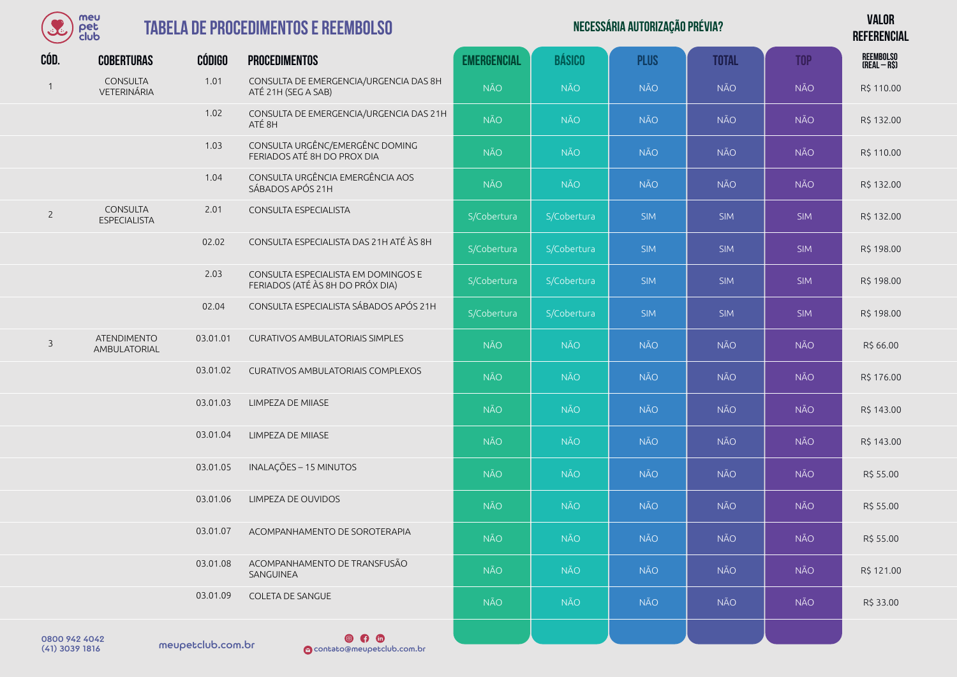

| Necessária autorização prévia? | <b>VALOR</b>    |
|--------------------------------|-----------------|
|                                | <b>DEFEBENA</b> |

**REFERENCIAL**

| CÓD.           | <b>COBERTURAS</b>                         | <b>CÓDIGO</b> | <b>PROCEDIMENTOS</b>                                                    | <b>EMERGENCIAL</b> | <b>BÁSICO</b> | <b>PLUS</b> | <b>TOTAL</b> | <b>TOP</b> | REEMBOLSO<br>(REAL – R\$) |
|----------------|-------------------------------------------|---------------|-------------------------------------------------------------------------|--------------------|---------------|-------------|--------------|------------|---------------------------|
| $\mathbf{1}$   | <b>CONSULTA</b><br>VETERINÁRIA            | 1.01          | CONSULTA DE EMERGENCIA/URGENCIA DAS 8H<br>ATÉ 21H (SEG A SAB)           | <b>NÃO</b>         | <b>NÃO</b>    | <b>NÃO</b>  | <b>NÃO</b>   | <b>NÃO</b> | R\$ 110.00                |
|                |                                           | 1.02          | CONSULTA DE EMERGENCIA/URGENCIA DAS 21H<br>ATÉ 8H                       | <b>NÃO</b>         | <b>NÃO</b>    | <b>NÃO</b>  | <b>NÃO</b>   | <b>NÃO</b> | R\$ 132.00                |
|                |                                           | 1.03          | CONSULTA URGÊNC/EMERGÊNC DOMING<br>FERIADOS ATÉ 8H DO PROX DIA          | <b>NÃO</b>         | <b>NÃO</b>    | <b>NÃO</b>  | <b>NÃO</b>   | <b>NÃO</b> | R\$ 110.00                |
|                |                                           | 1.04          | CONSULTA URGÊNCIA EMERGÊNCIA AOS<br>SÁBADOS APÓS 21H                    | <b>NÃO</b>         | <b>NÃO</b>    | <b>NÃO</b>  | <b>NÃO</b>   | <b>NÃO</b> | R\$ 132.00                |
| $\overline{2}$ | <b>CONSULTA</b><br><b>ESPECIALISTA</b>    | 2.01          | CONSULTA ESPECIALISTA                                                   | S/Cobertura        | S/Cobertura   | <b>SIM</b>  | <b>SIM</b>   | <b>SIM</b> | R\$ 132.00                |
|                |                                           | 02.02         | CONSULTA ESPECIALISTA DAS 21H ATÉ ÀS 8H                                 | S/Cobertura        | S/Cobertura   | <b>SIM</b>  | <b>SIM</b>   | <b>SIM</b> | R\$ 198.00                |
|                |                                           | 2.03          | CONSULTA ESPECIALISTA EM DOMINGOS E<br>FERIADOS (ATÉ ÀS 8H DO PRÓX DIA) | S/Cobertura        | S/Cobertura   | <b>SIM</b>  | <b>SIM</b>   | <b>SIM</b> | R\$ 198.00                |
|                |                                           | 02.04         | CONSULTA ESPECIALISTA SÁBADOS APÓS 21H                                  | S/Cobertura        | S/Cobertura   | <b>SIM</b>  | <b>SIM</b>   | <b>SIM</b> | R\$ 198.00                |
| $\overline{3}$ | <b>ATENDIMENTO</b><br><b>AMBULATORIAL</b> | 03.01.01      | <b>CURATIVOS AMBULATORIAIS SIMPLES</b>                                  | <b>NÃO</b>         | <b>NÃO</b>    | <b>NÃO</b>  | <b>NÃO</b>   | <b>NÃO</b> | R\$ 66.00                 |
|                |                                           | 03.01.02      | <b>CURATIVOS AMBULATORIAIS COMPLEXOS</b>                                | <b>NÃO</b>         | <b>NÃO</b>    | <b>NÃO</b>  | <b>NÃO</b>   | <b>NÃO</b> | R\$ 176.00                |
|                |                                           | 03.01.03      | LIMPEZA DE MIIASE                                                       | <b>NÃO</b>         | <b>NÃO</b>    | <b>NÃO</b>  | <b>NÃO</b>   | <b>NÃO</b> | R\$ 143.00                |
|                |                                           | 03.01.04      | LIMPEZA DE MIIASE                                                       | <b>NÃO</b>         | <b>NÃO</b>    | <b>NÃO</b>  | <b>NÃO</b>   | <b>NÃO</b> | R\$ 143.00                |
|                |                                           | 03.01.05      | INALAÇÕES - 15 MINUTOS                                                  | <b>NÃO</b>         | <b>NÃO</b>    | <b>NÃO</b>  | <b>NÃO</b>   | <b>NÃO</b> | R\$ 55.00                 |
|                |                                           | 03.01.06      | LIMPEZA DE OUVIDOS                                                      | NÃO                | <b>NÃO</b>    | <b>NÃO</b>  | <b>NÃO</b>   | <b>NÃO</b> | R\$ 55.00                 |
|                |                                           | 03.01.07      | ACOMPANHAMENTO DE SOROTERAPIA                                           | <b>NÃO</b>         | NÃO.          | <b>NÃO</b>  | <b>NÃO</b>   | <b>NÃO</b> | R\$ 55.00                 |
|                |                                           | 03.01.08      | ACOMPANHAMENTO DE TRANSFUSÃO<br>SANGUINEA                               | <b>NÃO</b>         | <b>NÃO</b>    | <b>NÃO</b>  | <b>NÃO</b>   | <b>NÃO</b> | R\$ 121.00                |
|                |                                           | 03.01.09      | COLETA DE SANGUE                                                        | NÃO                | <b>NÃO</b>    | <b>NÃO</b>  | <b>NÃO</b>   | <b>NÃO</b> | R\$ 33.00                 |
| 0800.942.4042  |                                           |               | $\bullet$ $\bullet$ $\bullet$                                           |                    |               |             |              |            |                           |

 $(41)$  3039 1816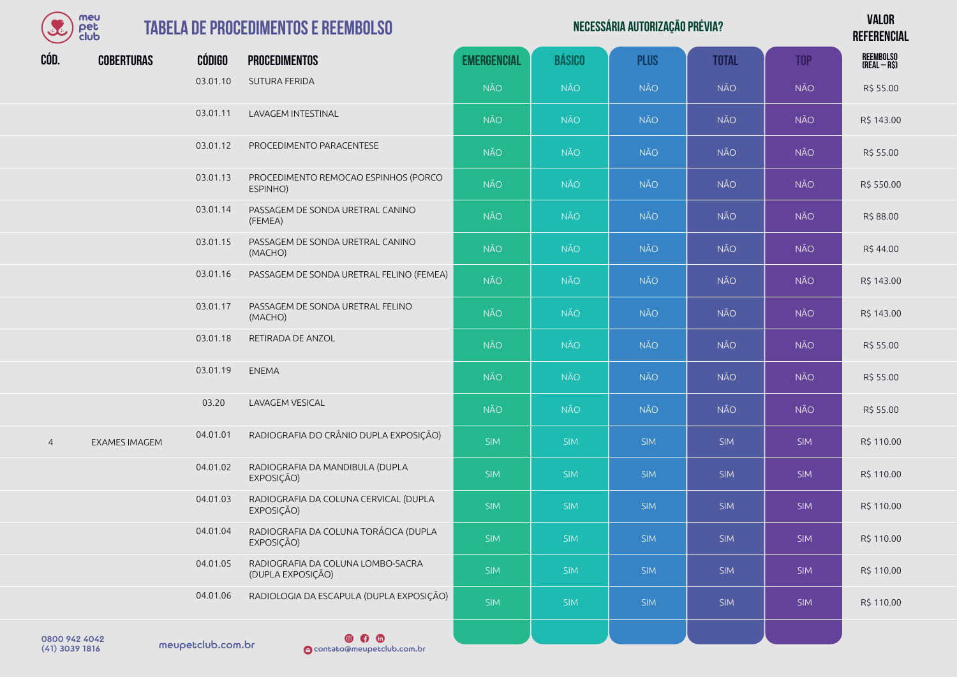| meu      |
|----------|
| er       |
| lub<br>٦ |

| Necessária autorização prévia? | <b>VALOR</b>    |
|--------------------------------|-----------------|
|                                | <b>DEFEBENA</b> |

**REFERENCIAL**

| CÓD.           | <b>COBERTURAS</b>    | <b>CÓDIGO</b> | <b>PROCEDIMENTOS</b>                                   | <b>EMERGENCIAL</b> | <b>BÁSICO</b> | <b>PLUS</b> | <b>TOTAL</b> | <b>TOP</b> | REEMBOLSO<br>(Real – R\$) |
|----------------|----------------------|---------------|--------------------------------------------------------|--------------------|---------------|-------------|--------------|------------|---------------------------|
|                |                      | 03.01.10      | <b>SUTURA FERIDA</b>                                   | <b>NÃO</b>         | <b>NÃO</b>    | <b>NÃO</b>  | <b>NÃO</b>   | NÃO        | R\$ 55.00                 |
|                |                      | 03.01.11      | LAVAGEM INTESTINAL                                     | <b>NÃO</b>         | <b>NÃO</b>    | <b>NÃO</b>  | <b>NÃO</b>   | NÃO        | R\$ 143.00                |
|                |                      | 03.01.12      | PROCEDIMENTO PARACENTESE                               | NÃO                | <b>NÃO</b>    | <b>NÃO</b>  | <b>NÃO</b>   | NÃO        | R\$ 55.00                 |
|                |                      | 03.01.13      | PROCEDIMENTO REMOCAO ESPINHOS (PORCO<br>ESPINHO)       | <b>NÃO</b>         | <b>NÃO</b>    | <b>NÃO</b>  | <b>NÃO</b>   | NÃO        | R\$ 550.00                |
|                |                      | 03.01.14      | PASSAGEM DE SONDA URETRAL CANINO<br>(FEMEA)            | <b>NÃO</b>         | <b>NÃO</b>    | <b>NÃO</b>  | <b>NÃO</b>   | NÃO        | R\$ 88.00                 |
|                |                      | 03.01.15      | PASSAGEM DE SONDA URETRAL CANINO<br>(MACHO)            | NÃO                | <b>NÃO</b>    | NÃO         | <b>NÃO</b>   | NÃO        | R\$44.00                  |
|                |                      | 03.01.16      | PASSAGEM DE SONDA URETRAL FELINO (FEMEA)               | NÃO                | <b>NÃO</b>    | <b>NÃO</b>  | <b>NÃO</b>   | NÃO        | R\$ 143.00                |
|                |                      | 03.01.17      | PASSAGEM DE SONDA URETRAL FELINO<br>(MACHO)            | <b>NÃO</b>         | <b>NÃO</b>    | <b>NÃO</b>  | <b>NÃO</b>   | <b>NÃO</b> | R\$ 143.00                |
|                |                      | 03.01.18      | RETIRADA DE ANZOL                                      | <b>NÃO</b>         | <b>NÃO</b>    | <b>NÃO</b>  | <b>NÃO</b>   | NÃO        | R\$ 55.00                 |
|                |                      | 03.01.19      | <b>ENEMA</b>                                           | NÃO                | <b>NÃO</b>    | <b>NÃO</b>  | <b>NÃO</b>   | NÃO        | R\$ 55.00                 |
|                |                      | 03.20         | LAVAGEM VESICAL                                        | <b>NÃO</b>         | <b>NÃO</b>    | <b>NÃO</b>  | NÃO          | NÃO        | R\$ 55.00                 |
| $\overline{4}$ | <b>EXAMES IMAGEM</b> | 04.01.01      | RADIOGRAFIA DO CRÂNIO DUPLA EXPOSIÇÃO)                 | <b>SIM</b>         | <b>SIM</b>    | <b>SIM</b>  | <b>SIM</b>   | <b>SIM</b> | R\$ 110.00                |
|                |                      | 04.01.02      | RADIOGRAFIA DA MANDIBULA (DUPLA<br>EXPOSIÇÃO)          | <b>SIM</b>         | <b>SIM</b>    | <b>SIM</b>  | <b>SIM</b>   | <b>SIM</b> | R\$ 110.00                |
|                |                      | 04.01.03      | RADIOGRAFIA DA COLUNA CERVICAL (DUPLA<br>EXPOSIÇÃO)    | <b>SIM</b>         | <b>SIM</b>    | <b>SIM</b>  | <b>SIM</b>   | <b>SIM</b> | R\$ 110.00                |
|                |                      | 04.01.04      | RADIOGRAFIA DA COLUNA TORÁCICA (DUPLA<br>EXPOSIÇÃO)    | <b>SIM</b>         | <b>SIM</b>    | <b>SIM</b>  | <b>SIM</b>   | <b>SIM</b> | R\$ 110.00                |
|                |                      | 04.01.05      | RADIOGRAFIA DA COLUNA LOMBO-SACRA<br>(DUPLA EXPOSIÇÃO) | <b>SIM</b>         | <b>SIM</b>    | <b>SIM</b>  | <b>SIM</b>   | <b>SIM</b> | R\$ 110.00                |
|                |                      | 04.01.06      | RADIOLOGIA DA ESCAPULA (DUPLA EXPOSIÇÃO)               | <b>SIM</b>         | <b>SIM</b>    | <b>SIM</b>  | <b>SIM</b>   | <b>SIM</b> | R\$ 110.00                |
| 0800 942 4042  |                      |               | $\circ$ 0                                              |                    |               |             |              |            |                           |

 $(41)$  3039 1816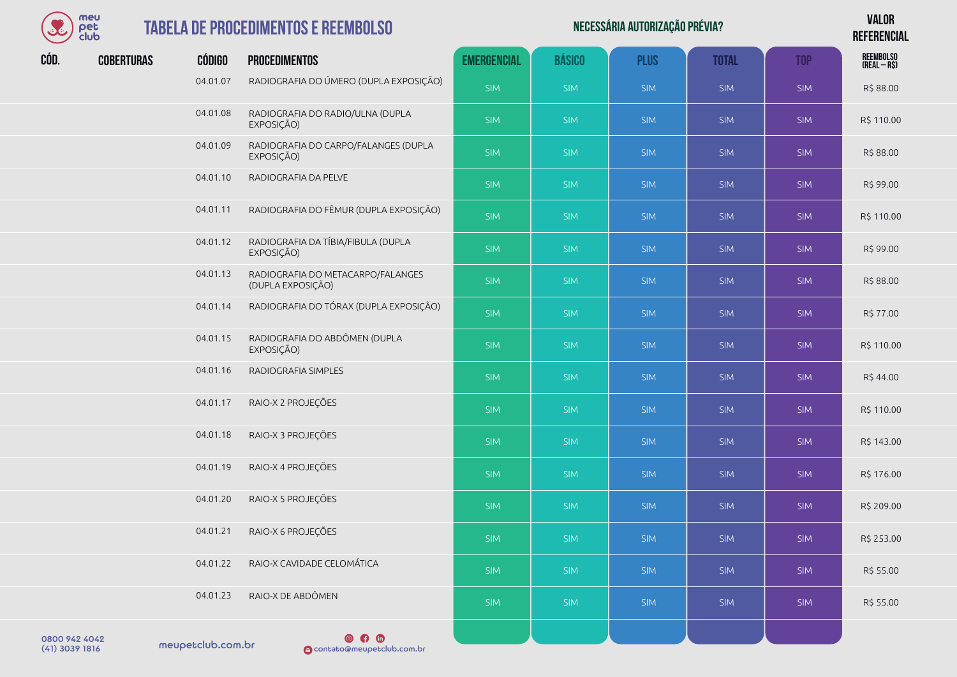

|      | meu<br>pet<br>club |               | <b>TABELA DE PROCEDIMENTOS E REEMBOLSO</b>             |                    |               | NECESSÁRIA AUTORIZAÇÃO PRÉVIA? |              |            | <b>VALOR</b><br><b>REFERENCIAL</b> |
|------|--------------------|---------------|--------------------------------------------------------|--------------------|---------------|--------------------------------|--------------|------------|------------------------------------|
| CÓD. | <b>COBERTURAS</b>  | <b>CÓDIGO</b> | <b>PROCEDIMENTOS</b>                                   | <b>EMERGENCIAL</b> | <b>BÁSICO</b> | <b>PLUS</b>                    | <b>TOTAL</b> | <b>TOP</b> | REEMBOLSO<br>(Real – R\$)          |
|      |                    | 04.01.07      | RADIOGRAFIA DO ÚMERO (DUPLA EXPOSIÇÃO)                 | <b>SIM</b>         | <b>SIM</b>    | <b>SIM</b>                     | <b>SIM</b>   | <b>SIM</b> | R\$88.00                           |
|      |                    | 04.01.08      | RADIOGRAFIA DO RADIO/ULNA (DUPLA<br>EXPOSIÇÃO)         | <b>SIM</b>         | <b>SIM</b>    | <b>SIM</b>                     | <b>SIM</b>   | <b>SIM</b> | R\$ 110.00                         |
|      |                    | 04.01.09      | RADIOGRAFIA DO CARPO/FALANGES (DUPLA<br>EXPOSIÇÃO)     | <b>SIM</b>         | <b>SIM</b>    | <b>SIM</b>                     | <b>SIM</b>   | <b>SIM</b> | R\$88.00                           |
|      |                    | 04.01.10      | RADIOGRAFIA DA PELVE                                   | <b>SIM</b>         | <b>SIM</b>    | <b>SIM</b>                     | <b>SIM</b>   | <b>SIM</b> | R\$ 99.00                          |
|      |                    | 04.01.11      | RADIOGRAFIA DO FÊMUR (DUPLA EXPOSIÇÃO)                 | <b>SIM</b>         | <b>SIM</b>    | <b>SIM</b>                     | <b>SIM</b>   | <b>SIM</b> | R\$ 110.00                         |
|      |                    | 04.01.12      | RADIOGRAFIA DA TÍBIA/FIBULA (DUPLA<br>EXPOSIÇÃO)       | <b>SIM</b>         | <b>SIM</b>    | <b>SIM</b>                     | <b>SIM</b>   | <b>SIM</b> | R\$ 99.00                          |
|      |                    | 04.01.13      | RADIOGRAFIA DO METACARPO/FALANGES<br>(DUPLA EXPOSIÇÃO) | <b>SIM</b>         | <b>SIM</b>    | <b>SIM</b>                     | <b>SIM</b>   | <b>SIM</b> | R\$ 88.00                          |
|      |                    | 04.01.14      | RADIOGRAFIA DO TÓRAX (DUPLA EXPOSIÇÃO)                 | <b>SIM</b>         | <b>SIM</b>    | <b>SIM</b>                     | <b>SIM</b>   | <b>SIM</b> | R\$ 77.00                          |
|      |                    | 04.01.15      | RADIOGRAFIA DO ABDÔMEN (DUPLA<br>EXPOSIÇÃO)            | <b>SIM</b>         | <b>SIM</b>    | <b>SIM</b>                     | <b>SIM</b>   | <b>SIM</b> | R\$ 110.00                         |
|      |                    | 04.01.16      | RADIOGRAFIA SIMPLES                                    | <b>SIM</b>         | <b>SIM</b>    | <b>SIM</b>                     | <b>SIM</b>   | <b>SIM</b> | R\$44.00                           |
|      |                    | 04.01.17      | RAIO-X 2 PROJEÇÕES                                     | <b>SIM</b>         | <b>SIM</b>    | <b>SIM</b>                     | <b>SIM</b>   | <b>SIM</b> | R\$ 110.00                         |
|      |                    | 04.01.18      | RAIO-X 3 PROJEÇÕES                                     | <b>SIM</b>         | <b>SIM</b>    | <b>SIM</b>                     | <b>SIM</b>   | <b>SIM</b> | R\$ 143.00                         |
|      |                    | 04.01.19      | RAIO-X 4 PROJEÇÕES                                     | <b>SIM</b>         | <b>SIM</b>    | <b>SIM</b>                     | <b>SIM</b>   | <b>SIM</b> | R\$ 176.00                         |

04.01.20 RAIO-X 5 PROJEÇÕES SARTISTING SIM SIM SIM SIM SIM SIM SIM SIM SIM R\$ 209.00

| RAIO-X 6 PROJEÇÕES<br>04.01.21                                    | <b>SIM</b> | <b>SIM</b> | <b>SIM</b> | <b>SIM</b> | <b>SIM</b> | R\$ 253.00 |
|-------------------------------------------------------------------|------------|------------|------------|------------|------------|------------|
| RAIO-X CAVIDADE CELOMÁTICA<br>04.01.22                            | <b>SIM</b> | <b>SIM</b> | <b>SIM</b> | <b>SIM</b> | <b>SIM</b> | R\$ 55.00  |
| RAIO-X DE ABDÔMEN<br>04.01.23                                     | <b>SIM</b> | SIM        | <b>SIM</b> | <b>SIM</b> | <b>SIM</b> | R\$ 55.00  |
| $\circ$ $\circ$<br>meupetclub.com.br<br>contato@meupetclub.com.br |            |            |            |            |            |            |

0800 942 4042<br>(41) 3039 1816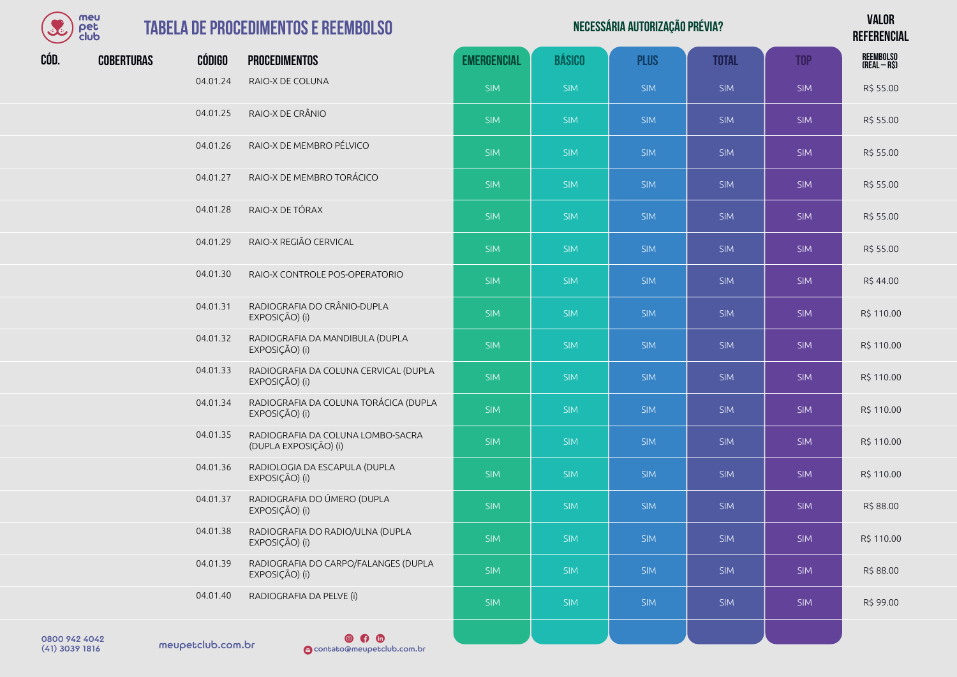| meu  |
|------|
| der  |
| club |

|      | meu<br>pet<br>club |               | <b>TABELA DE PROCEDIMENTOS E REEMBOLSO</b>                 |                    |               | NECESSÁRIA AUTORIZAÇÃO PRÉVIA? |              |            | <b>VALOR</b><br><b>REFERENCIAL</b> |
|------|--------------------|---------------|------------------------------------------------------------|--------------------|---------------|--------------------------------|--------------|------------|------------------------------------|
| CÓD. | <b>COBERTURAS</b>  | <b>CÓDIGO</b> | <b>PROCEDIMENTOS</b>                                       | <b>EMERGENCIAL</b> | <b>BÁSICO</b> | <b>PLUS</b>                    | <b>TOTAL</b> | <b>TOP</b> | REEMBOLSO<br>(Real – R\$)          |
|      |                    | 04.01.24      | RAIO-X DE COLUNA                                           | <b>SIM</b>         | <b>SIM</b>    | <b>SIM</b>                     | <b>SIM</b>   | <b>SIM</b> | R\$ 55.00                          |
|      |                    | 04.01.25      | RAIO-X DE CRÂNIO                                           | <b>SIM</b>         | <b>SIM</b>    | <b>SIM</b>                     | <b>SIM</b>   | <b>SIM</b> | R\$ 55.00                          |
|      |                    | 04.01.26      | RAIO-X DE MEMBRO PÉLVICO                                   | <b>SIM</b>         | <b>SIM</b>    | <b>SIM</b>                     | <b>SIM</b>   | <b>SIM</b> | R\$ 55.00                          |
|      |                    | 04.01.27      | RAIO-X DE MEMBRO TORÁCICO                                  | <b>SIM</b>         | <b>SIM</b>    | <b>SIM</b>                     | <b>SIM</b>   | <b>SIM</b> | R\$ 55.00                          |
|      |                    | 04.01.28      | RAIO-X DE TÓRAX                                            | <b>SIM</b>         | <b>SIM</b>    | <b>SIM</b>                     | <b>SIM</b>   | <b>SIM</b> | R\$ 55.00                          |
|      |                    | 04.01.29      | RAIO-X REGIÃO CERVICAL                                     | SIM                | <b>SIM</b>    | <b>SIM</b>                     | <b>SIM</b>   | <b>SIM</b> | R\$ 55.00                          |
|      |                    | 04.01.30      | RAIO-X CONTROLE POS-OPERATORIO                             | <b>SIM</b>         | <b>SIM</b>    | <b>SIM</b>                     | <b>SIM</b>   | <b>SIM</b> | R\$44.00                           |
|      |                    | 04.01.31      | RADIOGRAFIA DO CRÂNIO-DUPLA<br>EXPOSIÇÃO) (i)              | SIM                | <b>SIM</b>    | <b>SIM</b>                     | <b>SIM</b>   | <b>SIM</b> | R\$ 110.00                         |
|      |                    | 04.01.32      | RADIOGRAFIA DA MANDIBULA (DUPLA<br>EXPOSIÇÃO) (i)          | <b>SIM</b>         | <b>SIM</b>    | <b>SIM</b>                     | <b>SIM</b>   | <b>SIM</b> | R\$ 110.00                         |
|      |                    | 04.01.33      | RADIOGRAFIA DA COLUNA CERVICAL (DUPLA<br>EXPOSIÇÃO) (i)    | <b>SIM</b>         | <b>SIM</b>    | <b>SIM</b>                     | <b>SIM</b>   | <b>SIM</b> | R\$ 110.00                         |
|      |                    | 04.01.34      | RADIOGRAFIA DA COLUNA TORÁCICA (DUPLA<br>EXPOSIÇÃO) (i)    | <b>SIM</b>         | <b>SIM</b>    | <b>SIM</b>                     | <b>SIM</b>   | <b>SIM</b> | R\$ 110.00                         |
|      |                    | 04.01.35      | RADIOGRAFIA DA COLUNA LOMBO-SACRA<br>(DUPLA EXPOSIÇÃO) (i) | <b>SIM</b>         | <b>SIM</b>    | <b>SIM</b>                     | <b>SIM</b>   | <b>SIM</b> | R\$ 110.00                         |
|      |                    | 04.01.36      | RADIOLOGIA DA ESCAPULA (DUPLA<br>EXPOSIÇÃO) (i)            | <b>SIM</b>         | <b>SIM</b>    | <b>SIM</b>                     | <b>SIM</b>   | <b>SIM</b> | R\$ 110.00                         |
|      |                    | 04.01.37      | RADIOGRAFIA DO ÚMERO (DUPLA<br>EXPOSIÇÃO) (i)              | <b>SIM</b>         | <b>SIM</b>    | <b>SIM</b>                     | <b>SIM</b>   | <b>SIM</b> | R\$ 88.00                          |
|      |                    | 04.01.38      | RADIOGRAFIA DO RADIO/ULNA (DUPLA<br>EXPOSIÇÃO) (i)         | <b>SIM</b>         | <b>SIM</b>    | <b>SIM</b>                     | <b>SIM</b>   | <b>SIM</b> | R\$ 110.00                         |

04.01.40 RADIOGRAFIA DA PELVE (i) SIM SIM SIM SIM SIM R\$ 99.00

04.01.39 RADIOGRAFIA DO CARPO/FALANGES (DUPLA<br>EXPOSICÃO) (i) EXPOSIÇÃO) (i) SIM SIM SIM SIM SIM R\$ 88.00

0800 942 4042<br>(41) 3039 1816 meupetclub.com.br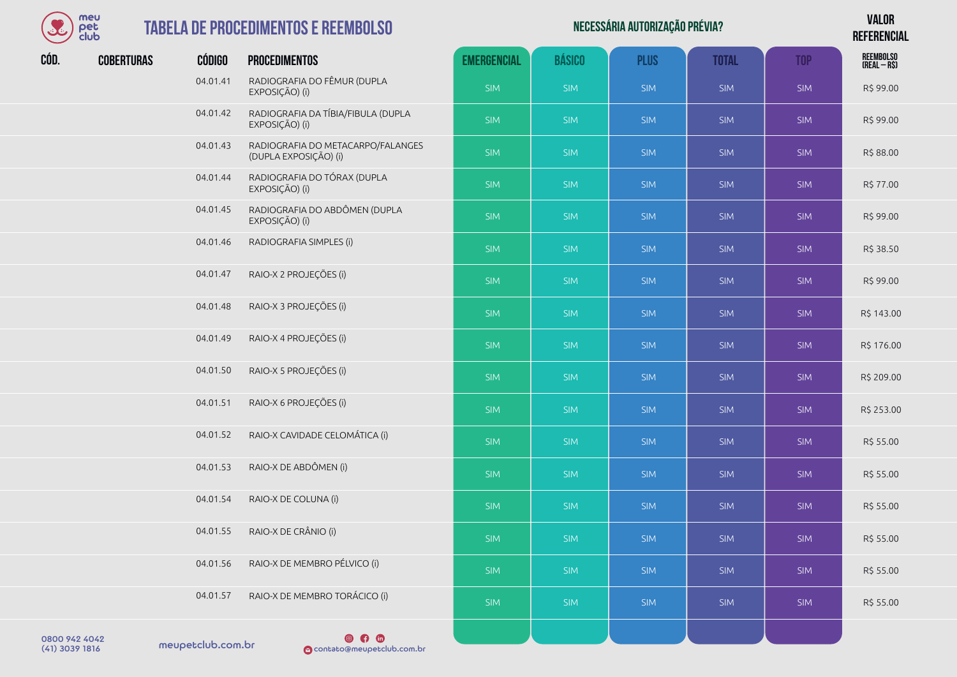

#### **TABELA DE PROCEDIME**

| BE   | meu<br>pet<br>club |               | <b>TABELA DE PROCEDIMENTOS E REEMBOLSO</b>                 |                    |               | NECESSÁRIA AUTORIZAÇÃO PRÉVIA? |              |            | <b>VALOR</b><br><b>REFERENCIAL</b> |  |
|------|--------------------|---------------|------------------------------------------------------------|--------------------|---------------|--------------------------------|--------------|------------|------------------------------------|--|
| CÓD. | <b>COBERTURAS</b>  | <b>CÓDIGO</b> | <b>PROCEDIMENTOS</b>                                       | <b>EMERGENCIAL</b> | <b>BÁSICO</b> | <b>PLUS</b>                    | <b>TOTAL</b> | <b>TOP</b> | REEMBOLSO<br>(Real – R\$)          |  |
|      |                    | 04.01.41      | RADIOGRAFIA DO FÊMUR (DUPLA<br>EXPOSIÇÃO) (i)              | <b>SIM</b>         | <b>SIM</b>    | <b>SIM</b>                     | <b>SIM</b>   | <b>SIM</b> | R\$ 99.00                          |  |
|      |                    | 04.01.42      | RADIOGRAFIA DA TÍBIA/FIBULA (DUPLA<br>EXPOSIÇÃO) (i)       | SIM                | <b>SIM</b>    | <b>SIM</b>                     | <b>SIM</b>   | <b>SIM</b> | R\$ 99.00                          |  |
|      |                    | 04.01.43      | RADIOGRAFIA DO METACARPO/FALANGES<br>(DUPLA EXPOSIÇÃO) (i) | <b>SIM</b>         | <b>SIM</b>    | <b>SIM</b>                     | <b>SIM</b>   | <b>SIM</b> | R\$ 88.00                          |  |
|      |                    | 04.01.44      | RADIOGRAFIA DO TÓRAX (DUPLA<br>EXPOSIÇÃO) (i)              | <b>SIM</b>         | <b>SIM</b>    | <b>SIM</b>                     | <b>SIM</b>   | <b>SIM</b> | R\$ 77.00                          |  |
|      |                    | 04.01.45      | RADIOGRAFIA DO ABDÔMEN (DUPLA<br>EXPOSIÇÃO) (i)            | SIM                | <b>SIM</b>    | <b>SIM</b>                     | <b>SIM</b>   | <b>SIM</b> | R\$ 99.00                          |  |
|      |                    | 04.01.46      | RADIOGRAFIA SIMPLES (i)                                    | SIM                | <b>SIM</b>    | <b>SIM</b>                     | <b>SIM</b>   | <b>SIM</b> | R\$ 38.50                          |  |
|      |                    | 04.01.47      | RAIO-X 2 PROJEÇÕES (i)                                     | SIM                | <b>SIM</b>    | <b>SIM</b>                     | <b>SIM</b>   | <b>SIM</b> | R\$ 99.00                          |  |
|      |                    | 04.01.48      | RAIO-X 3 PROJEÇÕES (i)                                     | SIM                | <b>SIM</b>    | <b>SIM</b>                     | <b>SIM</b>   | <b>SIM</b> | R\$ 143.00                         |  |
|      |                    | 04.01.49      | RAIO-X 4 PROJEÇÕES (i)                                     | SIM                | <b>SIM</b>    | <b>SIM</b>                     | <b>SIM</b>   | <b>SIM</b> | R\$ 176.00                         |  |
|      |                    | 04.01.50      | RAIO-X 5 PROJEÇÕES (i)                                     | SIM                | <b>SIM</b>    | <b>SIM</b>                     | <b>SIM</b>   | <b>SIM</b> | R\$ 209.00                         |  |
|      |                    | 04.01.51      | RAIO-X 6 PROJEÇÕES (i)                                     | <b>SIM</b>         | <b>SIM</b>    | <b>SIM</b>                     | <b>SIM</b>   | <b>SIM</b> | R\$ 253.00                         |  |
|      |                    | 04.01.52      | RAIO-X CAVIDADE CELOMÁTICA (i)                             | SIM                | <b>SIM</b>    | <b>SIM</b>                     | <b>SIM</b>   | <b>SIM</b> | R\$ 55.00                          |  |
|      |                    | 04.01.53      | RAIO-X DE ABDÔMEN (i)                                      | SIM                | <b>SIM</b>    | <b>SIM</b>                     | <b>SIM</b>   | <b>SIM</b> | R\$ 55.00                          |  |
|      |                    | 04.01.54      | RAIO-X DE COLUNA (i)                                       | <b>SIM</b>         | <b>SIM</b>    | <b>SIM</b>                     | <b>SIM</b>   | <b>SIM</b> | R\$ 55.00                          |  |
|      |                    | 04.01.55      | RAIO-X DE CRÂNIO (i)                                       | <b>SIM</b>         | <b>SIM</b>    | <b>SIM</b>                     | SIM          | SIM        | R\$ 55.00                          |  |
|      |                    | 04.01.56      | RAIO-X DE MEMBRO PÉLVICO (i)                               | <b>SIM</b>         | <b>SIM</b>    | <b>SIM</b>                     | SIM          | SIM        | R\$ 55.00                          |  |
|      |                    | 04.01.57      | RAIO-X DE MEMBRO TORÁCICO (i)                              | SIM                | <b>SIM</b>    | <b>SIM</b>                     | SIM          | <b>SIM</b> | R\$ 55.00                          |  |

meupetclub.com.br 0800 942 4042

 $\circ$   $\circ$ (41) 3039 1816 contato@meupetclub.com.br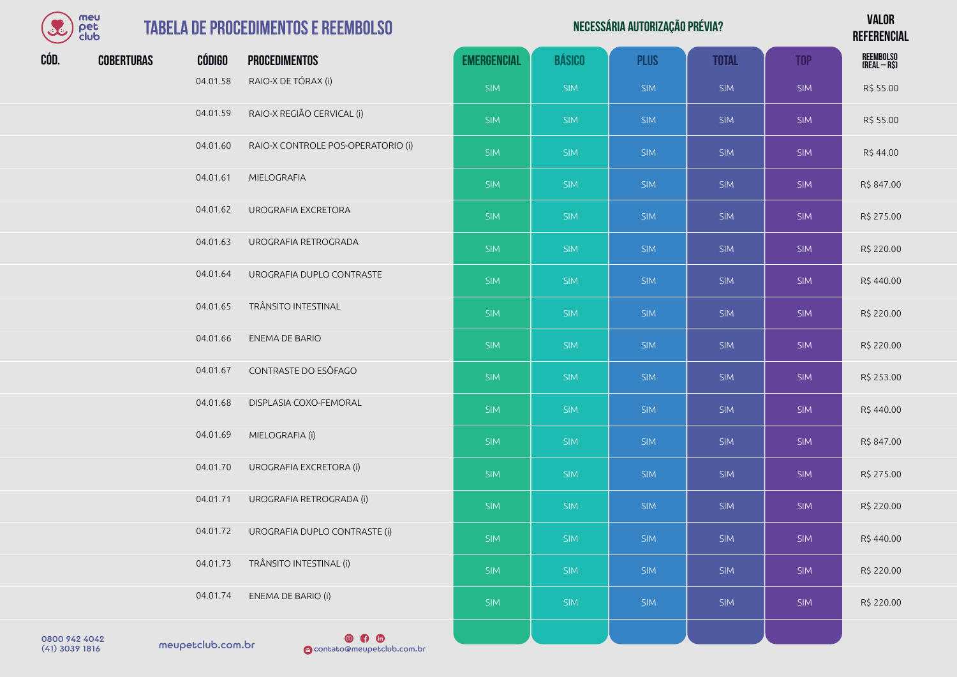| $\mathbf{S}$ | meu<br>pet<br>club |               | <b>TABELA DE PROCEDIMENTOS E REEMBOLSO</b> |                    |               | NECESSÁRIA AUTORIZAÇÃO PRÉVIA? |              |            | <b>VALOR</b><br><b>REFERENCIAL</b> |
|--------------|--------------------|---------------|--------------------------------------------|--------------------|---------------|--------------------------------|--------------|------------|------------------------------------|
| CÓD.         | <b>COBERTURAS</b>  | <b>CÓDIGO</b> | <b>PROCEDIMENTOS</b>                       | <b>EMERGENCIAL</b> | <b>BÁSICO</b> | <b>PLUS</b>                    | <b>TOTAL</b> | <b>TOP</b> | REEMBOLSO<br>(Real – R\$)          |
|              |                    | 04.01.58      | RAIO-X DE TÓRAX (i)                        | <b>SIM</b>         | <b>SIM</b>    | <b>SIM</b>                     | <b>SIM</b>   | <b>SIM</b> | R\$ 55.00                          |
|              |                    | 04.01.59      | RAIO-X REGIÃO CERVICAL (i)                 | <b>SIM</b>         | <b>SIM</b>    | <b>SIM</b>                     | <b>SIM</b>   | <b>SIM</b> | R\$ 55.00                          |
|              |                    | 04.01.60      | RAIO-X CONTROLE POS-OPERATORIO (i)         | <b>SIM</b>         | <b>SIM</b>    | <b>SIM</b>                     | <b>SIM</b>   | <b>SIM</b> | R\$44.00                           |
|              |                    | 04.01.61      | MIELOGRAFIA                                | <b>SIM</b>         | <b>SIM</b>    | <b>SIM</b>                     | <b>SIM</b>   | <b>SIM</b> | R\$ 847.00                         |
|              |                    | 04.01.62      | UROGRAFIA EXCRETORA                        | <b>SIM</b>         | <b>SIM</b>    | <b>SIM</b>                     | <b>SIM</b>   | <b>SIM</b> | R\$ 275.00                         |
|              |                    | 04.01.63      | UROGRAFIA RETROGRADA                       | <b>SIM</b>         | <b>SIM</b>    | <b>SIM</b>                     | <b>SIM</b>   | <b>SIM</b> | R\$ 220.00                         |
|              |                    | 04.01.64      | UROGRAFIA DUPLO CONTRASTE                  | <b>SIM</b>         | <b>SIM</b>    | <b>SIM</b>                     | <b>SIM</b>   | <b>SIM</b> | R\$440.00                          |
|              |                    | 04.01.65      | TRÂNSITO INTESTINAL                        | <b>SIM</b>         | <b>SIM</b>    | <b>SIM</b>                     | <b>SIM</b>   | <b>SIM</b> | R\$ 220.00                         |
|              |                    | 04.01.66      | ENEMA DE BARIO                             | <b>SIM</b>         | <b>SIM</b>    | <b>SIM</b>                     | <b>SIM</b>   | <b>SIM</b> | R\$ 220.00                         |
|              |                    | 04.01.67      | CONTRASTE DO ESÔFAGO                       | <b>SIM</b>         | <b>SIM</b>    | <b>SIM</b>                     | <b>SIM</b>   | <b>SIM</b> | R\$ 253.00                         |
|              |                    | 04.01.68      | DISPLASIA COXO-FEMORAL                     | <b>SIM</b>         | <b>SIM</b>    | <b>SIM</b>                     | <b>SIM</b>   | <b>SIM</b> | R\$440.00                          |
|              |                    | 04.01.69      | MIELOGRAFIA (i)                            | <b>SIM</b>         | <b>SIM</b>    | <b>SIM</b>                     | <b>SIM</b>   | <b>SIM</b> | R\$ 847.00                         |
|              |                    | 04.01.70      | UROGRAFIA EXCRETORA (i)                    | <b>SIM</b>         | <b>SIM</b>    | <b>SIM</b>                     | <b>SIM</b>   | <b>SIM</b> | R\$ 275.00                         |
|              |                    | 04.01.71      | UROGRAFIA RETROGRADA (i)                   | <b>SIM</b>         | <b>SIM</b>    | <b>SIM</b>                     | <b>SIM</b>   | <b>SIM</b> | R\$ 220.00                         |
|              |                    | 04.01.72      | UROGRAFIA DUPLO CONTRASTE (i)              | <b>SIM</b>         | <b>SIM</b>    | <b>SIM</b>                     | SIM          | SIM        | R\$440.00                          |
|              |                    | 04.01.73      | TRÂNSITO INTESTINAL (i)                    | <b>SIM</b>         | <b>SIM</b>    | <b>SIM</b>                     | SIM          | SIM        | R\$ 220.00                         |
|              |                    | 04.01.74      | ENEMA DE BARIO (i)                         | <b>SIM</b>         | <b>SIM</b>    | <b>SIM</b>                     | SIM          | SIM        | R\$ 220.00                         |
|              |                    |               | <b>668</b>                                 |                    |               |                                |              |            |                                    |

0800 942 4042<br>(41) 3039 1816 meupetclub.com.br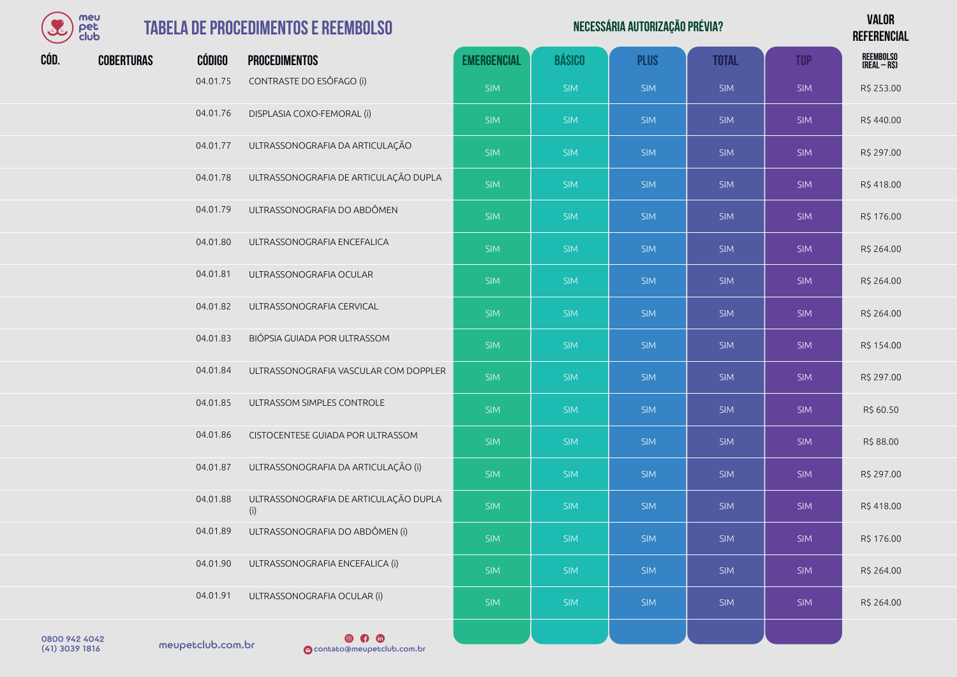| meu        |
|------------|
| r F.       |
| מו וי<br>o |

| $\Omega$ | meu<br>pet<br>club |               | <b>TABELA DE PROCEDIMENTOS E REEMBOLSO</b> |                    |               | NECESSÁRIA AUTORIZAÇÃO PRÉVIA? |              |            | <b>VALOR</b><br><b>REFERENCIAL</b> |
|----------|--------------------|---------------|--------------------------------------------|--------------------|---------------|--------------------------------|--------------|------------|------------------------------------|
| CÓD.     | <b>COBERTURAS</b>  | <b>CÓDIGO</b> | <b>PROCEDIMENTOS</b>                       | <b>EMERGENCIAL</b> | <b>BÁSICO</b> | <b>PLUS</b>                    | <b>TOTAL</b> | <b>TOP</b> | REEMBOLSO<br>(Real – R\$)          |
|          |                    | 04.01.75      | CONTRASTE DO ESÔFAGO (i)                   | <b>SIM</b>         | <b>SIM</b>    | <b>SIM</b>                     | <b>SIM</b>   | <b>SIM</b> | R\$ 253.00                         |
|          |                    | 04.01.76      | DISPLASIA COXO-FEMORAL (i)                 | <b>SIM</b>         | <b>SIM</b>    | <b>SIM</b>                     | <b>SIM</b>   | <b>SIM</b> | R\$440.00                          |
|          |                    | 04.01.77      | ULTRASSONOGRAFIA DA ARTICULAÇÃO            | <b>SIM</b>         | <b>SIM</b>    | <b>SIM</b>                     | <b>SIM</b>   | <b>SIM</b> | R\$ 297.00                         |
|          |                    | 04.01.78      | ULTRASSONOGRAFIA DE ARTICULAÇÃO DUPLA      | <b>SIM</b>         | <b>SIM</b>    | <b>SIM</b>                     | <b>SIM</b>   | <b>SIM</b> | R\$418.00                          |

| 04.01.77 | ULTRASSONOGRAFIA DA ARTICULAÇÃO              | <b>SIM</b> | <b>SIM</b> | <b>SIM</b> | <b>SIM</b> | <b>SIM</b> | R\$ 297.00 |
|----------|----------------------------------------------|------------|------------|------------|------------|------------|------------|
| 04.01.78 | ULTRASSONOGRAFIA DE ARTICULAÇÃO DUPLA        | <b>SIM</b> | <b>SIM</b> | <b>SIM</b> | <b>SIM</b> | <b>SIM</b> | R\$418.00  |
| 04.01.79 | ULTRASSONOGRAFIA DO ABDÔMEN                  | <b>SIM</b> | <b>SIM</b> | <b>SIM</b> | <b>SIM</b> | <b>SIM</b> | R\$ 176.00 |
| 04.01.80 | ULTRASSONOGRAFIA ENCEFALICA                  | <b>SIM</b> | <b>SIM</b> | <b>SIM</b> | <b>SIM</b> | <b>SIM</b> | R\$ 264.00 |
| 04.01.81 | ULTRASSONOGRAFIA OCULAR                      | <b>SIM</b> | <b>SIM</b> | <b>SIM</b> | <b>SIM</b> | <b>SIM</b> | R\$ 264.00 |
| 04.01.82 | ULTRASSONOGRAFIA CERVICAL                    | <b>SIM</b> | <b>SIM</b> | <b>SIM</b> | <b>SIM</b> | <b>SIM</b> | R\$ 264.00 |
| 04.01.83 | BIÓPSIA GUIADA POR ULTRASSOM                 | <b>SIM</b> | <b>SIM</b> | <b>SIM</b> | <b>SIM</b> | <b>SIM</b> | R\$ 154.00 |
| 04.01.84 | ULTRASSONOGRAFIA VASCULAR COM DOPPLER        | <b>SIM</b> | <b>SIM</b> | <b>SIM</b> | <b>SIM</b> | <b>SIM</b> | R\$ 297.00 |
| 04.01.85 | ULTRASSOM SIMPLES CONTROLE                   | <b>SIM</b> | <b>SIM</b> | <b>SIM</b> | <b>SIM</b> | <b>SIM</b> | R\$ 60.50  |
| 04.01.86 | CISTOCENTESE GUIADA POR ULTRASSOM            | <b>SIM</b> | <b>SIM</b> | <b>SIM</b> | <b>SIM</b> | <b>SIM</b> | R\$ 88.00  |
| 04.01.87 | ULTRASSONOGRAFIA DA ARTICULAÇÃO (i)          | <b>SIM</b> | <b>SIM</b> | <b>SIM</b> | <b>SIM</b> | <b>SIM</b> | R\$ 297.00 |
| 04.01.88 | ULTRASSONOGRAFIA DE ARTICULAÇÃO DUPLA<br>(i) | <b>SIM</b> | <b>SIM</b> | <b>SIM</b> | <b>SIM</b> | <b>SIM</b> | R\$418.00  |
| 04.01.89 | ULTRASSONOGRAFIA DO ABDÔMEN (i)              | <b>SIM</b> | <b>SIM</b> | <b>SIM</b> | <b>SIM</b> | <b>SIM</b> | R\$ 176.00 |
| 04.01.90 | ULTRASSONOGRAFIA ENCEFALICA (i)              | <b>SIM</b> | <b>SIM</b> | <b>SIM</b> | <b>SIM</b> | <b>SIM</b> | R\$ 264.00 |
| 04.01.91 | ULTRASSONOGRAFIA OCULAR (i)                  | <b>SIM</b> | <b>SIM</b> | <b>SIM</b> | <b>SIM</b> | <b>SIM</b> | R\$ 264.00 |
|          | $\circ$ $\bullet$ $\circ$                    |            |            |            |            |            |            |

0800 942 4042<br>(41) 3039 1816 meupetclub.com.br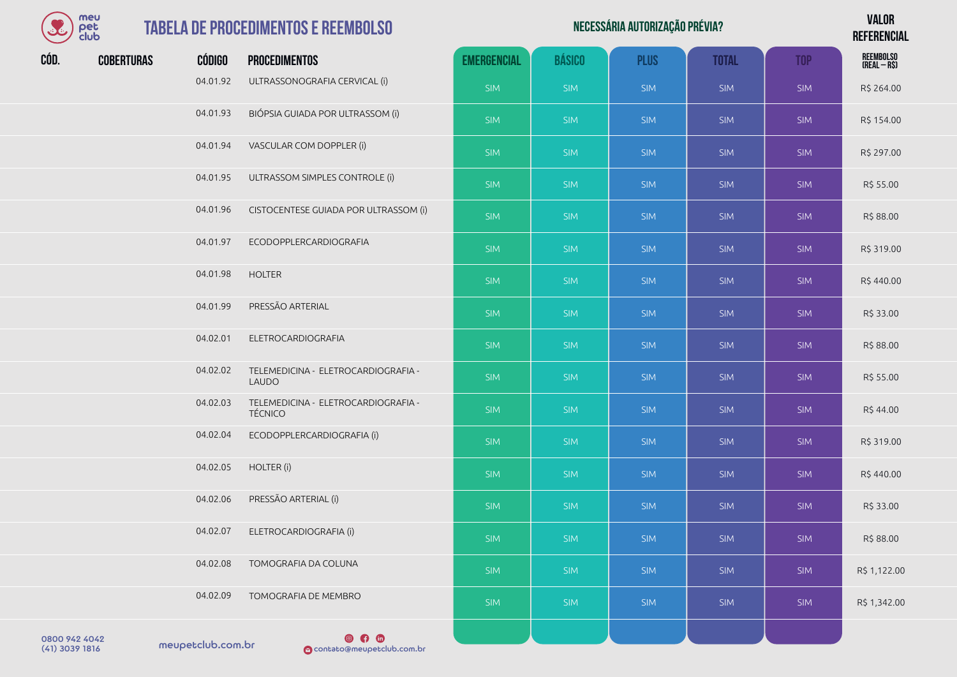| meu  |
|------|
| I≏F  |
| club |

## **TABELA DE PR**

| J    | meu<br>pet<br>club |          | <b>TABELA DE PROCEDIMENTOS E REEMBOLSO</b>            |                    |               | NECESSÁRIA AUTORIZAÇÃO PRÉVIA? |              |            | <b>VALOR</b><br><b>REFERENCIAL</b> |
|------|--------------------|----------|-------------------------------------------------------|--------------------|---------------|--------------------------------|--------------|------------|------------------------------------|
| CÓD. | <b>COBERTURAS</b>  | CÓDIGO   | <b>PROCEDIMENTOS</b>                                  | <b>EMERGENCIAL</b> | <b>BÁSICO</b> | <b>PLUS</b>                    | <b>TOTAL</b> | <b>TOP</b> | REEMBOLSO<br>(Real – R\$)          |
|      |                    | 04.01.92 | ULTRASSONOGRAFIA CERVICAL (i)                         | <b>SIM</b>         | SIM           | <b>SIM</b>                     | <b>SIM</b>   | <b>SIM</b> | R\$ 264.00                         |
|      |                    | 04.01.93 | BIÓPSIA GUIADA POR ULTRASSOM (i)                      | <b>SIM</b>         | <b>SIM</b>    | <b>SIM</b>                     | <b>SIM</b>   | <b>SIM</b> | R\$ 154.00                         |
|      |                    | 04.01.94 | VASCULAR COM DOPPLER (i)                              | SIM                | <b>SIM</b>    | <b>SIM</b>                     | <b>SIM</b>   | <b>SIM</b> | R\$ 297.00                         |
|      |                    | 04.01.95 | ULTRASSOM SIMPLES CONTROLE (i)                        | <b>SIM</b>         | <b>SIM</b>    | <b>SIM</b>                     | <b>SIM</b>   | <b>SIM</b> | R\$ 55.00                          |
|      |                    | 04.01.96 | CISTOCENTESE GUIADA POR ULTRASSOM (i)                 | SIM                | <b>SIM</b>    | <b>SIM</b>                     | <b>SIM</b>   | <b>SIM</b> | R\$ 88.00                          |
|      |                    | 04.01.97 | ECODOPPLERCARDIOGRAFIA                                | SIM                | <b>SIM</b>    | <b>SIM</b>                     | <b>SIM</b>   | <b>SIM</b> | R\$ 319.00                         |
|      |                    | 04.01.98 | <b>HOLTER</b>                                         | <b>SIM</b>         | <b>SIM</b>    | <b>SIM</b>                     | <b>SIM</b>   | <b>SIM</b> | R\$440.00                          |
|      |                    | 04.01.99 | PRESSÃO ARTERIAL                                      | <b>SIM</b>         | <b>SIM</b>    | <b>SIM</b>                     | <b>SIM</b>   | <b>SIM</b> | R\$ 33.00                          |
|      |                    | 04.02.01 | ELETROCARDIOGRAFIA                                    | <b>SIM</b>         | <b>SIM</b>    | <b>SIM</b>                     | <b>SIM</b>   | <b>SIM</b> | R\$ 88.00                          |
|      |                    | 04.02.02 | TELEMEDICINA - ELETROCARDIOGRAFIA -<br><b>LAUDO</b>   | <b>SIM</b>         | <b>SIM</b>    | <b>SIM</b>                     | <b>SIM</b>   | <b>SIM</b> | R\$ 55.00                          |
|      |                    | 04.02.03 | TELEMEDICINA - ELETROCARDIOGRAFIA -<br><b>TÉCNICO</b> | <b>SIM</b>         | SIM           | <b>SIM</b>                     | <b>SIM</b>   | <b>SIM</b> | R\$44.00                           |
|      |                    | 04.02.04 | ECODOPPLERCARDIOGRAFIA (i)                            | <b>SIM</b>         | <b>SIM</b>    | <b>SIM</b>                     | <b>SIM</b>   | <b>SIM</b> | R\$ 319.00                         |
|      |                    | 04.02.05 | HOLTER (i)                                            | <b>SIM</b>         | <b>SIM</b>    | <b>SIM</b>                     | <b>SIM</b>   | <b>SIM</b> | R\$440.00                          |
|      |                    | 04.02.06 | PRESSÃO ARTERIAL (i)                                  | <b>SIM</b>         | <b>SIM</b>    | <b>SIM</b>                     | <b>SIM</b>   | <b>SIM</b> | R\$ 33.00                          |
|      |                    | 04.02.07 | ELETROCARDIOGRAFIA (i)                                | <b>SIM</b>         | <b>SIM</b>    | <b>SIM</b>                     | <b>SIM</b>   | <b>SIM</b> | R\$ 88.00                          |
|      |                    | 04.02.08 | TOMOGRAFIA DA COLUNA                                  | <b>SIM</b>         | <b>SIM</b>    | <b>SIM</b>                     | SIM          | SIM        | R\$ 1,122.00                       |
|      |                    | 04.02.09 | TOMOGRAFIA DE MEMBRO                                  | <b>SIM</b>         | <b>SIM</b>    | <b>SIM</b>                     | <b>SIM</b>   | SIM        | R\$ 1,342.00                       |
|      |                    |          |                                                       |                    |               |                                |              |            |                                    |

0800 942 4042<br>(41) 3039 1816 meupetclub.com.br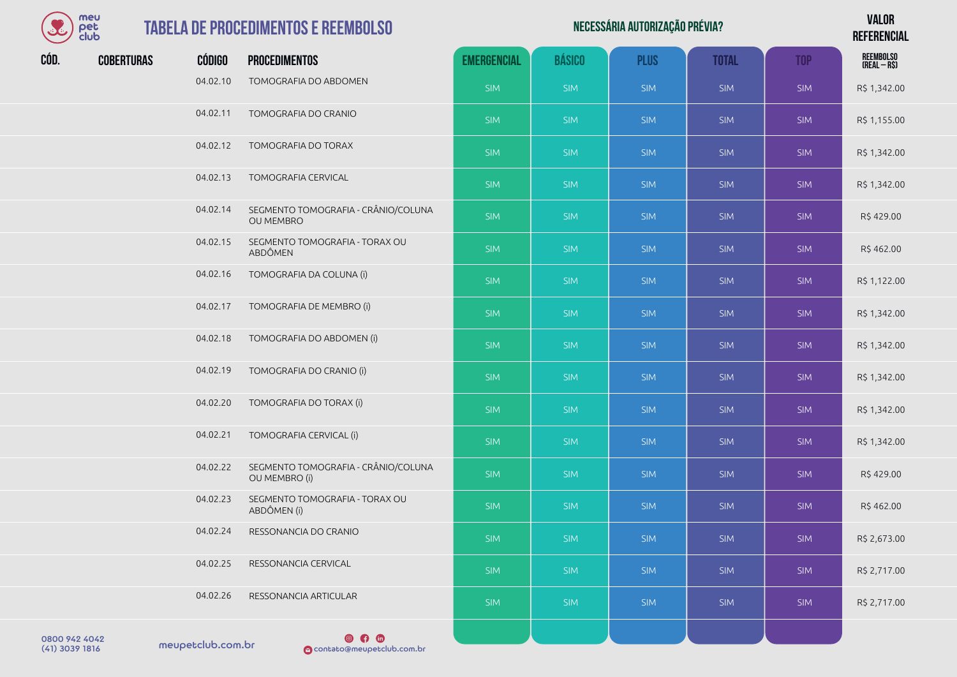| meu  |
|------|
| der  |
| club |

04.02.24 RESSONANCIA DO CRANIO

04.02.25 RESSONANCIA CERVICAL

04.02.26 RESSONANCIA ARTICULAR

|      | meu<br>pet<br>club |               | <b>TABELA DE PROCEDIMENTOS E REEMBOLSO</b>              |                    | <b>VALOR</b><br><b>REFERENCIAL</b> |             |              |            |                           |
|------|--------------------|---------------|---------------------------------------------------------|--------------------|------------------------------------|-------------|--------------|------------|---------------------------|
| CÓD. | <b>COBERTURAS</b>  | <b>CÓDIGO</b> | <b>PROCEDIMENTOS</b>                                    | <b>EMERGENCIAL</b> | <b>BÁSICO</b>                      | <b>PLUS</b> | <b>TOTAL</b> | <b>TOP</b> | REEMBOLSO<br>(Real – R\$) |
|      |                    | 04.02.10      | TOMOGRAFIA DO ABDOMEN                                   | <b>SIM</b>         | <b>SIM</b>                         | <b>SIM</b>  | <b>SIM</b>   | <b>SIM</b> | R\$ 1,342.00              |
|      |                    | 04.02.11      | TOMOGRAFIA DO CRANIO                                    | <b>SIM</b>         | <b>SIM</b>                         | <b>SIM</b>  | <b>SIM</b>   | <b>SIM</b> | R\$ 1,155.00              |
|      |                    | 04.02.12      | TOMOGRAFIA DO TORAX                                     | <b>SIM</b>         | <b>SIM</b>                         | <b>SIM</b>  | <b>SIM</b>   | <b>SIM</b> | R\$ 1,342.00              |
|      |                    | 04.02.13      | <b>TOMOGRAFIA CERVICAL</b>                              | <b>SIM</b>         | <b>SIM</b>                         | <b>SIM</b>  | <b>SIM</b>   | <b>SIM</b> | R\$ 1,342.00              |
|      |                    | 04.02.14      | SEGMENTO TOMOGRAFIA - CRÂNIO/COLUNA<br><b>OU MEMBRO</b> | <b>SIM</b>         | <b>SIM</b>                         | <b>SIM</b>  | <b>SIM</b>   | <b>SIM</b> | R\$429.00                 |
|      |                    | 04.02.15      | SEGMENTO TOMOGRAFIA - TORAX OU<br>ABDÔMEN               | <b>SIM</b>         | <b>SIM</b>                         | <b>SIM</b>  | <b>SIM</b>   | <b>SIM</b> | R\$462.00                 |
|      |                    | 04.02.16      | TOMOGRAFIA DA COLUNA (i)                                | <b>SIM</b>         | <b>SIM</b>                         | <b>SIM</b>  | <b>SIM</b>   | <b>SIM</b> | R\$ 1,122.00              |
|      |                    | 04.02.17      | TOMOGRAFIA DE MEMBRO (i)                                | <b>SIM</b>         | <b>SIM</b>                         | <b>SIM</b>  | <b>SIM</b>   | <b>SIM</b> | R\$ 1,342.00              |
|      |                    | 04.02.18      | TOMOGRAFIA DO ABDOMEN (i)                               | <b>SIM</b>         | <b>SIM</b>                         | <b>SIM</b>  | <b>SIM</b>   | <b>SIM</b> | R\$ 1,342.00              |
|      |                    | 04.02.19      | TOMOGRAFIA DO CRANIO (i)                                | <b>SIM</b>         | <b>SIM</b>                         | <b>SIM</b>  | <b>SIM</b>   | <b>SIM</b> | R\$ 1,342.00              |
|      |                    | 04.02.20      | TOMOGRAFIA DO TORAX (i)                                 | <b>SIM</b>         | <b>SIM</b>                         | <b>SIM</b>  | <b>SIM</b>   | <b>SIM</b> | R\$ 1,342.00              |
|      |                    | 04.02.21      | TOMOGRAFIA CERVICAL (i)                                 | <b>SIM</b>         | <b>SIM</b>                         | <b>SIM</b>  | <b>SIM</b>   | <b>SIM</b> | R\$ 1,342.00              |
|      |                    | 04.02.22      | SEGMENTO TOMOGRAFIA - CRÂNIO/COLUNA<br>OU MEMBRO (i)    | <b>SIM</b>         | <b>SIM</b>                         | <b>SIM</b>  | <b>SIM</b>   | <b>SIM</b> | R\$429.00                 |
|      |                    | 04.02.23      | SEGMENTO TOMOGRAFIA - TORAX OU                          |                    |                                    |             |              |            |                           |

SIM SIM SIM SIM SIM SIM R\$ 2,673.00

SIM SIM SIM SIM SIM R\$ 2,717.00

SIM SIM SIM SIM SIM SIM SIM R\$ 2,717.00

ABDÔMEN (i) SIM SIM SIM SIM SIM R\$ 462.00

| 0800 942 4042    |                   |
|------------------|-------------------|
| $(41)$ 3039 1816 | meupetclub.com.br |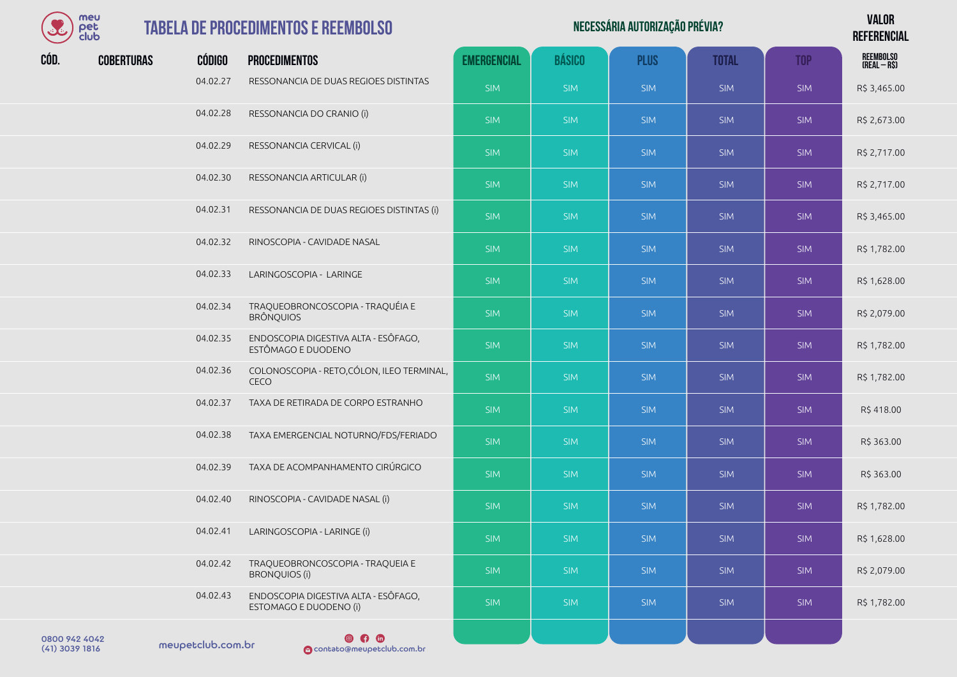

|      | meu<br>pet<br>club |                                 | <b>TABELA DE PROCEDIMENTOS E REEMBOLSO</b>                 |                    | <b>VALOR</b><br><b>REFERENCIAL</b> |             |              |            |                           |
|------|--------------------|---------------------------------|------------------------------------------------------------|--------------------|------------------------------------|-------------|--------------|------------|---------------------------|
| CÓD. | <b>COBERTURAS</b>  | <b>CÓDIGO</b>                   | <b>PROCEDIMENTOS</b>                                       | <b>EMERGENCIAL</b> | <b>BÁSICO</b>                      | <b>PLUS</b> | <b>TOTAL</b> | <b>TOP</b> | REEMBOLSO<br>(Real – R\$) |
|      |                    | 04.02.27                        | RESSONANCIA DE DUAS REGIOES DISTINTAS                      | <b>SIM</b>         | SIM                                | <b>SIM</b>  | <b>SIM</b>   | <b>SIM</b> | R\$ 3,465.00              |
|      |                    | 04.02.28                        | RESSONANCIA DO CRANIO (i)                                  | <b>SIM</b>         | <b>SIM</b>                         | <b>SIM</b>  | <b>SIM</b>   | <b>SIM</b> | R\$ 2,673.00              |
|      |                    | 04.02.29                        | RESSONANCIA CERVICAL (i)                                   | <b>SIM</b>         | SIM                                | <b>SIM</b>  | <b>SIM</b>   | <b>SIM</b> | R\$ 2,717.00              |
|      |                    | 04.02.30                        | RESSONANCIA ARTICULAR (i)                                  | <b>SIM</b>         | <b>SIM</b>                         | <b>SIM</b>  | <b>SIM</b>   | <b>SIM</b> | R\$ 2,717.00              |
|      |                    | 04.02.31                        | RESSONANCIA DE DUAS REGIOES DISTINTAS (i)                  | <b>SIM</b>         | SIM                                | <b>SIM</b>  | <b>SIM</b>   | <b>SIM</b> | R\$ 3,465.00              |
|      |                    | 04.02.32                        | RINOSCOPIA - CAVIDADE NASAL                                | <b>SIM</b>         | <b>SIM</b>                         | <b>SIM</b>  | <b>SIM</b>   | <b>SIM</b> | R\$ 1,782.00              |
|      |                    | 04.02.33                        | LARINGOSCOPIA - LARINGE                                    | <b>SIM</b>         | <b>SIM</b>                         | <b>SIM</b>  | <b>SIM</b>   | <b>SIM</b> | R\$ 1,628.00              |
|      |                    | 04.02.34                        | TRAQUEOBRONCOSCOPIA - TRAQUÉIA E<br><b>BRÔNQUIOS</b>       | <b>SIM</b>         | <b>SIM</b>                         | <b>SIM</b>  | <b>SIM</b>   | <b>SIM</b> | R\$ 2,079.00              |
|      |                    | 04.02.35                        | ENDOSCOPIA DIGESTIVA ALTA - ESÔFAGO,<br>ESTÔMAGO E DUODENO | <b>SIM</b>         | <b>SIM</b>                         | <b>SIM</b>  | <b>SIM</b>   | <b>SIM</b> | R\$ 1,782.00              |
|      |                    | and a state of the state of the |                                                            |                    |                                    |             |              |            |                           |

SIM SIM SIM SIM SIM R\$ 418.00

SIM SIM SIM SIM SIM R\$ 363.00

- 04.02.36 COLONOSCOPIA RETO,CÓLON, ILEO TERMINAL,<br>CECO CECO SIM SIM SIM SIM SIM R\$ 1,782.00 04.02.37 TAXA DE RETIRADA DE CORPO ESTRANHO
- 04.02.38 TAXA EMERGENCIAL NOTURNO/FDS/FERIADO SIM SIM SIM SIM SIM SIM SIM SIM R\$ 363.00 04.02.39 TAXA DE ACOMPANHAMENTO CIRÚRGICO

- 04.02.40 RINOSCOPIA CAVIDADE NASAL (i) SIM SIM SIM SIM SIM SIM SIM SIM SIM R\$ 1,782.00 04.02.41 LARINGOSCOPIA - LARINGE (i) SIM SIM SIM SIM SIM R\$ 1,628.00 04.02.42 TRAQUEOBRONCOSCOPIA - TRAQUEIA E<br>BRONOUIOS (i) ARQUESIDENCIOS CONTRA ANTIQUES ESTE SIM SIM SIM SIM SIM SIM SIM SIM SIM R\$ 2,079.00
- 04.02.43 ENDOSCOPIA DIGESTIVA ALTA ESÔFAGO, ENDOSCO IN DISESTIVA ALIA ESOTAGO, NEGRE SIM SIM SIM SIM SIM SIM SIM SIM SIM R\$ 1,782.00

0800 942 4042<br>(41) 3039 1816 meupetclub.com.br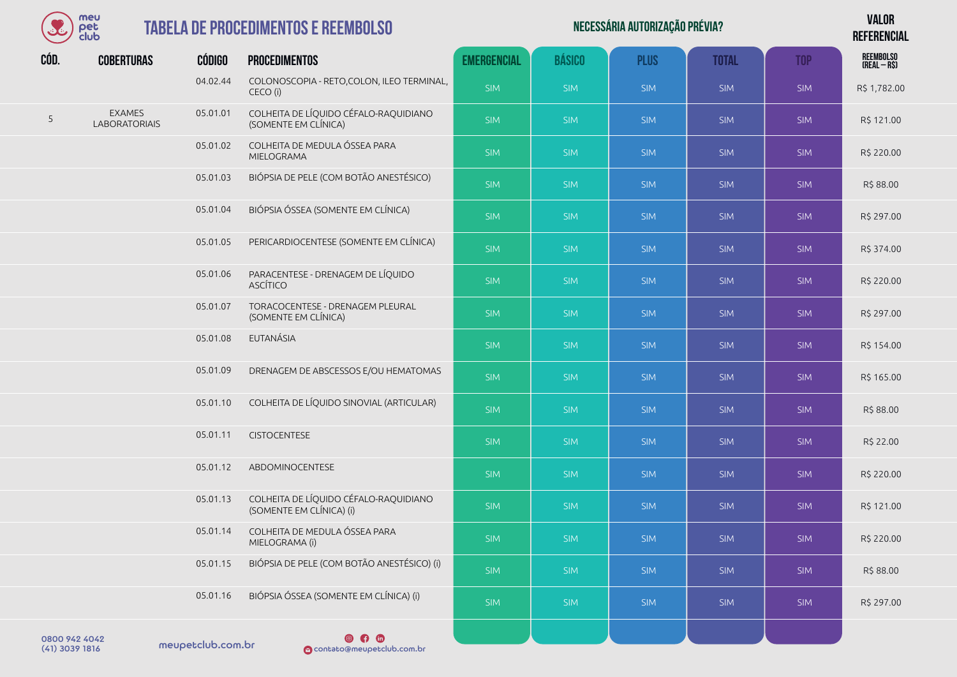| meu       |
|-----------|
| rег       |
| anna<br>n |

| Necessária autorização prévia? | <b>VALOR</b>    |
|--------------------------------|-----------------|
|                                | <b>DEFEBENA</b> |

**REFERENCIAL**

| CÓD.          | <b>COBERTURAS</b>                     | <b>CÓDIGO</b> | <b>PROCEDIMENTOS</b>                                              | <b>EMERGENCIAL</b> | <b>BÁSICO</b> | <b>PLUS</b> | <b>TOTAL</b> | <b>TOP</b> | REEMBOLSO<br>(Real – R\$) |
|---------------|---------------------------------------|---------------|-------------------------------------------------------------------|--------------------|---------------|-------------|--------------|------------|---------------------------|
|               |                                       | 04.02.44      | COLONOSCOPIA - RETO, COLON, ILEO TERMINAL,<br>CECO (i)            | <b>SIM</b>         | <b>SIM</b>    | <b>SIM</b>  | <b>SIM</b>   | <b>SIM</b> | R\$ 1,782.00              |
| 5             | <b>EXAMES</b><br><b>LABORATORIAIS</b> | 05.01.01      | COLHEITA DE LÍQUIDO CÉFALO-RAQUIDIANO<br>(SOMENTE EM CLÍNICA)     | <b>SIM</b>         | <b>SIM</b>    | <b>SIM</b>  | <b>SIM</b>   | <b>SIM</b> | R\$ 121.00                |
|               |                                       | 05.01.02      | COLHEITA DE MEDULA ÓSSEA PARA<br>MIELOGRAMA                       | <b>SIM</b>         | <b>SIM</b>    | <b>SIM</b>  | <b>SIM</b>   | <b>SIM</b> | R\$ 220.00                |
|               |                                       | 05.01.03      | BIÓPSIA DE PELE (COM BOTÃO ANESTÉSICO)                            | <b>SIM</b>         | <b>SIM</b>    | <b>SIM</b>  | <b>SIM</b>   | <b>SIM</b> | R\$88.00                  |
|               |                                       | 05.01.04      | BIÓPSIA ÓSSEA (SOMENTE EM CLÍNICA)                                | <b>SIM</b>         | <b>SIM</b>    | <b>SIM</b>  | <b>SIM</b>   | <b>SIM</b> | R\$ 297.00                |
|               |                                       | 05.01.05      | PERICARDIOCENTESE (SOMENTE EM CLÍNICA)                            | <b>SIM</b>         | <b>SIM</b>    | <b>SIM</b>  | <b>SIM</b>   | <b>SIM</b> | R\$ 374.00                |
|               |                                       | 05.01.06      | PARACENTESE - DRENAGEM DE LÍQUIDO<br><b>ASCÍTICO</b>              | <b>SIM</b>         | <b>SIM</b>    | <b>SIM</b>  | <b>SIM</b>   | <b>SIM</b> | R\$ 220.00                |
|               |                                       | 05.01.07      | TORACOCENTESE - DRENAGEM PLEURAL<br>(SOMENTE EM CLÍNICA)          | <b>SIM</b>         | <b>SIM</b>    | <b>SIM</b>  | <b>SIM</b>   | <b>SIM</b> | R\$ 297.00                |
|               |                                       | 05.01.08      | EUTANÁSIA                                                         | SIM                | <b>SIM</b>    | <b>SIM</b>  | <b>SIM</b>   | <b>SIM</b> | R\$ 154.00                |
|               |                                       | 05.01.09      | DRENAGEM DE ABSCESSOS E/OU HEMATOMAS                              | <b>SIM</b>         | <b>SIM</b>    | <b>SIM</b>  | <b>SIM</b>   | <b>SIM</b> | R\$ 165.00                |
|               |                                       | 05.01.10      | COLHEITA DE LÍQUIDO SINOVIAL (ARTICULAR)                          | SIM                | <b>SIM</b>    | <b>SIM</b>  | <b>SIM</b>   | <b>SIM</b> | R\$ 88.00                 |
|               |                                       | 05.01.11      | <b>CISTOCENTESE</b>                                               | <b>SIM</b>         | <b>SIM</b>    | <b>SIM</b>  | <b>SIM</b>   | <b>SIM</b> | R\$ 22.00                 |
|               |                                       | 05.01.12      | ABDOMINOCENTESE                                                   | <b>SIM</b>         | <b>SIM</b>    | <b>SIM</b>  | <b>SIM</b>   | <b>SIM</b> | R\$ 220.00                |
|               |                                       | 05.01.13      | COLHEITA DE LÍQUIDO CÉFALO-RAQUIDIANO<br>(SOMENTE EM CLÍNICA) (i) | <b>SIM</b>         | <b>SIM</b>    | <b>SIM</b>  | <b>SIM</b>   | <b>SIM</b> | R\$ 121.00                |
|               |                                       | 05.01.14      | COLHEITA DE MEDULA ÓSSEA PARA<br>MIELOGRAMA (i)                   | <b>SIM</b>         | <b>SIM</b>    | <b>SIM</b>  | <b>SIM</b>   | <b>SIM</b> | R\$ 220.00                |
|               |                                       | 05.01.15      | BIÓPSIA DE PELE (COM BOTÃO ANESTÉSICO) (i)                        | <b>SIM</b>         | <b>SIM</b>    | <b>SIM</b>  | <b>SIM</b>   | SIM        | R\$88.00                  |
|               |                                       | 05.01.16      | BIÓPSIA ÓSSEA (SOMENTE EM CLÍNICA) (i)                            | <b>SIM</b>         | <b>SIM</b>    | <b>SIM</b>  | <b>SIM</b>   | <b>SIM</b> | R\$ 297.00                |
| 0.00000101010 |                                       |               | @ A A                                                             |                    |               |             |              |            |                           |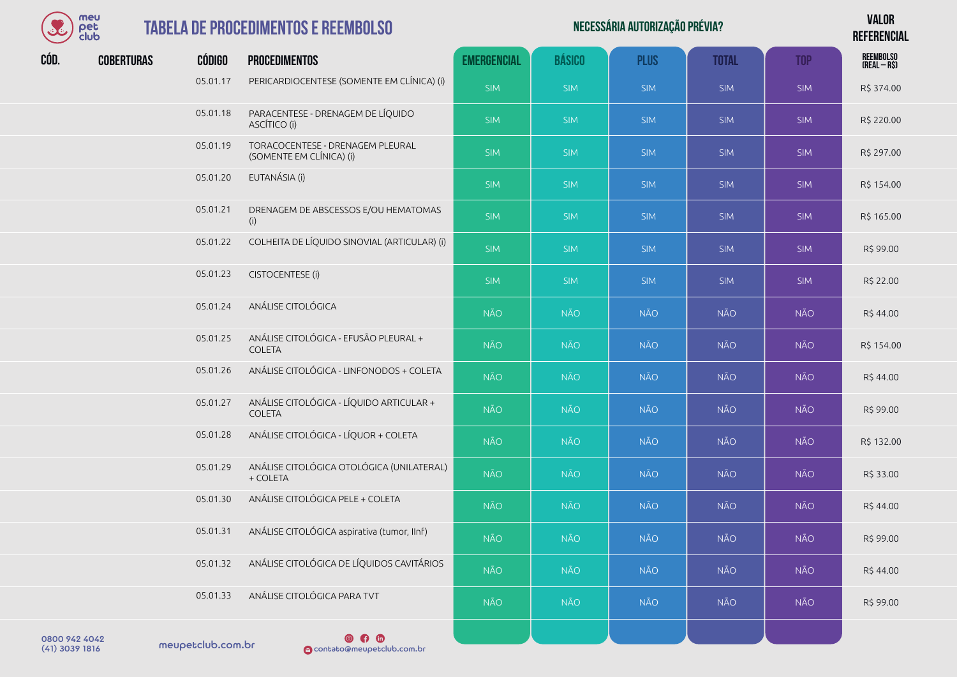

| Necessária autorização prévia? | <b>VALOR</b>    |
|--------------------------------|-----------------|
|                                | <b>DEFEBENA</b> |

**REFERENCIAL**

| CÓD.                 | <b>COBERTURAS</b> | <b>CÓDIGO</b> | <b>PROCEDIMENTOS</b>                                         | <b>EMERGENCIAL</b> | <b>BÁSICO</b> | <b>PLUS</b> | <b>TOTAL</b> | <b>TOP</b> | <b>REEMBOLSO</b><br>(REAL - R\$) |
|----------------------|-------------------|---------------|--------------------------------------------------------------|--------------------|---------------|-------------|--------------|------------|----------------------------------|
|                      |                   | 05.01.17      | PERICARDIOCENTESE (SOMENTE EM CLÍNICA) (i)                   | <b>SIM</b>         | <b>SIM</b>    | <b>SIM</b>  | <b>SIM</b>   | <b>SIM</b> | R\$ 374.00                       |
|                      |                   | 05.01.18      | PARACENTESE - DRENAGEM DE LÍQUIDO<br>ASCÍTICO (i)            | <b>SIM</b>         | <b>SIM</b>    | <b>SIM</b>  | <b>SIM</b>   | <b>SIM</b> | R\$ 220.00                       |
|                      |                   | 05.01.19      | TORACOCENTESE - DRENAGEM PLEURAL<br>(SOMENTE EM CLÍNICA) (i) | <b>SIM</b>         | <b>SIM</b>    | <b>SIM</b>  | <b>SIM</b>   | <b>SIM</b> | R\$ 297.00                       |
|                      |                   | 05.01.20      | EUTANÁSIA (i)                                                | <b>SIM</b>         | <b>SIM</b>    | <b>SIM</b>  | <b>SIM</b>   | <b>SIM</b> | R\$ 154.00                       |
|                      |                   | 05.01.21      | DRENAGEM DE ABSCESSOS E/OU HEMATOMAS<br>(i)                  | <b>SIM</b>         | <b>SIM</b>    | <b>SIM</b>  | <b>SIM</b>   | <b>SIM</b> | R\$ 165.00                       |
|                      |                   | 05.01.22      | COLHEITA DE LÍQUIDO SINOVIAL (ARTICULAR) (i)                 | <b>SIM</b>         | <b>SIM</b>    | <b>SIM</b>  | <b>SIM</b>   | <b>SIM</b> | R\$ 99.00                        |
|                      |                   | 05.01.23      | CISTOCENTESE (i)                                             | <b>SIM</b>         | <b>SIM</b>    | <b>SIM</b>  | <b>SIM</b>   | <b>SIM</b> | R\$ 22.00                        |
|                      |                   | 05.01.24      | ANÁLISE CITOLÓGICA                                           | <b>NÃO</b>         | <b>NÃO</b>    | <b>NÃO</b>  | <b>NÃO</b>   | <b>NÃO</b> | R\$44.00                         |
|                      |                   | 05.01.25      | ANÁLISE CITOLÓGICA - EFUSÃO PLEURAL +<br><b>COLETA</b>       | NÃO                | <b>NÃO</b>    | <b>NÃO</b>  | <b>NÃO</b>   | <b>NÃO</b> | R\$ 154.00                       |
|                      |                   | 05.01.26      | ANÁLISE CITOLÓGICA - LINFONODOS + COLETA                     | <b>NÃO</b>         | NÃO           | <b>NÃO</b>  | <b>NÃO</b>   | <b>NÃO</b> | R\$44.00                         |
|                      |                   | 05.01.27      | ANÁLISE CITOLÓGICA - LÍQUIDO ARTICULAR +<br><b>COLETA</b>    | <b>NÃO</b>         | <b>NÃO</b>    | <b>NÃO</b>  | <b>NÃO</b>   | <b>NÃO</b> | R\$ 99.00                        |
|                      |                   | 05.01.28      | ANÁLISE CITOLÓGICA - LÍQUOR + COLETA                         | <b>NÃO</b>         | <b>NÃO</b>    | <b>NÃO</b>  | <b>NÃO</b>   | <b>NÃO</b> | R\$ 132.00                       |
|                      |                   | 05.01.29      | ANÁLISE CITOLÓGICA OTOLÓGICA (UNILATERAL)<br>+ COLETA        | <b>NÃO</b>         | <b>NÃO</b>    | <b>NÃO</b>  | <b>NÃO</b>   | <b>NÃO</b> | R\$ 33.00                        |
|                      |                   | 05.01.30      | ANÁLISE CITOLÓGICA PELE + COLETA                             | <b>NÃO</b>         | <b>NÃO</b>    | <b>NÃO</b>  | <b>NÃO</b>   | <b>NÃO</b> | R\$44.00                         |
|                      |                   | 05.01.31      | ANÁLISE CITOLÓGICA aspirativa (tumor, IInf)                  | <b>NÃO</b>         | NÃO           | <b>NÃO</b>  | <b>NÃO</b>   | <b>NÃO</b> | R\$ 99.00                        |
|                      |                   | 05.01.32      | ANÁLISE CITOLÓGICA DE LÍQUIDOS CAVITÁRIOS                    | <b>NÃO</b>         | <b>NÃO</b>    | <b>NÃO</b>  | <b>NÃO</b>   | <b>NÃO</b> | R\$44.00                         |
|                      |                   | 05.01.33      | ANÁLISE CITOLÓGICA PARA TVT                                  | <b>NÃO</b>         | NÃO           | <b>NÃO</b>  | <b>NÃO</b>   | <b>NÃO</b> | R\$ 99.00                        |
| <b>CAOA 249 0080</b> |                   |               | $@$ $@$ $@$                                                  |                    |               |             |              |            |                                  |

meupetclub.com.br 0800 942 4042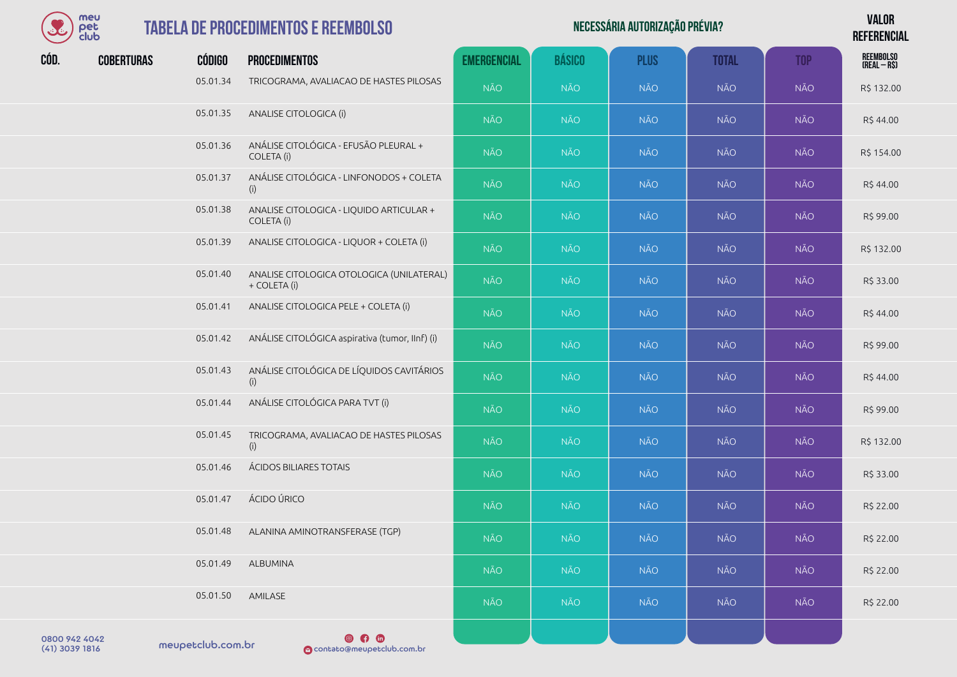

#### **TABELA DE PROCEDIMENTOS**

|      | meu<br>pet<br>club |               | <b>TABELA DE PROCEDIMENTOS E REEMBOLSO</b>                |                    |               | NECESSÁRIA AUTORIZAÇÃO PRÉVIA? |              |            | <b>VALOR</b><br><b>REFERENCIAL</b> |
|------|--------------------|---------------|-----------------------------------------------------------|--------------------|---------------|--------------------------------|--------------|------------|------------------------------------|
| CÓD. | <b>COBERTURAS</b>  | <b>CÓDIGO</b> | <b>PROCEDIMENTOS</b>                                      | <b>EMERGENCIAL</b> | <b>BÁSICO</b> | <b>PLUS</b>                    | <b>TOTAL</b> | <b>TOP</b> | REEMBOLSO<br>(Real – R\$)          |
|      |                    | 05.01.34      | TRICOGRAMA, AVALIACAO DE HASTES PILOSAS                   | <b>NÃO</b>         | <b>NÃO</b>    | <b>NÃO</b>                     | NÃO          | <b>NÃO</b> | R\$ 132.00                         |
|      |                    | 05.01.35      | ANALISE CITOLOGICA (i)                                    | <b>NÃO</b>         | <b>NÃO</b>    | <b>NÃO</b>                     | NÃO          | <b>NÃO</b> | R\$44.00                           |
|      |                    | 05.01.36      | ANÁLISE CITOLÓGICA - EFUSÃO PLEURAL +<br>COLETA (i)       | <b>NÃO</b>         | <b>NÃO</b>    | <b>NÃO</b>                     | NÃO          | <b>NÃO</b> | R\$ 154.00                         |
|      |                    | 05.01.37      | ANÁLISE CITOLÓGICA - LINFONODOS + COLETA<br>(i)           | <b>NÃO</b>         | <b>NÃO</b>    | <b>NÃO</b>                     | <b>NÃO</b>   | <b>NÃO</b> | R\$44.00                           |
|      |                    | 05.01.38      | ANALISE CITOLOGICA - LIQUIDO ARTICULAR +<br>COLETA (i)    | <b>NÃO</b>         | <b>NÃO</b>    | <b>NÃO</b>                     | NÃO          | NÃO        | R\$ 99.00                          |
|      |                    | 05.01.39      | ANALISE CITOLOGICA - LIQUOR + COLETA (i)                  | <b>NÃO</b>         | <b>NÃO</b>    | <b>NÃO</b>                     | <b>NÃO</b>   | <b>NÃO</b> | R\$ 132.00                         |
|      |                    | 05.01.40      | ANALISE CITOLOGICA OTOLOGICA (UNILATERAL)<br>+ COLETA (i) | <b>NÃO</b>         | <b>NÃO</b>    | <b>NÃO</b>                     | NÃO          | NÃO        | R\$ 33.00                          |
|      |                    | 05.01.41      | ANALISE CITOLOGICA PELE + COLETA (i)                      | <b>NÃO</b>         | <b>NÃO</b>    | <b>NÃO</b>                     | NÃO          | <b>NÃO</b> | R\$ 44.00                          |
|      |                    | 05.01.42      | ANÁLISE CITOLÓGICA aspirativa (tumor, IInf) (i)           | <b>NÃO</b>         | <b>NÃO</b>    | <b>NÃO</b>                     | <b>NÃO</b>   | <b>NÃO</b> | R\$ 99.00                          |
|      |                    | 05.01.43      | ANÁLISE CITOLÓGICA DE LÍQUIDOS CAVITÁRIOS<br>(i)          | <b>NÃO</b>         | <b>NÃO</b>    | <b>NÃO</b>                     | NÃO          | NÃO        | R\$ 44.00                          |
|      |                    | 05.01.44      | ANÁLISE CITOLÓGICA PARA TVT (i)                           | <b>NÃO</b>         | <b>NÃO</b>    | <b>NÃO</b>                     | <b>NÃO</b>   | <b>NÃO</b> | R\$ 99.00                          |
|      |                    | 05.01.45      | TRICOGRAMA, AVALIACAO DE HASTES PILOSAS<br>(i)            | <b>NÃO</b>         | <b>NÃO</b>    | <b>NÃO</b>                     | NÃO          | NÃO        | R\$ 132.00                         |
|      |                    | 05.01.46      | ÁCIDOS BILIARES TOTAIS                                    | <b>NÃO</b>         | <b>NÃO</b>    | <b>NÃO</b>                     | <b>NÃO</b>   | <b>NÃO</b> | R\$ 33.00                          |
|      |                    | 05.01.47      | ÁCIDO ÚRICO                                               | <b>NÃO</b>         | <b>NÃO</b>    | <b>NÃO</b>                     | NÃO          | <b>NÃO</b> | R\$ 22.00                          |
|      |                    | 05.01.48      | ALANINA AMINOTRANSFERASE (TGP)                            | <b>NÃO</b>         | <b>NÃO</b>    | <b>NÃO</b>                     | NÃO          | <b>NÃO</b> | R\$ 22.00                          |
|      |                    | 05.01.49      | ALBUMINA                                                  | <b>NÃO</b>         | <b>NÃO</b>    | <b>NÃO</b>                     | NÃO          | NÃO        | R\$ 22.00                          |
|      |                    | 05.01.50      | AMILASE                                                   | NÃO                | NÃO           | NÃO                            | NÃO          | NÃO        | R\$ 22.00                          |

meupetclub.com.br 0800 942 4042

 $\n **④**\n **①**\n$ (41) 3039 1816 contato@meupetclub.com.br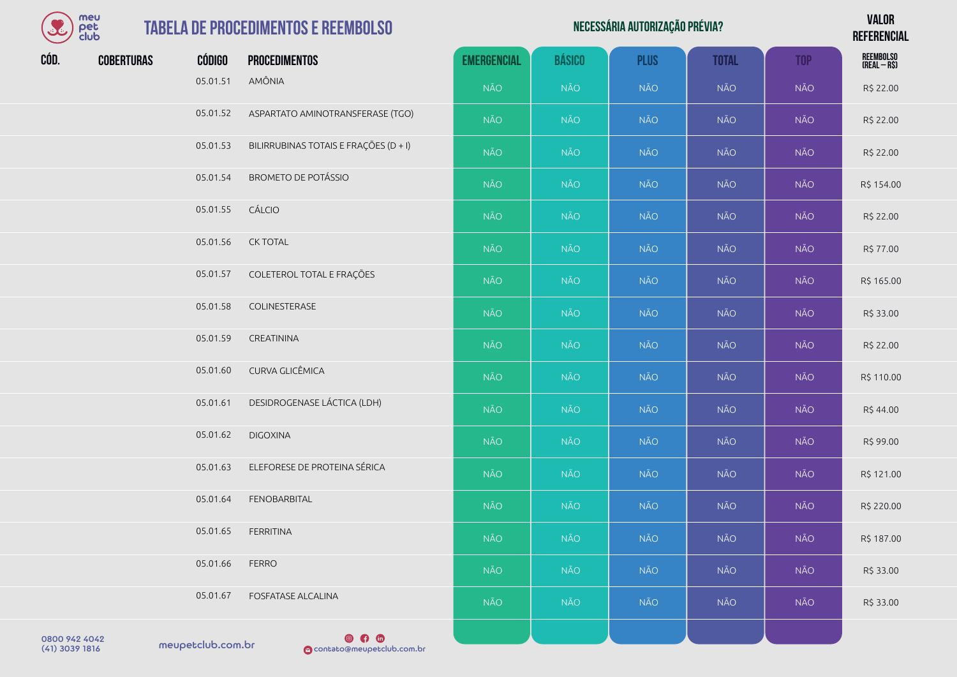| meu  |
|------|
| юг   |
| alub |

## **TABELA DE PROCEDIMI**

| $\mathcal{L}$ | meu<br>pet<br>club |               | <b>TABELA DE PROCEDIMENTOS E REEMBOLSO</b> |                    |               | NECESSÁRIA AUTORIZAÇÃO PRÉVIA? |              |            | <b>VALOR</b><br><b>REFERENCIAL</b> |
|---------------|--------------------|---------------|--------------------------------------------|--------------------|---------------|--------------------------------|--------------|------------|------------------------------------|
| CÓD.          | <b>COBERTURAS</b>  | <b>CÓDIGO</b> | <b>PROCEDIMENTOS</b>                       | <b>EMERGENCIAL</b> | <b>BÁSICO</b> | <b>PLUS</b>                    | <b>TOTAL</b> | <b>TOP</b> | REEMBOLSO<br>(Real – R\$)          |
|               |                    | 05.01.51      | AMÔNIA                                     | <b>NÃO</b>         | NÃO           | <b>NÃO</b>                     | <b>NÃO</b>   | <b>NÃO</b> | R\$ 22.00                          |
|               |                    | 05.01.52      | ASPARTATO AMINOTRANSFERASE (TGO)           | <b>NÃO</b>         | <b>NÃO</b>    | <b>NÃO</b>                     | <b>NÃO</b>   | NÃO        | R\$ 22.00                          |
|               |                    | 05.01.53      | BILIRRUBINAS TOTAIS E FRAÇÕES (D + I)      | <b>NÃO</b>         | <b>NÃO</b>    | <b>NÃO</b>                     | <b>NÃO</b>   | <b>NÃO</b> | R\$ 22.00                          |
|               |                    | 05.01.54      | <b>BROMETO DE POTÁSSIO</b>                 | <b>NÃO</b>         | NÃO           | <b>NÃO</b>                     | <b>NÃO</b>   | NÃO        | R\$ 154.00                         |
|               |                    | 05.01.55      | CÁLCIO                                     | <b>NÃO</b>         | <b>NÃO</b>    | <b>NÃO</b>                     | <b>NÃO</b>   | NÃO        | R\$ 22.00                          |
|               |                    | 05.01.56      | <b>CK TOTAL</b>                            | <b>NÃO</b>         | <b>NÃO</b>    | NÃO                            | <b>NÃO</b>   | NÃO        | R\$ 77.00                          |
|               |                    | 05.01.57      | COLETEROL TOTAL E FRAÇÕES                  | <b>NÃO</b>         | <b>NÃO</b>    | <b>NÃO</b>                     | <b>NÃO</b>   | NÃO        | R\$ 165.00                         |
|               |                    | 05.01.58      | COLINESTERASE                              | <b>NÃO</b>         | NÃO           | <b>NÃO</b>                     | <b>NÃO</b>   | NÃO        | R\$ 33.00                          |
|               |                    | 05.01.59      | CREATININA                                 | <b>NÃO</b>         | NÃO           | <b>NÃO</b>                     | NÃO          | NÃO        | R\$ 22.00                          |
|               |                    | 05.01.60      | CURVA GLICÊMICA                            | <b>NÃO</b>         | <b>NÃO</b>    | <b>NÃO</b>                     | <b>NÃO</b>   | <b>NÃO</b> | R\$ 110.00                         |
|               |                    | 05.01.61      | DESIDROGENASE LÁCTICA (LDH)                | <b>NÃO</b>         | NÃO           | <b>NÃO</b>                     | <b>NÃO</b>   | NÃO        | R\$ 44.00                          |
|               |                    | 05.01.62      | <b>DIGOXINA</b>                            | <b>NÃO</b>         | NÃO           | <b>NÃO</b>                     | <b>NÃO</b>   | <b>NÃO</b> | R\$ 99.00                          |
|               |                    | 05.01.63      | ELEFORESE DE PROTEINA SÉRICA               | <b>NÃO</b>         | <b>NÃO</b>    | <b>NÃO</b>                     | <b>NÃO</b>   | <b>NÃO</b> | R\$ 121.00                         |
|               |                    | 05.01.64      | <b>FENOBARBITAL</b>                        | NÃO                | NÃO           | <b>NÃO</b>                     | NÃO          | NÃO        | R\$ 220.00                         |
|               |                    | 05.01.65      | <b>FERRITINA</b>                           | <b>NÃO</b>         | <b>NÃO</b>    | <b>NÃO</b>                     | <b>NÃO</b>   | NÃO        | R\$ 187.00                         |
|               |                    | 05.01.66      | <b>FERRO</b>                               | NÃO                | <b>NÃO</b>    | <b>NÃO</b>                     | <b>NÃO</b>   | <b>NÃO</b> | R\$ 33.00                          |
|               |                    | 05.01.67      | <b>FOSFATASE ALCALINA</b>                  | <b>NÃO</b>         | NÃO           | <b>NÃO</b>                     | <b>NÃO</b>   | NÃO        | R\$ 33.00                          |

0800 942 4042<br>(41) 3039 1816 meupetclub.com.br

 $\circ$   $\circ$ (41) 3039 1816 contato@meupetclub.com.br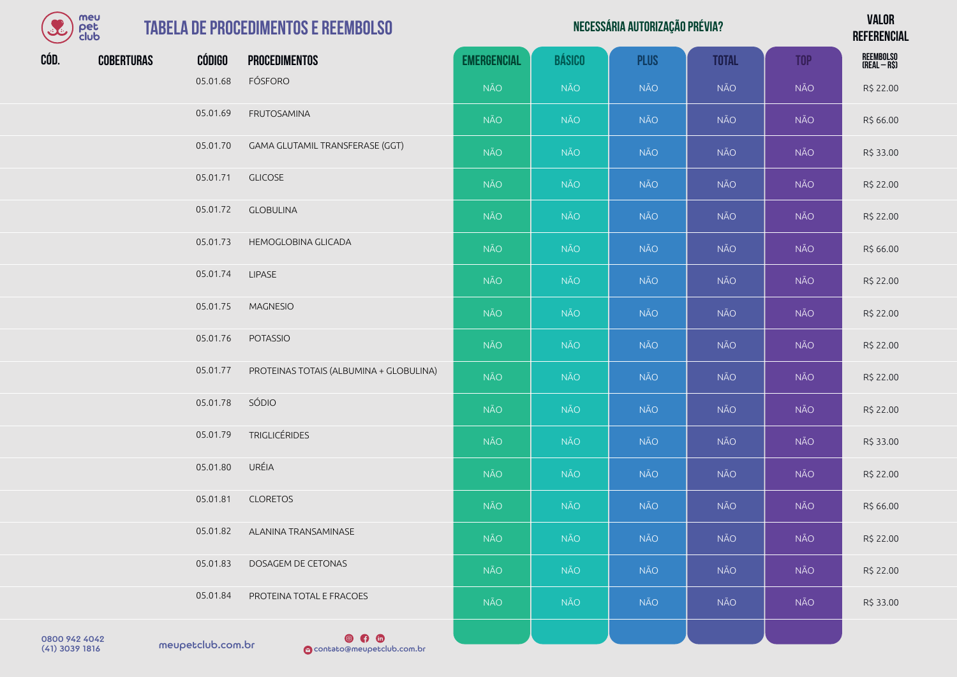| $\left( \begin{matrix} \textbf{S} \ \textbf{S} \ \textbf{S} \ \textbf{S} \ \textbf{S} \ \textbf{S} \ \textbf{S} \ \textbf{S} \ \textbf{S} \ \textbf{S} \ \textbf{S} \ \textbf{S} \ \textbf{S} \ \textbf{S} \ \textbf{S} \ \textbf{S} \ \textbf{S} \ \textbf{S} \ \textbf{S} \ \textbf{S} \ \textbf{S} \ \textbf{S} \ \textbf{S} \ \textbf{S} \ \textbf{S} \ \textbf{S} \ \textbf{S} \ \textbf{S} \ \textbf{S} \ \textbf{S} \ \text$ | meu<br>pet<br>club |                   | <b>TABELA DE PROCEDIMENTOS E REEMBOLSO</b> |                    |               | NECESSÁRIA AUTORIZAÇÃO PRÉVIA? |              |            | <b>VALOR</b><br><b>REFERENCIAL</b> |
|-------------------------------------------------------------------------------------------------------------------------------------------------------------------------------------------------------------------------------------------------------------------------------------------------------------------------------------------------------------------------------------------------------------------------------------|--------------------|-------------------|--------------------------------------------|--------------------|---------------|--------------------------------|--------------|------------|------------------------------------|
| CÓD.                                                                                                                                                                                                                                                                                                                                                                                                                                | <b>COBERTURAS</b>  | CÓDIGO            | <b>PROCEDIMENTOS</b>                       | <b>EMERGENCIAL</b> | <b>BÁSICO</b> | <b>PLUS</b>                    | <b>TOTAL</b> | <b>TOP</b> | REEMBOLSO<br>(Real – R\$)          |
|                                                                                                                                                                                                                                                                                                                                                                                                                                     |                    | 05.01.68          | FÓSFORO                                    | <b>NÃO</b>         | <b>NÃO</b>    | <b>NÃO</b>                     | NÃO          | <b>NÃO</b> | R\$ 22.00                          |
|                                                                                                                                                                                                                                                                                                                                                                                                                                     |                    | 05.01.69          | FRUTOSAMINA                                | <b>NÃO</b>         | <b>NÃO</b>    | <b>NÃO</b>                     | NÃO          | <b>NÃO</b> | R\$ 66.00                          |
|                                                                                                                                                                                                                                                                                                                                                                                                                                     |                    | 05.01.70          | GAMA GLUTAMIL TRANSFERASE (GGT)            | <b>NÃO</b>         | <b>NÃO</b>    | <b>NÃO</b>                     | NÃO          | <b>NÃO</b> | R\$ 33.00                          |
|                                                                                                                                                                                                                                                                                                                                                                                                                                     |                    | 05.01.71          | <b>GLICOSE</b>                             | <b>NÃO</b>         | <b>NÃO</b>    | <b>NÃO</b>                     | NÃO          | <b>NÃO</b> | R\$ 22.00                          |
|                                                                                                                                                                                                                                                                                                                                                                                                                                     |                    | 05.01.72          | <b>GLOBULINA</b>                           | <b>NÃO</b>         | <b>NÃO</b>    | <b>NÃO</b>                     | NÃO          | <b>NÃO</b> | R\$ 22.00                          |
|                                                                                                                                                                                                                                                                                                                                                                                                                                     |                    | 05.01.73          | HEMOGLOBINA GLICADA                        | NÃO                | <b>NÃO</b>    | <b>NÃO</b>                     | NÃO          | <b>NÃO</b> | R\$ 66.00                          |
|                                                                                                                                                                                                                                                                                                                                                                                                                                     |                    | 05.01.74          | <b>LIPASE</b>                              | <b>NÃO</b>         | <b>NÃO</b>    | <b>NÃO</b>                     | <b>NÃO</b>   | <b>NÃO</b> | R\$ 22.00                          |
|                                                                                                                                                                                                                                                                                                                                                                                                                                     |                    | 05.01.75          | <b>MAGNESIO</b>                            | <b>NÃO</b>         | <b>NÃO</b>    | <b>NÃO</b>                     | NÃO          | <b>NÃO</b> | R\$ 22.00                          |
|                                                                                                                                                                                                                                                                                                                                                                                                                                     |                    | 05.01.76          | <b>POTASSIO</b>                            | <b>NÃO</b>         | <b>NÃO</b>    | <b>NÃO</b>                     | <b>NÃO</b>   | <b>NÃO</b> | R\$ 22.00                          |
|                                                                                                                                                                                                                                                                                                                                                                                                                                     |                    | 05.01.77          | PROTEINAS TOTAIS (ALBUMINA + GLOBULINA)    | NÃO                | <b>NÃO</b>    | <b>NÃO</b>                     | NÃO          | <b>NÃO</b> | R\$ 22.00                          |
|                                                                                                                                                                                                                                                                                                                                                                                                                                     |                    | 05.01.78          | SÓDIO                                      | <b>NÃO</b>         | <b>NÃO</b>    | <b>NÃO</b>                     | NÃO          | <b>NÃO</b> | R\$ 22.00                          |
|                                                                                                                                                                                                                                                                                                                                                                                                                                     |                    | 05.01.79          | <b>TRIGLICÉRIDES</b>                       | <b>NÃO</b>         | <b>NÃO</b>    | <b>NÃO</b>                     | NÃO          | <b>NÃO</b> | R\$ 33.00                          |
|                                                                                                                                                                                                                                                                                                                                                                                                                                     |                    | 05.01.80          | URÉIA                                      | NÃO                | <b>NÃO</b>    | <b>NÃO</b>                     | NÃO          | <b>NÃO</b> | R\$ 22.00                          |
|                                                                                                                                                                                                                                                                                                                                                                                                                                     |                    | 05.01.81          | <b>CLORETOS</b>                            | <b>NÃO</b>         | <b>NÃO</b>    | <b>NÃO</b>                     | NÃO          | <b>NÃO</b> | R\$ 66.00                          |
|                                                                                                                                                                                                                                                                                                                                                                                                                                     |                    | 05.01.82          | ALANINA TRANSAMINASE                       | NÃO                | <b>NÃO</b>    | <b>NÃO</b>                     | NÃO          | <b>NÃO</b> | R\$ 22.00                          |
|                                                                                                                                                                                                                                                                                                                                                                                                                                     |                    | 05.01.83          | DOSAGEM DE CETONAS                         | <b>NÃO</b>         | <b>NÃO</b>    | <b>NÃO</b>                     | NÃO          | <b>NÃO</b> | R\$ 22.00                          |
|                                                                                                                                                                                                                                                                                                                                                                                                                                     |                    | 05.01.84          | PROTEINA TOTAL E FRACOES                   | <b>NÃO</b>         | <b>NÃO</b>    | <b>NÃO</b>                     | NÃO          | <b>NÃO</b> | R\$ 33.00                          |
| 0800 942 4042                                                                                                                                                                                                                                                                                                                                                                                                                       |                    | maugatclub cam br | $\circ$ $\circ$                            |                    |               |                                |              |            |                                    |

(41) 3039 1816 **meupetclub.com.br**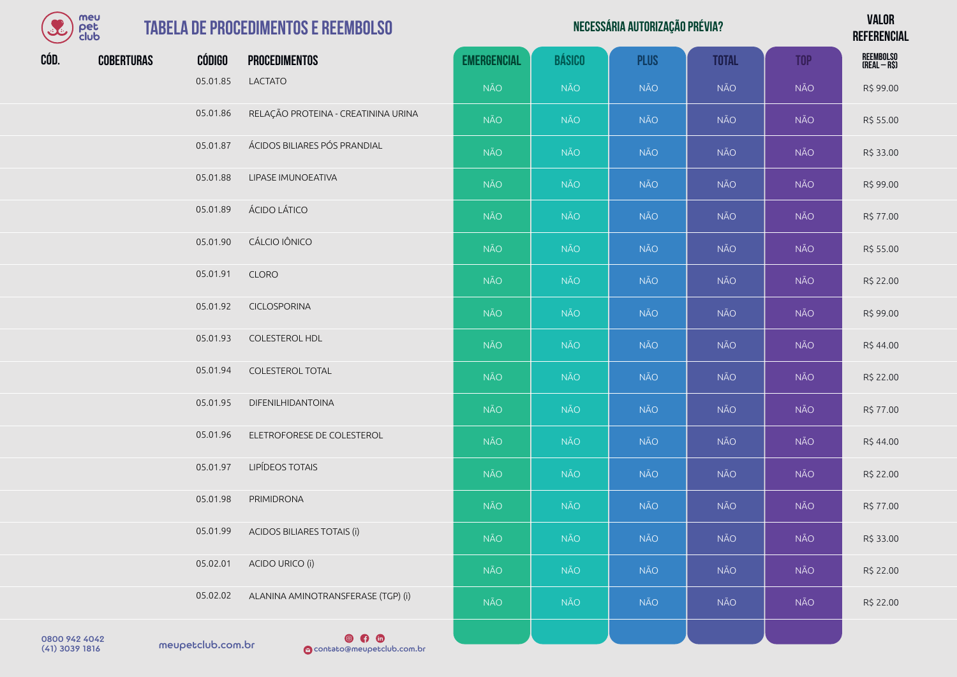| meu      |
|----------|
| er       |
| lub<br>٦ |

| meu<br>$\mathcal{L}$<br>pet<br>club |                   |          | <b>TABELA DE PROCEDIMENTOS E REEMBOLSO</b> |                    | <b>VALOR</b><br><b>REFERENCIAL</b> |             |              |            |                           |
|-------------------------------------|-------------------|----------|--------------------------------------------|--------------------|------------------------------------|-------------|--------------|------------|---------------------------|
| CÓD.                                | <b>COBERTURAS</b> | CÓDIGO   | <b>PROCEDIMENTOS</b>                       | <b>EMERGENCIAL</b> | <b>BÁSICO</b>                      | <b>PLUS</b> | <b>TOTAL</b> | <b>TOP</b> | REEMBOLSO<br>(Real – R\$) |
|                                     |                   | 05.01.85 | <b>LACTATO</b>                             | <b>NÃO</b>         | <b>NÃO</b>                         | <b>NÃO</b>  | <b>NÃO</b>   | NÃO        | R\$99.00                  |
|                                     |                   | 05.01.86 | RELAÇÃO PROTEINA - CREATININA URINA        | <b>NÃO</b>         | <b>NÃO</b>                         | NÃO         | <b>NÃO</b>   | NÃO        | R\$ 55.00                 |
|                                     |                   | 05.01.87 | ÁCIDOS BILIARES PÓS PRANDIAL               | <b>NÃO</b>         | <b>NÃO</b>                         | <b>NÃO</b>  | <b>NÃO</b>   | NÃO        | R\$ 33.00                 |
|                                     |                   | 05.01.88 | LIPASE IMUNOEATIVA                         | <b>NÃO</b>         | <b>NÃO</b>                         | <b>NÃO</b>  | <b>NÃO</b>   | NÃO        | R\$ 99.00                 |
|                                     |                   | 05.01.89 | ÁCIDO LÁTICO                               | <b>NÃO</b>         | <b>NÃO</b>                         | <b>NÃO</b>  | <b>NÃO</b>   | NÃO        | R\$ 77.00                 |
|                                     |                   | 05.01.90 | CÁLCIO IÔNICO                              | <b>NÃO</b>         | <b>NÃO</b>                         | NÃO         | <b>NÃO</b>   | NÃO        | R\$ 55.00                 |
|                                     |                   | 05.01.91 | <b>CLORO</b>                               | <b>NÃO</b>         | <b>NÃO</b>                         | <b>NÃO</b>  | <b>NÃO</b>   | NÃO        | R\$ 22.00                 |
|                                     |                   | 05.01.92 | <b>CICLOSPORINA</b>                        | <b>NÃO</b>         | <b>NÃO</b>                         | NÃO         | <b>NÃO</b>   | NÃO        | R\$ 99.00                 |
|                                     |                   | 05.01.93 | <b>COLESTEROL HDL</b>                      | <b>NÃO</b>         | <b>NÃO</b>                         | NÃO         | <b>NÃO</b>   | NÃO        | R\$44.00                  |
|                                     |                   | 05.01.94 | COLESTEROL TOTAL                           | <b>NÃO</b>         | <b>NÃO</b>                         | NÃO         | <b>NÃO</b>   | NÃO        | R\$ 22.00                 |
|                                     |                   | 05.01.95 | <b>DIFENILHIDANTOINA</b>                   | NÃO                | <b>NÃO</b>                         | NÃO         | <b>NÃO</b>   | NÃO        | R\$ 77.00                 |

05.01.96 ELETROFORESE DE COLESTEROL NÃO NÃO NÃO NÃO NÃO R\$ 44.00 05.01.97 LIPÍDEOS TOTAIS NÃO NÃO NÃO NÃO NÃO R\$ 22.00 05.01.98 PRIMIDRONA NÃO NÃO NÃO NÃO NÃO R\$ 77.00 05.01.99 ACIDOS BILIARES TOTAIS (i) NÃO │ NÃO │ NÃO │ NÃO │ NÃO │ NÃO │ NÃO R\$ 33.00 05.02.01 ACIDO URICO (i) NÃO NÃO NÃO NÃO NÃO NÃO R\$ 22.00 05.02.02 ALANINA AMINOTRANSFERASE (TGP) (i) NÃO NÃO NÃO NÃO NÃO NÃO NÃO NÃO R\$ 22.00

0800 942 4042<br>(41) 3039 1816 meupetclub.com.br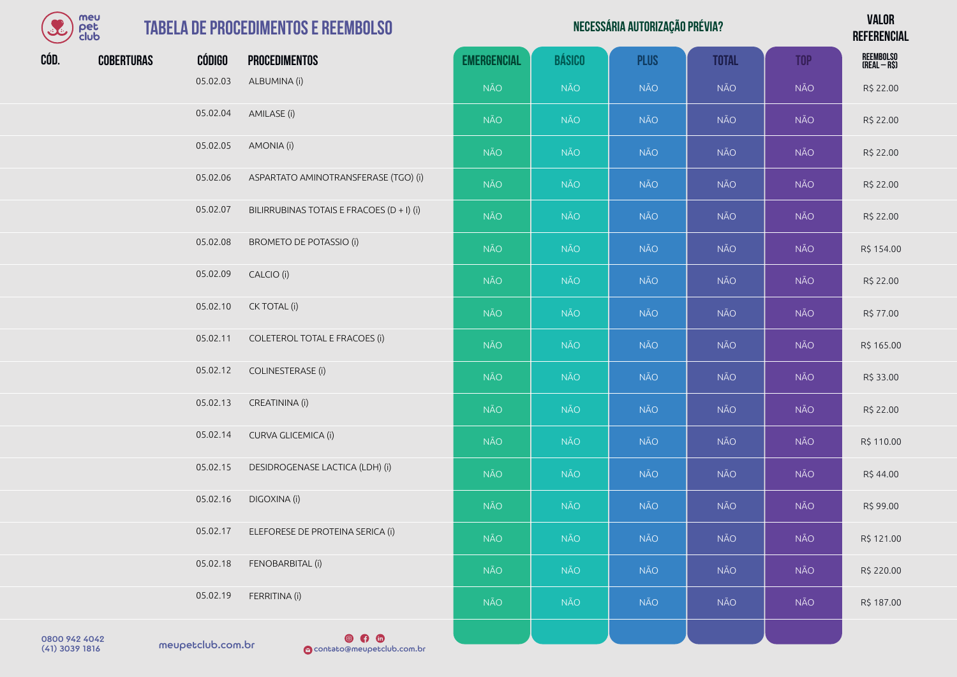| $\mathcal{L}$ | meu<br>pet<br>club |          | <b>TABELA DE PROCEDIMENTOS E REEMBOLSO</b> |                    |               | NECESSÁRIA AUTORIZAÇÃO PRÉVIA? |              |            | <b>VALOR</b><br><b>REFERENCIAL</b> |
|---------------|--------------------|----------|--------------------------------------------|--------------------|---------------|--------------------------------|--------------|------------|------------------------------------|
| CÓD.          | <b>COBERTURAS</b>  | CÓDIGO   | <b>PROCEDIMENTOS</b>                       | <b>EMERGENCIAL</b> | <b>BÁSICO</b> | <b>PLUS</b>                    | <b>TOTAL</b> | <b>TOP</b> | REEMBOLSO<br>(Real – R\$)          |
|               |                    | 05.02.03 | ALBUMINA (i)                               | <b>NÃO</b>         | <b>NÃO</b>    | <b>NÃO</b>                     | NÃO          | <b>NÃO</b> | R\$ 22.00                          |
|               |                    | 05.02.04 | AMILASE (i)                                | <b>NÃO</b>         | <b>NÃO</b>    | <b>NÃO</b>                     | <b>NÃO</b>   | <b>NÃO</b> | R\$ 22.00                          |
|               |                    | 05.02.05 | AMONIA (i)                                 | <b>NÃO</b>         | <b>NÃO</b>    | <b>NÃO</b>                     | NÃO          | <b>NÃO</b> | R\$ 22.00                          |
|               |                    | 05.02.06 | ASPARTATO AMINOTRANSFERASE (TGO) (i)       | <b>NÃO</b>         | <b>NÃO</b>    | <b>NÃO</b>                     | <b>NÃO</b>   | <b>NÃO</b> | R\$ 22.00                          |
|               |                    | 05.02.07 | BILIRRUBINAS TOTAIS E FRACOES (D + I) (i)  | <b>NÃO</b>         | <b>NÃO</b>    | <b>NÃO</b>                     | <b>NÃO</b>   | NÃO        | R\$ 22.00                          |
|               |                    | 05.02.08 | <b>BROMETO DE POTASSIO (i)</b>             | <b>NÃO</b>         | <b>NÃO</b>    | <b>NÃO</b>                     | NÃO          | <b>NÃO</b> | R\$ 154.00                         |
|               |                    | 05.02.09 | CALCIO (i)                                 | <b>NÃO</b>         | <b>NÃO</b>    | <b>NÃO</b>                     | <b>NÃO</b>   | <b>NÃO</b> | R\$ 22.00                          |
|               |                    | 05.02.10 | CK TOTAL (i)                               | <b>NÃO</b>         | <b>NÃO</b>    | <b>NÃO</b>                     | NÃO          | <b>NÃO</b> | R\$ 77.00                          |
|               |                    | 05.02.11 | COLETEROL TOTAL E FRACOES (i)              | <b>NÃO</b>         | <b>NÃO</b>    | <b>NÃO</b>                     | <b>NÃO</b>   | <b>NÃO</b> | R\$ 165.00                         |
|               |                    | 05.02.12 | COLINESTERASE (i)                          | NÃO                | <b>NÃO</b>    | <b>NÃO</b>                     | NÃO          | <b>NÃO</b> | R\$ 33.00                          |
|               |                    | 05.02.13 | CREATININA (i)                             | <b>NÃO</b>         | <b>NÃO</b>    | <b>NÃO</b>                     | <b>NÃO</b>   | <b>NÃO</b> | R\$ 22.00                          |
|               |                    | 05.02.14 | CURVA GLICEMICA (i)                        | <b>NÃO</b>         | <b>NÃO</b>    | NÃO                            | <b>NÃO</b>   | <b>NÃO</b> | R\$ 110.00                         |
|               |                    | 05.02.15 | DESIDROGENASE LACTICA (LDH) (i)            | <b>NÃO</b>         | <b>NÃO</b>    | <b>NÃO</b>                     | NÃO          | <b>NÃO</b> | R\$44.00                           |
|               |                    | 05.02.16 | DIGOXINA (i)                               | NÃO                | <b>NÃO</b>    | <b>NÃO</b>                     | <b>NÃO</b>   | <b>NÃO</b> | R\$ 99.00                          |
|               |                    | 05.02.17 | ELEFORESE DE PROTEINA SERICA (i)           | <b>NÃO</b>         | <b>NÃO</b>    | <b>NÃO</b>                     | NÃO          | <b>NÃO</b> | R\$ 121.00                         |
|               |                    | 05.02.18 | FENOBARBITAL (i)                           | NÃO                | <b>NÃO</b>    | <b>NÃO</b>                     | <b>NÃO</b>   | <b>NÃO</b> | R\$ 220.00                         |
|               |                    | 05.02.19 | FERRITINA (i)                              | <b>NÃO</b>         | <b>NÃO</b>    | <b>NÃO</b>                     | <b>NÃO</b>   | NÃO        | R\$ 187.00                         |
|               |                    |          |                                            |                    |               |                                |              |            |                                    |

0800 942 4042<br>(41) 3039 1816 meupetclub.com.br

**OCO CO**<br>**O**contato@meupetclub.com.br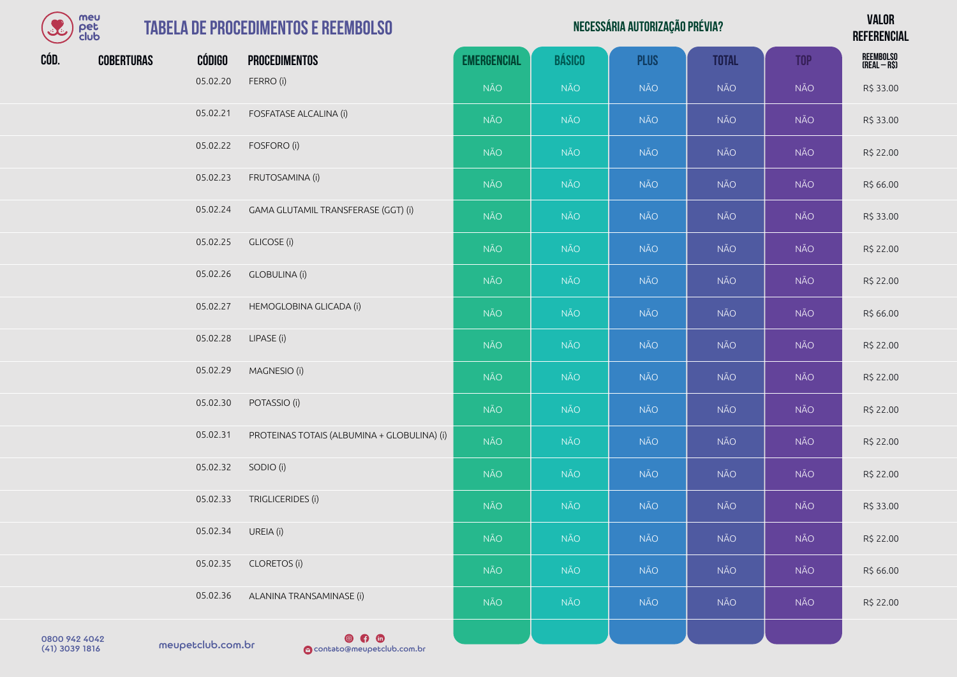| BE   | meu<br>pet<br>club |               | <b>TABELA DE PROCEDIMENTOS E REEMBOLSO</b>  |                    |               | NECESSÁRIA AUTORIZAÇÃO PRÉVIA? |              |            | <b>VALOR</b><br><b>REFERENCIAL</b> |
|------|--------------------|---------------|---------------------------------------------|--------------------|---------------|--------------------------------|--------------|------------|------------------------------------|
| CÓD. | <b>COBERTURAS</b>  | <b>CÓDIGO</b> | <b>PROCEDIMENTOS</b>                        | <b>EMERGENCIAL</b> | <b>BÁSICO</b> | <b>PLUS</b>                    | <b>TOTAL</b> | <b>TOP</b> | REEMBOLSO<br>(Real – R\$)          |
|      |                    | 05.02.20      | FERRO (i)                                   | <b>NÃO</b>         | <b>NÃO</b>    | <b>NÃO</b>                     | <b>NÃO</b>   | <b>NÃO</b> | R\$ 33.00                          |
|      |                    | 05.02.21      | FOSFATASE ALCALINA (i)                      | <b>NÃO</b>         | <b>NÃO</b>    | <b>NÃO</b>                     | <b>NÃO</b>   | NÃO        | R\$ 33.00                          |
|      |                    | 05.02.22      | FOSFORO (i)                                 | <b>NÃO</b>         | <b>NÃO</b>    | <b>NÃO</b>                     | <b>NÃO</b>   | NÃO        | R\$ 22.00                          |
|      |                    | 05.02.23      | FRUTOSAMINA (i)                             | <b>NÃO</b>         | <b>NÃO</b>    | <b>NÃO</b>                     | <b>NÃO</b>   | <b>NÃO</b> | R\$ 66.00                          |
|      |                    | 05.02.24      | GAMA GLUTAMIL TRANSFERASE (GGT) (i)         | <b>NÃO</b>         | <b>NÃO</b>    | <b>NÃO</b>                     | <b>NÃO</b>   | NÃO        | R\$ 33.00                          |
|      |                    | 05.02.25      | <b>GLICOSE</b> (i)                          | <b>NÃO</b>         | <b>NÃO</b>    | <b>NÃO</b>                     | <b>NÃO</b>   | <b>NÃO</b> | R\$ 22.00                          |
|      |                    | 05.02.26      | <b>GLOBULINA (i)</b>                        | <b>NÃO</b>         | <b>NÃO</b>    | NÃO                            | <b>NÃO</b>   | NÃO        | R\$ 22.00                          |
|      |                    | 05.02.27      | HEMOGLOBINA GLICADA (i)                     | <b>NÃO</b>         | <b>NÃO</b>    | <b>NÃO</b>                     | <b>NÃO</b>   | <b>NÃO</b> | R\$ 66.00                          |
|      |                    | 05.02.28      | LIPASE (i)                                  | <b>NÃO</b>         | <b>NÃO</b>    | NÃO                            | <b>NÃO</b>   | NÃO        | R\$ 22.00                          |
|      |                    | 05.02.29      | MAGNESIO (i)                                | <b>NÃO</b>         | <b>NÃO</b>    | <b>NÃO</b>                     | <b>NÃO</b>   | NÃO        | R\$ 22.00                          |
|      |                    | 05.02.30      | POTASSIO (i)                                | <b>NÃO</b>         | <b>NÃO</b>    | <b>NÃO</b>                     | <b>NÃO</b>   | NÃO        | R\$ 22.00                          |
|      |                    | 05.02.31      | PROTEINAS TOTAIS (ALBUMINA + GLOBULINA) (i) | <b>NÃO</b>         | <b>NÃO</b>    | <b>NÃO</b>                     | <b>NÃO</b>   | NÃO        | R\$ 22.00                          |
|      |                    | 05.02.32      | SODIO (i)                                   | <b>NÃO</b>         | <b>NÃO</b>    | <b>NÃO</b>                     | <b>NÃO</b>   | <b>NÃO</b> | R\$ 22.00                          |
|      |                    | 05.02.33      | TRIGLICERIDES (i)                           | <b>NÃO</b>         | <b>NÃO</b>    | NÃO                            | <b>NÃO</b>   | NÃO        | R\$ 33.00                          |
|      |                    | 05.02.34      | UREIA (i)                                   | <b>NÃO</b>         | <b>NÃO</b>    | <b>NÃO</b>                     | <b>NÃO</b>   | <b>NÃO</b> | R\$ 22.00                          |
|      |                    | 05.02.35      | <b>CLORETOS (i)</b>                         | <b>NÃO</b>         | <b>NÃO</b>    | <b>NÃO</b>                     | <b>NÃO</b>   | NÃO        | R\$ 66.00                          |
|      |                    | 05.02.36      | ALANINA TRANSAMINASE (i)                    | <b>NÃO</b>         | <b>NÃO</b>    | <b>NÃO</b>                     | <b>NÃO</b>   | NÃO        | R\$ 22.00                          |
|      |                    |               |                                             |                    |               |                                |              |            |                                    |

0800 942 4042<br>(41) 3039 1816 meupetclub.com.br

**COMPTE CONTENT**<br> **O** contato@meupetclub.com.br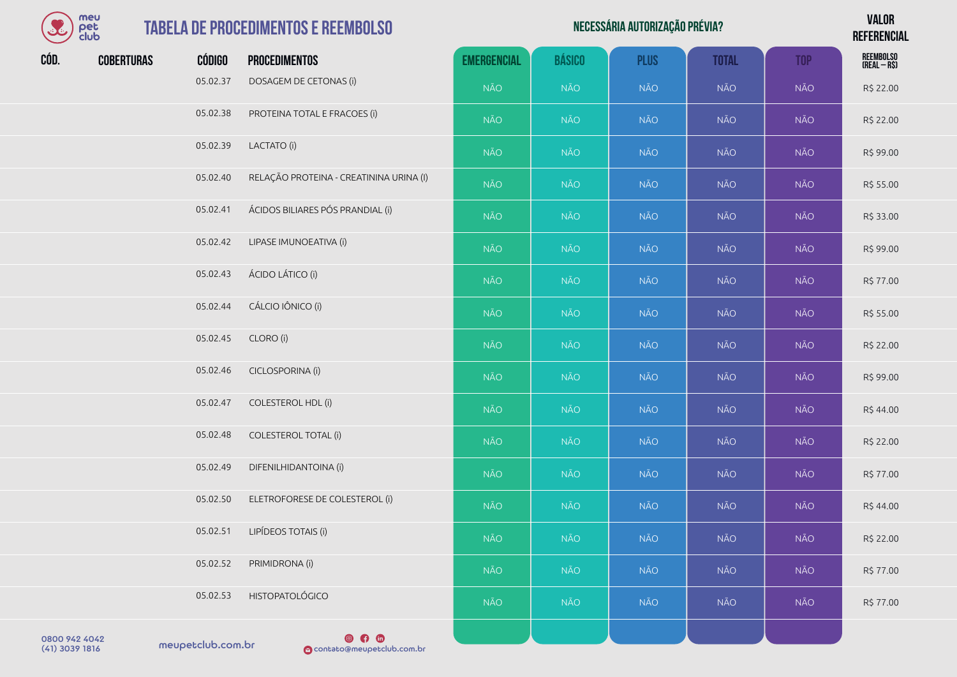| meu      |
|----------|
| I≏F      |
| lub<br>м |

## **TABELA DE PROCEDIMENTO**

| S    | meu<br>pet<br>club |               | <b>TABELA DE PROCEDIMENTOS E REEMBOLSO</b> |                    |               | NECESSÁRIA AUTORIZAÇÃO PRÉVIA? |              |            | <b>VALOR</b><br><b>REFERENCIAL</b> |
|------|--------------------|---------------|--------------------------------------------|--------------------|---------------|--------------------------------|--------------|------------|------------------------------------|
| CÓD. | <b>COBERTURAS</b>  | <b>CÓDIGO</b> | <b>PROCEDIMENTOS</b>                       | <b>EMERGENCIAL</b> | <b>BÁSICO</b> | <b>PLUS</b>                    | <b>TOTAL</b> | <b>TOP</b> | REEMBOLSO<br>(Real – R\$)          |
|      |                    | 05.02.37      | DOSAGEM DE CETONAS (i)                     | NÃO                | NÃO           | NÃO                            | NÃO          | NÃO        | R\$ 22.00                          |
|      |                    | 05.02.38      | PROTEINA TOTAL E FRACOES (i)               | NÃO                | <b>NÃO</b>    | <b>NÃO</b>                     | NÃO          | NÃO        | R\$ 22.00                          |
|      |                    | 05.02.39      | LACTATO (i)                                | NÃO                | NÃO           | <b>NÃO</b>                     | NÃO          | NÃO        | R\$ 99.00                          |
|      |                    | 05.02.40      | RELAÇÃO PROTEINA - CREATININA URINA (I)    | NÃO                | <b>NÃO</b>    | NÃO                            | NÃO          | NÃO        | R\$ 55.00                          |
|      |                    | 05.02.41      | ÁCIDOS BILIARES PÓS PRANDIAL (i)           | NÃO                | <b>NÃO</b>    | <b>NÃO</b>                     | <b>NÃO</b>   | <b>NÃO</b> | R\$ 33.00                          |
|      |                    | 05.02.42      | LIPASE IMUNOEATIVA (i)                     | NÃO                | NÃO           | <b>NÃO</b>                     | NÃO          | <b>NÃO</b> | R\$ 99.00                          |
|      |                    | 05.02.43      | ÁCIDO LÁTICO (i)                           | NÃO                | <b>NÃO</b>    | NÃO                            | NÃO          | NÃO        | R\$ 77.00                          |
|      |                    | 05.02.44      | CÁLCIO IÔNICO (i)                          | NÃO                | <b>NÃO</b>    | <b>NÃO</b>                     | <b>NÃO</b>   | <b>NÃO</b> | R\$ 55.00                          |
|      |                    | 05.02.45      | CLORO (i)                                  | <b>NÃO</b>         | <b>NÃO</b>    | NÃO                            | NÃO          | <b>NÃO</b> | R\$ 22.00                          |
|      |                    | 05.02.46      | CICLOSPORINA (i)                           | NÃO                | <b>NÃO</b>    | <b>NÃO</b>                     | NÃO          | <b>NÃO</b> | R\$ 99.00                          |
|      |                    | 05.02.47      | <b>COLESTEROL HDL (i)</b>                  | NÃO                | <b>NÃO</b>    | <b>NÃO</b>                     | NÃO          | NÃO        | R\$ 44.00                          |
|      |                    | 05.02.48      | COLESTEROL TOTAL (i)                       | NÃO                | <b>NÃO</b>    | <b>NÃO</b>                     | <b>NÃO</b>   | <b>NÃO</b> | R\$ 22.00                          |
|      |                    | 05.02.49      | DIFENILHIDANTOINA (i)                      | NÃO                | <b>NÃO</b>    | <b>NÃO</b>                     | NÃO          | NÃO        | R\$ 77.00                          |
|      |                    | 05.02.50      | ELETROFORESE DE COLESTEROL (i)             | <b>NÃO</b>         | <b>NÃO</b>    | <b>NÃO</b>                     | <b>NÃO</b>   | <b>NÃO</b> | R\$44.00                           |
|      |                    | 05.02.51      | LIPÍDEOS TOTAIS (i)                        | <b>NÃO</b>         | NÃO           | <b>NÃO</b>                     | <b>NÃO</b>   | NÃO        | R\$ 22.00                          |
|      |                    | 05.02.52      | PRIMIDRONA (i)                             | <b>NÃO</b>         | NÃO           | <b>NÃO</b>                     | <b>NÃO</b>   | <b>NÃO</b> | R\$ 77.00                          |
|      |                    | 05.02.53      | <b>HISTOPATOLÓGICO</b>                     | <b>NÃO</b>         | <b>NÃO</b>    | <b>NÃO</b>                     | <b>NÃO</b>   | NÃO        | R\$ 77.00                          |
|      |                    |               |                                            |                    |               |                                |              |            |                                    |

0800 942 4042<br>(41) 3039 1816 meupetclub.com.br

 $\n **④**\n **④**\n **④**\n **③**\n **③**\n **③**\n **③**\n **③**\n **③**\n **③**\n **③**\n **③**\n **③**\n **③**\n **③**\n **③**\n **③**\n **③**\n **③**\n **③**\n **③**\n **③**\$ (41) 3039 1816 contato@meupetclub.com.br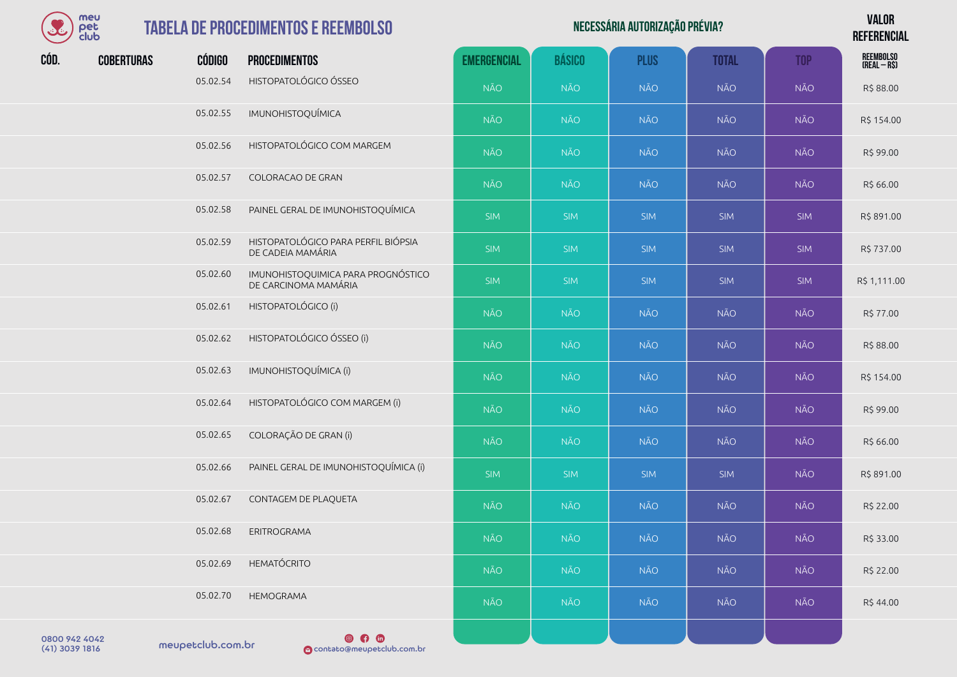| meu  |
|------|
| Υ≏Г  |
| club |

#### **TABELA DE PROCEDIMENTOS**

| <b>COLE</b> | meu<br>pet<br>club |               | <b>TABELA DE PROCEDIMENTOS E REEMBOLSO</b>                 |                    |               | <b>VALOR</b><br><b>REFERENCIAL</b> |              |            |                           |
|-------------|--------------------|---------------|------------------------------------------------------------|--------------------|---------------|------------------------------------|--------------|------------|---------------------------|
| CÓD.        | <b>COBERTURAS</b>  | <b>CÓDIGO</b> | <b>PROCEDIMENTOS</b>                                       | <b>EMERGENCIAL</b> | <b>BÁSICO</b> | <b>PLUS</b>                        | <b>TOTAL</b> | <b>TOP</b> | REEMBOLSO<br>(Real – R\$) |
|             |                    | 05.02.54      | HISTOPATOLÓGICO ÓSSEO                                      | <b>NÃO</b>         | <b>NÃO</b>    | <b>NÃO</b>                         | <b>NÃO</b>   | <b>NÃO</b> | R\$ 88.00                 |
|             |                    | 05.02.55      | IMUNOHISTOQUÍMICA                                          | <b>NÃO</b>         | <b>NÃO</b>    | <b>NÃO</b>                         | <b>NÃO</b>   | NÃO        | R\$ 154.00                |
|             |                    | 05.02.56      | HISTOPATOLÓGICO COM MARGEM                                 | <b>NÃO</b>         | <b>NÃO</b>    | <b>NÃO</b>                         | <b>NÃO</b>   | <b>NÃO</b> | R\$ 99.00                 |
|             |                    | 05.02.57      | COLORACAO DE GRAN                                          | <b>NÃO</b>         | <b>NÃO</b>    | <b>NÃO</b>                         | NÃO          | NÃO        | R\$ 66.00                 |
|             |                    | 05.02.58      | PAINEL GERAL DE IMUNOHISTOQUÍMICA                          | <b>SIM</b>         | SIM           | <b>SIM</b>                         | <b>SIM</b>   | <b>SIM</b> | R\$ 891.00                |
|             |                    | 05.02.59      | HISTOPATOLÓGICO PARA PERFIL BIÓPSIA<br>DE CADEIA MAMÁRIA   | <b>SIM</b>         | SIM           | <b>SIM</b>                         | <b>SIM</b>   | <b>SIM</b> | R\$737.00                 |
|             |                    | 05.02.60      | IMUNOHISTOQUIMICA PARA PROGNÓSTICO<br>DE CARCINOMA MAMÁRIA | SIM                | SIM           | <b>SIM</b>                         | <b>SIM</b>   | <b>SIM</b> | R\$ 1,111.00              |
|             |                    | 05.02.61      | HISTOPATOLÓGICO (i)                                        | <b>NÃO</b>         | <b>NÃO</b>    | <b>NÃO</b>                         | <b>NÃO</b>   | <b>NÃO</b> | R\$ 77.00                 |
|             |                    | 05.02.62      | HISTOPATOLÓGICO ÓSSEO (i)                                  | <b>NÃO</b>         | <b>NÃO</b>    | <b>NÃO</b>                         | <b>NÃO</b>   | <b>NÃO</b> | R\$ 88.00                 |
|             |                    | 05.02.63      | IMUNOHISTOQUÍMICA (i)                                      | <b>NÃO</b>         | <b>NÃO</b>    | <b>NÃO</b>                         | <b>NÃO</b>   | <b>NÃO</b> | R\$ 154.00                |
|             |                    | 05.02.64      | HISTOPATOLÓGICO COM MARGEM (i)                             | <b>NÃO</b>         | <b>NÃO</b>    | <b>NÃO</b>                         | <b>NÃO</b>   | <b>NÃO</b> | R\$ 99.00                 |
|             |                    | 05.02.65      | COLORAÇÃO DE GRAN (i)                                      | <b>NÃO</b>         | <b>NÃO</b>    | <b>NÃO</b>                         | <b>NÃO</b>   | <b>NÃO</b> | R\$ 66.00                 |
|             |                    | 05.02.66      | PAINEL GERAL DE IMUNOHISTOQUÍMICA (i)                      | SIM                | <b>SIM</b>    | <b>SIM</b>                         | <b>SIM</b>   | <b>NÃO</b> | R\$ 891.00                |
|             |                    | 05.02.67      | CONTAGEM DE PLAQUETA                                       | <b>NÃO</b>         | <b>NÃO</b>    | <b>NÃO</b>                         | <b>NÃO</b>   | <b>NÃO</b> | R\$ 22.00                 |
|             |                    | 05.02.68      | ERITROGRAMA                                                | <b>NÃO</b>         | <b>NÃO</b>    | <b>NÃO</b>                         | <b>NÃO</b>   | <b>NÃO</b> | R\$ 33.00                 |
|             |                    | 05.02.69      | <b>HEMATÓCRITO</b>                                         | <b>NÃO</b>         | NÃO           | NÃO                                | <b>NÃO</b>   | <b>NÃO</b> | R\$ 22.00                 |
|             |                    | 05.02.70      | HEMOGRAMA                                                  | <b>NÃO</b>         | <b>NÃO</b>    | <b>NÃO</b>                         | <b>NÃO</b>   | <b>NÃO</b> | R\$44.00                  |
|             |                    |               |                                                            |                    |               |                                    |              |            |                           |

meupetclub.com.br 0800 942 4042

 $\n **④**\n **①**\n$ (41) 3039 1816 contato@meupetclub.com.br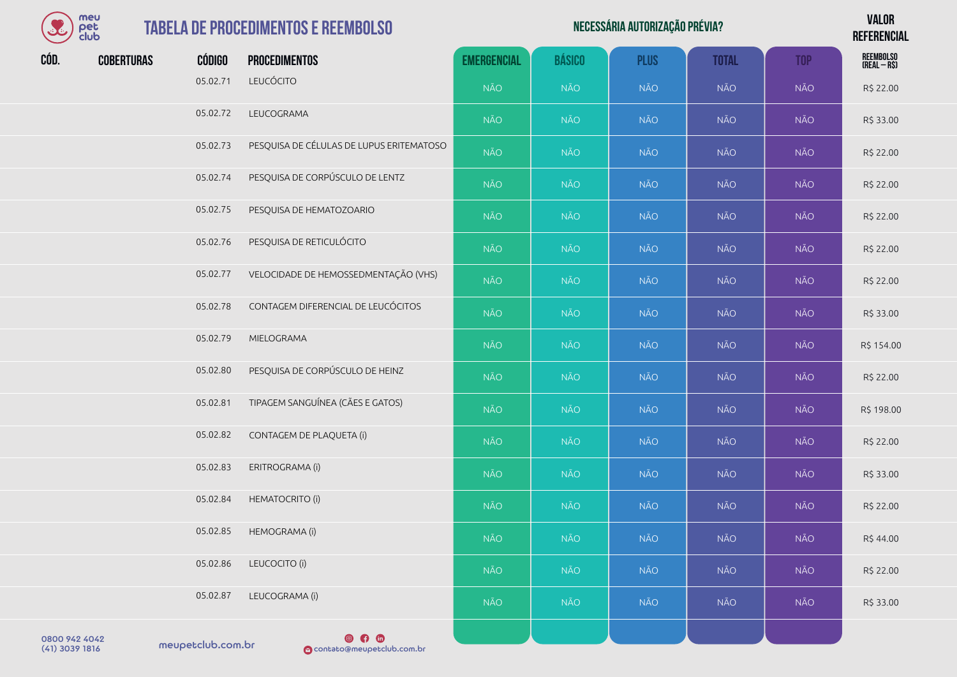| mei        |
|------------|
| el         |
| lt il<br>н |

| NECESSÁRIA AUTORIZAÇÃO PRÉVIA? | <b>VALOR</b>    |
|--------------------------------|-----------------|
|                                | <b>REFERENC</b> |

**REFERENCIAL**

|      |                   |               |                                          |                    |               |             |              |            | <b>ILLI LIILIVIAL</b>     |
|------|-------------------|---------------|------------------------------------------|--------------------|---------------|-------------|--------------|------------|---------------------------|
| CÓD. | <b>COBERTURAS</b> | <b>CÓDIGO</b> | <b>PROCEDIMENTOS</b>                     | <b>EMERGENCIAL</b> | <b>BÁSICO</b> | <b>PLUS</b> | <b>TOTAL</b> | <b>TOP</b> | REEMBOLSO<br>(REAL – R\$) |
|      |                   | 05.02.71      | LEUCÓCITO                                | NÃO                | NÃO           | <b>NÃO</b>  | <b>NÃO</b>   | <b>NÃO</b> | R\$ 22.00                 |
|      |                   | 05.02.72      | LEUCOGRAMA                               | <b>NÃO</b>         | <b>NÃO</b>    | <b>NÃO</b>  | <b>NÃO</b>   | <b>NÃO</b> | R\$ 33.00                 |
|      |                   | 05.02.73      | PESQUISA DE CÉLULAS DE LUPUS ERITEMATOSO | <b>NÃO</b>         | <b>NÃO</b>    | <b>NÃO</b>  | <b>NÃO</b>   | <b>NÃO</b> | R\$ 22.00                 |
|      |                   | 05.02.74      | PESQUISA DE CORPÚSCULO DE LENTZ          | NÃO                | <b>NÃO</b>    | <b>NÃO</b>  | <b>NÃO</b>   | <b>NÃO</b> | R\$ 22.00                 |
|      |                   | 05.02.75      | PESQUISA DE HEMATOZOARIO                 | <b>NÃO</b>         | NÃO           | <b>NÃO</b>  | <b>NÃO</b>   | NÃO        | R\$ 22.00                 |
|      |                   | 05.02.76      | PESQUISA DE RETICULÓCITO                 | <b>NÃO</b>         | NÃO           | NÃO         | NÃO          | NÃO        | R\$ 22.00                 |
|      |                   | 05.02.77      | VELOCIDADE DE HEMOSSEDMENTAÇÃO (VHS)     | <b>NÃO</b>         | <b>NÃO</b>    | NÃO         | <b>NÃO</b>   | NÃO        | R\$ 22.00                 |
|      |                   | 05.02.78      | CONTAGEM DIFERENCIAL DE LEUCÓCITOS       | <b>NÃO</b>         | <b>NÃO</b>    | NÃO         | <b>NÃO</b>   | NÃO        | R\$ 33.00                 |
|      |                   | 05.02.79      | MIELOGRAMA                               | <b>NÃO</b>         | <b>NÃO</b>    | <b>NÃO</b>  | <b>NÃO</b>   | <b>NÃO</b> | R\$ 154.00                |
|      |                   | 05.02.80      | PESQUISA DE CORPÚSCULO DE HEINZ          | <b>NÃO</b>         | <b>NÃO</b>    | <b>NÃO</b>  | <b>NÃO</b>   | <b>NÃO</b> | R\$ 22.00                 |
|      |                   | 05.02.81      | TIPAGEM SANGUÍNEA (CÃES E GATOS)         | <b>NÃO</b>         | <b>NÃO</b>    | NÃO         | NÃO.         | NÃO        | R\$ 198.00                |
|      |                   | 05.02.82      | CONTAGEM DE PLAQUETA (i)                 | <b>NÃO</b>         | NÃO           | NÃO         | <b>NÃO</b>   | <b>NÃO</b> | R\$ 22.00                 |
|      |                   | 05.02.83      | ERITROGRAMA (i)                          | <b>NÃO</b>         | NÃO           | <b>NÃO</b>  | <b>NÃO</b>   | <b>NÃO</b> | R\$ 33.00                 |
|      |                   | 05.02.84      | <b>HEMATOCRITO (i)</b>                   | <b>NÃO</b>         | <b>NÃO</b>    | <b>NÃO</b>  | <b>NÃO</b>   | <b>NÃO</b> | R\$ 22.00                 |
|      |                   | 05.02.85      | HEMOGRAMA (i)                            | NÃO.               | <b>NÃO</b>    | NÃO         | NÃO          | NÃO        | R\$ 44.00                 |
|      |                   | 05.02.86      | LEUCOCITO (i)                            | <b>NÃO</b>         | <b>NÃO</b>    | <b>NÃO</b>  | <b>NÃO</b>   | NÃO        | R\$ 22.00                 |
|      |                   | 05.02.87      | LEUCOGRAMA (i)                           | <b>NÃO</b>         | <b>NÃO</b>    | <b>NÃO</b>  | <b>NÃO</b>   | NÃO        | R\$ 33.00                 |
|      |                   |               |                                          |                    |               |             |              |            |                           |

0800 942 4042<br>(41) 3039 1816 meupetclub.com.br

 $\n **④**\n **④**\n **④**\n **③**\n **③**\n **③**\n **③**\n **③**\n **③**\n **③**\n **③**\n **③**\n **③**\n **③**\n **③**\n **③**\n **③**\n **③**\n **③**\n **③**\n **③**\n **③**\$ (41) 3039 1816 contato@meupetclub.com.br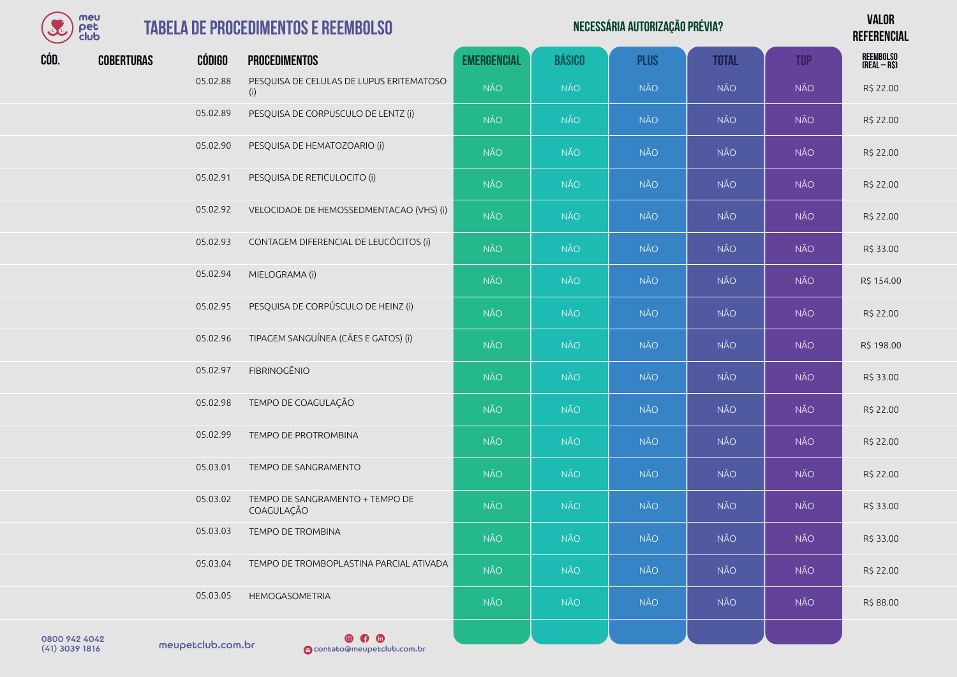

#### **TABELA DE PROCEDIMENTOS E REEM**

| <b>REEMBOLSO</b><br>CÓD.<br><b>CÓDIGO</b><br><b>EMERGENCIAL</b><br><b>BÁSICO</b><br><b>PLUS</b><br><b>COBERTURAS</b><br><b>TOTAL</b><br><b>TOP</b><br><b>PROCEDIMENTOS</b><br>(REAL - R\$)<br>05.02.88<br>PESQUISA DE CELULAS DE LUPUS ERITEMATOSO<br><b>NÃO</b><br><b>NÃO</b><br><b>NÃO</b><br>NÃO<br><b>NÃO</b><br>R\$ 22.00<br>(i)<br>05.02.89<br>PESQUISA DE CORPUSCULO DE LENTZ (i)<br><b>NÃO</b><br><b>NÃO</b><br>NÃO<br><b>NÃO</b><br><b>NÃO</b><br>R\$ 22.00<br>05.02.90<br>PESQUISA DE HEMATOZOARIO (i)<br><b>NÃO</b><br>NÃO<br><b>NÃO</b><br><b>NÃO</b><br><b>NÃO</b><br>R\$ 22.00<br>05.02.91<br>PESQUISA DE RETICULOCITO (i)<br><b>NÃO</b><br><b>NÃO</b><br><b>NÃO</b><br><b>NÃO</b><br><b>NÃO</b><br>R\$ 22.00<br>05.02.92<br>VELOCIDADE DE HEMOSSEDMENTACAO (VHS) (i)<br><b>NÃO</b><br><b>NÃO</b><br><b>NÃO</b><br><b>NÃO</b><br><b>NÃO</b><br>R\$ 22.00<br>05.02.93<br>CONTAGEM DIFERENCIAL DE LEUCÓCITOS (i)<br><b>NÃO</b><br>NÃO<br><b>NÃO</b><br>NÃO<br>NÃO<br>R\$ 33.00<br>05.02.94<br>MIELOGRAMA (i)<br>NÃO<br><b>NÃO</b><br><b>NÃO</b><br>NÃO<br><b>NÃO</b><br>R\$ 154.00<br>PESQUISA DE CORPÚSCULO DE HEINZ (i)<br>05.02.95<br><b>NÃO</b><br><b>NÃO</b><br>NÃO<br><b>NÃO</b><br><b>NÃO</b><br>R\$ 22.00<br>TIPAGEM SANGUÍNEA (CÃES E GATOS) (i)<br>05.02.96<br><b>NÃO</b><br><b>NÃO</b><br><b>NÃO</b><br><b>NÃO</b><br><b>NÃO</b><br>R\$ 198.00<br>FIBRINOGÊNIO<br>05.02.97<br><b>NÃO</b><br>NÃO<br><b>NÃO</b><br>NÃO<br><b>NÃO</b><br>R\$ 33.00<br>TEMPO DE COAGULAÇÃO<br>05.02.98<br><b>NÃO</b><br><b>NÃO</b><br><b>NÃO</b><br>NÃO<br><b>NÃO</b><br>R\$ 22.00<br>05.02.99<br>TEMPO DE PROTROMBINA<br>NÃO<br><b>NÃO</b><br><b>NÃO</b><br><b>NÃO</b><br><b>NÃO</b><br>R\$ 22.00<br>05.03.01<br>TEMPO DE SANGRAMENTO<br><b>NÃO</b><br><b>NÃO</b><br><b>NÃO</b><br><b>NÃO</b><br><b>NÃO</b><br>R\$ 22.00<br>05.03.02<br>TEMPO DE SANGRAMENTO + TEMPO DE<br>NÃO<br><b>NÃO</b><br>NÃO<br>NÃO<br><b>NÃO</b><br>R\$ 33.00<br>COAGULAÇÃO | $\bullet$ | meu<br>pet<br>club | <b>TABELA DE PROCEDIMENTOS E REEMBOLSO</b> |  | <b>VALOR</b><br><b>REFERENCIAL</b> |  |  |
|---------------------------------------------------------------------------------------------------------------------------------------------------------------------------------------------------------------------------------------------------------------------------------------------------------------------------------------------------------------------------------------------------------------------------------------------------------------------------------------------------------------------------------------------------------------------------------------------------------------------------------------------------------------------------------------------------------------------------------------------------------------------------------------------------------------------------------------------------------------------------------------------------------------------------------------------------------------------------------------------------------------------------------------------------------------------------------------------------------------------------------------------------------------------------------------------------------------------------------------------------------------------------------------------------------------------------------------------------------------------------------------------------------------------------------------------------------------------------------------------------------------------------------------------------------------------------------------------------------------------------------------------------------------------------------------------------------------------------------------------------------------------------------------------------------------------------------------------------------------------------------------------------------------------------------------------------------|-----------|--------------------|--------------------------------------------|--|------------------------------------|--|--|
|                                                                                                                                                                                                                                                                                                                                                                                                                                                                                                                                                                                                                                                                                                                                                                                                                                                                                                                                                                                                                                                                                                                                                                                                                                                                                                                                                                                                                                                                                                                                                                                                                                                                                                                                                                                                                                                                                                                                                         |           |                    |                                            |  |                                    |  |  |
|                                                                                                                                                                                                                                                                                                                                                                                                                                                                                                                                                                                                                                                                                                                                                                                                                                                                                                                                                                                                                                                                                                                                                                                                                                                                                                                                                                                                                                                                                                                                                                                                                                                                                                                                                                                                                                                                                                                                                         |           |                    |                                            |  |                                    |  |  |
|                                                                                                                                                                                                                                                                                                                                                                                                                                                                                                                                                                                                                                                                                                                                                                                                                                                                                                                                                                                                                                                                                                                                                                                                                                                                                                                                                                                                                                                                                                                                                                                                                                                                                                                                                                                                                                                                                                                                                         |           |                    |                                            |  |                                    |  |  |
|                                                                                                                                                                                                                                                                                                                                                                                                                                                                                                                                                                                                                                                                                                                                                                                                                                                                                                                                                                                                                                                                                                                                                                                                                                                                                                                                                                                                                                                                                                                                                                                                                                                                                                                                                                                                                                                                                                                                                         |           |                    |                                            |  |                                    |  |  |
|                                                                                                                                                                                                                                                                                                                                                                                                                                                                                                                                                                                                                                                                                                                                                                                                                                                                                                                                                                                                                                                                                                                                                                                                                                                                                                                                                                                                                                                                                                                                                                                                                                                                                                                                                                                                                                                                                                                                                         |           |                    |                                            |  |                                    |  |  |
|                                                                                                                                                                                                                                                                                                                                                                                                                                                                                                                                                                                                                                                                                                                                                                                                                                                                                                                                                                                                                                                                                                                                                                                                                                                                                                                                                                                                                                                                                                                                                                                                                                                                                                                                                                                                                                                                                                                                                         |           |                    |                                            |  |                                    |  |  |
|                                                                                                                                                                                                                                                                                                                                                                                                                                                                                                                                                                                                                                                                                                                                                                                                                                                                                                                                                                                                                                                                                                                                                                                                                                                                                                                                                                                                                                                                                                                                                                                                                                                                                                                                                                                                                                                                                                                                                         |           |                    |                                            |  |                                    |  |  |
|                                                                                                                                                                                                                                                                                                                                                                                                                                                                                                                                                                                                                                                                                                                                                                                                                                                                                                                                                                                                                                                                                                                                                                                                                                                                                                                                                                                                                                                                                                                                                                                                                                                                                                                                                                                                                                                                                                                                                         |           |                    |                                            |  |                                    |  |  |
|                                                                                                                                                                                                                                                                                                                                                                                                                                                                                                                                                                                                                                                                                                                                                                                                                                                                                                                                                                                                                                                                                                                                                                                                                                                                                                                                                                                                                                                                                                                                                                                                                                                                                                                                                                                                                                                                                                                                                         |           |                    |                                            |  |                                    |  |  |
|                                                                                                                                                                                                                                                                                                                                                                                                                                                                                                                                                                                                                                                                                                                                                                                                                                                                                                                                                                                                                                                                                                                                                                                                                                                                                                                                                                                                                                                                                                                                                                                                                                                                                                                                                                                                                                                                                                                                                         |           |                    |                                            |  |                                    |  |  |
|                                                                                                                                                                                                                                                                                                                                                                                                                                                                                                                                                                                                                                                                                                                                                                                                                                                                                                                                                                                                                                                                                                                                                                                                                                                                                                                                                                                                                                                                                                                                                                                                                                                                                                                                                                                                                                                                                                                                                         |           |                    |                                            |  |                                    |  |  |
|                                                                                                                                                                                                                                                                                                                                                                                                                                                                                                                                                                                                                                                                                                                                                                                                                                                                                                                                                                                                                                                                                                                                                                                                                                                                                                                                                                                                                                                                                                                                                                                                                                                                                                                                                                                                                                                                                                                                                         |           |                    |                                            |  |                                    |  |  |
|                                                                                                                                                                                                                                                                                                                                                                                                                                                                                                                                                                                                                                                                                                                                                                                                                                                                                                                                                                                                                                                                                                                                                                                                                                                                                                                                                                                                                                                                                                                                                                                                                                                                                                                                                                                                                                                                                                                                                         |           |                    |                                            |  |                                    |  |  |
|                                                                                                                                                                                                                                                                                                                                                                                                                                                                                                                                                                                                                                                                                                                                                                                                                                                                                                                                                                                                                                                                                                                                                                                                                                                                                                                                                                                                                                                                                                                                                                                                                                                                                                                                                                                                                                                                                                                                                         |           |                    |                                            |  |                                    |  |  |
|                                                                                                                                                                                                                                                                                                                                                                                                                                                                                                                                                                                                                                                                                                                                                                                                                                                                                                                                                                                                                                                                                                                                                                                                                                                                                                                                                                                                                                                                                                                                                                                                                                                                                                                                                                                                                                                                                                                                                         |           |                    |                                            |  |                                    |  |  |

05.03.03 TEMPO DE TROMBINA NÃO NÃO NÃO NÃO NÃO R\$ 33.00

| meupetclub.com.br | $\circ$ 0<br><b>M</b> contato@meupetclub.com.br |            |            |            |            |            |           |
|-------------------|-------------------------------------------------|------------|------------|------------|------------|------------|-----------|
| 05.03.05          | HEMOGASOMETRIA                                  | <b>NÃO</b> | <b>NÃO</b> | <b>NÃO</b> | <b>NÃO</b> | <b>NÃO</b> | R\$88.00  |
| 05.03.04          | TEMPO DE TROMBOPLASTINA PARCIAL ATIVADA         | <b>NÃO</b> | <b>NÃO</b> | <b>NÃO</b> | <b>NÃO</b> | <b>NÃO</b> | R\$ 22.00 |

0800 942 4042<br>(41) 3039 1816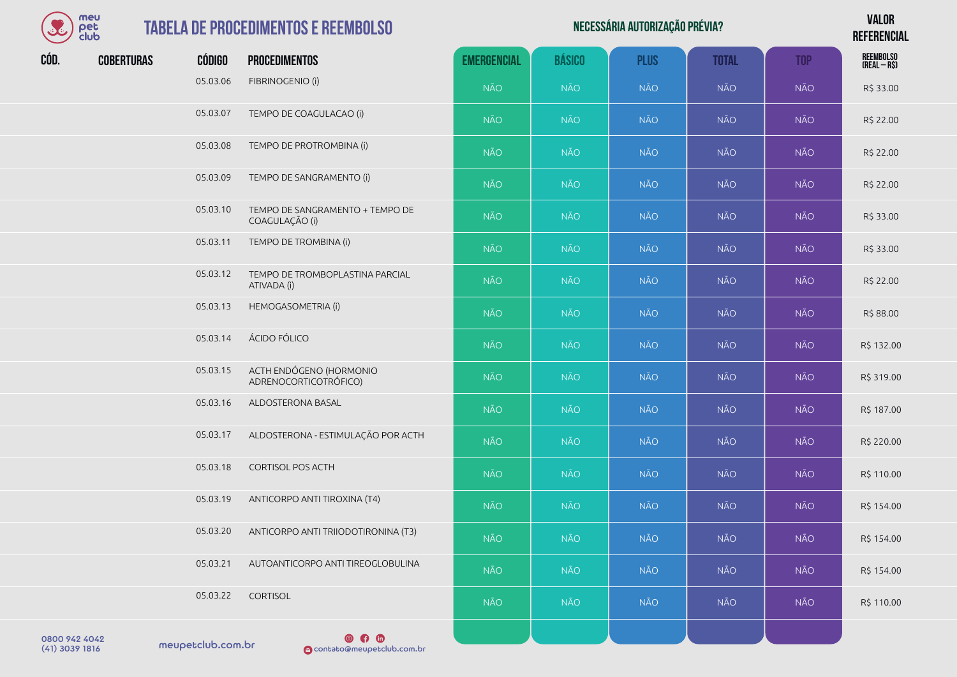| meu  |
|------|
| •т≏г |
| club |

| $\Omega$<br>meu<br><b>TABELA DE PROCEDIMENTOS E REEMBOLSO</b><br>pet<br>club |                   |               |                         | NECESSÁRIA AUTORIZAÇÃO PRÉVIA? |            |             |              |            |                           |
|------------------------------------------------------------------------------|-------------------|---------------|-------------------------|--------------------------------|------------|-------------|--------------|------------|---------------------------|
| CÓD.                                                                         | <b>COBERTURAS</b> | <b>CÓDIGO</b> | <b>PROCEDIMENTOS</b>    | <b>EMERGENCIAL</b>             | BÁSICO     | <b>PLUS</b> | <b>TOTAL</b> | <b>TOP</b> | REEMBOLSO<br>(Real – R\$) |
|                                                                              |                   | 05.03.06      | FIBRINOGENIO (i)        | <b>NÃO</b>                     | <b>NÃO</b> | <b>NÃO</b>  | <b>NÃO</b>   | <b>NÃO</b> | R\$ 33.00                 |
|                                                                              |                   | 05.03.07      | TEMPO DE COAGULACAO (i) | <b>NÃO</b>                     | <b>NÃO</b> | <b>NÃO</b>  | <b>NÃO</b>   | <b>NÃO</b> | R\$ 22.00                 |

| 05.03.06 | FIBRINOGENIO (i)                                  | <b>NÃO</b> | <b>NÃO</b> | <b>NÃO</b> | <b>NÃO</b> | <b>NÃO</b> | R\$ 33.00  |
|----------|---------------------------------------------------|------------|------------|------------|------------|------------|------------|
| 05.03.07 | TEMPO DE COAGULACAO (i)                           | <b>NÃO</b> | <b>NÃO</b> | <b>NÃO</b> | <b>NÃO</b> | <b>NÃO</b> | R\$ 22.00  |
| 05.03.08 | TEMPO DE PROTROMBINA (i)                          | <b>NÃO</b> | <b>NÃO</b> | <b>NÃO</b> | <b>NÃO</b> | <b>NÃO</b> | R\$ 22.00  |
| 05.03.09 | TEMPO DE SANGRAMENTO (i)                          | <b>NÃO</b> | <b>NÃO</b> | <b>NÃO</b> | <b>NÃO</b> | <b>NÃO</b> | R\$ 22.00  |
| 05.03.10 | TEMPO DE SANGRAMENTO + TEMPO DE<br>COAGULAÇÃO (i) | <b>NÃO</b> | <b>NÃO</b> | <b>NÃO</b> | <b>NÃO</b> | <b>NÃO</b> | R\$ 33.00  |
| 05.03.11 | TEMPO DE TROMBINA (i)                             | <b>NÃO</b> | <b>NÃO</b> | <b>NÃO</b> | <b>NÃO</b> | <b>NÃO</b> | R\$ 33.00  |
| 05.03.12 | TEMPO DE TROMBOPLASTINA PARCIAL<br>ATIVADA (i)    | <b>NÃO</b> | <b>NÃO</b> | <b>NÃO</b> | <b>NÃO</b> | <b>NÃO</b> | R\$ 22.00  |
| 05.03.13 | HEMOGASOMETRIA (i)                                | <b>NÃO</b> | <b>NÃO</b> | <b>NÃO</b> | <b>NÃO</b> | <b>NÃO</b> | R\$ 88.00  |
| 05.03.14 | ÁCIDO FÓLICO                                      | <b>NÃO</b> | <b>NÃO</b> | <b>NÃO</b> | <b>NÃO</b> | <b>NÃO</b> | R\$ 132.0  |
| 05.03.15 | ACTH ENDÓGENO (HORMONIO<br>ADRENOCORTICOTRÓFICO)  | <b>NÃO</b> | <b>NÃO</b> | <b>NÃO</b> | <b>NÃO</b> | <b>NÃO</b> | R\$ 319.0  |
| 05.03.16 | ALDOSTERONA BASAL                                 | <b>NÃO</b> | <b>NÃO</b> | <b>NÃO</b> | <b>NÃO</b> | <b>NÃO</b> | R\$ 187.0  |
| 05.03.17 | ALDOSTERONA - ESTIMULAÇÃO POR ACTH                | <b>NÃO</b> | <b>NÃO</b> | <b>NÃO</b> | <b>NÃO</b> | <b>NÃO</b> | R\$ 220.00 |
| 05.03.18 | <b>CORTISOL POS ACTH</b>                          | <b>NÃO</b> | NÃO        | <b>NÃO</b> | <b>NÃO</b> | <b>NÃO</b> | R\$ 110.0  |
| 05.03.19 | ANTICORPO ANTI TIROXINA (T4)                      | <b>NÃO</b> | <b>NÃO</b> | <b>NÃO</b> | <b>NÃO</b> | <b>NÃO</b> | R\$ 154.0  |
| 05.03.20 | ANTICORPO ANTI TRIIODOTIRONINA (T3)               | <b>NÃO</b> | <b>NÃO</b> | <b>NÃO</b> | <b>NÃO</b> | <b>NÃO</b> | R\$ 154.0  |
| 05.03.21 | AUTOANTICORPO ANTI TIREOGLOBULINA                 | <b>NÃO</b> | <b>NÃO</b> | <b>NÃO</b> | <b>NÃO</b> | <b>NÃO</b> | R\$ 154.0  |
| 05.03.22 | CORTISOL                                          | NÃO.       | NÃO.       | <b>NÃO</b> | <b>NÃO</b> | <b>NÃO</b> | R\$ 110.0  |

|                                 |                   |                                                  | NAO        | <b>NAO</b> | NAO        | NAO        | NAO        | R\$ 88.00  |
|---------------------------------|-------------------|--------------------------------------------------|------------|------------|------------|------------|------------|------------|
|                                 | 05.03.14          | ÁCIDO FÓLICO                                     | <b>NÃO</b> | <b>NÃO</b> | NÃO        | <b>NÃO</b> | <b>NÃO</b> | R\$ 132.00 |
|                                 | 05.03.15          | ACTH ENDÓGENO (HORMONIO<br>ADRENOCORTICOTRÓFICO) | NÃO        | <b>NÃO</b> | <b>NÃO</b> | <b>NÃO</b> | NÃO        | R\$ 319.00 |
|                                 | 05.03.16          | ALDOSTERONA BASAL                                | <b>NÃO</b> | <b>NÃO</b> | NÃO        | <b>NÃO</b> | <b>NÃO</b> | R\$ 187.00 |
|                                 | 05.03.17          | ALDOSTERONA - ESTIMULAÇÃO POR ACTH               | NÃO        | <b>NÃO</b> | NÃO        | <b>NÃO</b> | <b>NÃO</b> | R\$ 220.00 |
|                                 | 05.03.18          | <b>CORTISOL POS ACTH</b>                         | <b>NÃO</b> | <b>NÃO</b> | <b>NÃO</b> | <b>NÃO</b> | <b>NÃO</b> | R\$ 110.00 |
|                                 | 05.03.19          | ANTICORPO ANTI TIROXINA (T4)                     | NÃO        | <b>NÃO</b> | NÃO        | <b>NÃO</b> | <b>NÃO</b> | R\$ 154.00 |
|                                 | 05.03.20          | ANTICORPO ANTI TRIIODOTIRONINA (T3)              | NÃO        | <b>NÃO</b> | NÃO        | <b>NÃO</b> | <b>NÃO</b> | R\$ 154.00 |
|                                 | 05.03.21          | AUTOANTICORPO ANTI TIREOGLOBULINA                | <b>NÃO</b> | <b>NÃO</b> | <b>NÃO</b> | <b>NÃO</b> | NÃO        | R\$ 154.00 |
|                                 | 05.03.22          | <b>CORTISOL</b>                                  | <b>NÃO</b> | <b>NÃO</b> | <b>NÃO</b> | <b>NÃO</b> | <b>NÃO</b> | R\$ 110.00 |
| 0800 942 4042<br>(41) 3039 1816 | meupetclub.com.br | $\circ$ 0<br>contato@meupetclub.com.br           |            |            |            |            |            |            |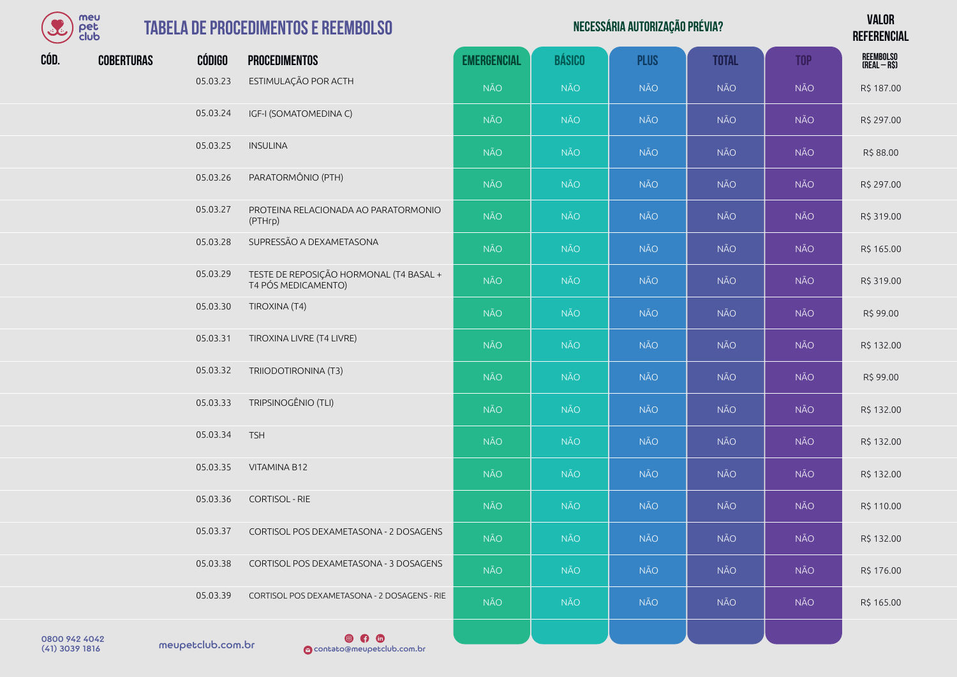| meu      |
|----------|
| ег       |
| lub<br>m |

| $\mathcal{L}$ | meu<br>pet<br>club |               | <b>TABELA DE PROCEDIMENTOS E REEMBOLSO</b>      |                    | <b>VALOR</b><br><b>REFERENCIAL</b> |             |              |            |                           |
|---------------|--------------------|---------------|-------------------------------------------------|--------------------|------------------------------------|-------------|--------------|------------|---------------------------|
| CÓD.          | <b>COBERTURAS</b>  | <b>CÓDIGO</b> | <b>PROCEDIMENTOS</b>                            | <b>EMERGENCIAL</b> | <b>BÁSICO</b>                      | <b>PLUS</b> | <b>TOTAL</b> | <b>TOP</b> | REEMBOLSO<br>(Real – R\$) |
|               |                    | 05.03.23      | ESTIMULAÇÃO POR ACTH                            | <b>NÃO</b>         | <b>NÃO</b>                         | <b>NÃO</b>  | <b>NÃO</b>   | <b>NÃO</b> | R\$ 187.00                |
|               |                    | 05.03.24      | IGF-I (SOMATOMEDINA C)                          | <b>NÃO</b>         | <b>NÃO</b>                         | <b>NÃO</b>  | <b>NÃO</b>   | <b>NÃO</b> | R\$ 297.00                |
|               |                    | 05.03.25      | <b>INSULINA</b>                                 | <b>NÃO</b>         | <b>NÃO</b>                         | <b>NÃO</b>  | <b>NÃO</b>   | <b>NÃO</b> | R\$88.00                  |
|               |                    | 05.03.26      | PARATORMÔNIO (PTH)                              | <b>NÃO</b>         | <b>NÃO</b>                         | <b>NÃO</b>  | <b>NÃO</b>   | <b>NÃO</b> | R\$ 297.00                |
|               |                    | 05.03.27      | PROTEINA RELACIONADA AO PARATORMONIO<br>(PTHrp) | <b>NÃO</b>         | <b>NÃO</b>                         | <b>NÃO</b>  | <b>NÃO</b>   | <b>NÃO</b> | R\$ 319.00                |
|               |                    | 05.03.28      | SUPRESSÃO A DEXAMETASONA                        | <b>NÃO</b>         | <b>NÃO</b>                         | <b>NÃO</b>  | <b>NÃO</b>   | <b>NÃO</b> | R\$ 165.00                |

- 05.03.29 TESTE DE REPOSIÇÃO HORMONAL (T4 BASAL + TESTE DE REFOSIÇÃO HOMMONAL (14 DASAL FORMÃO NÃO NÃO NÃO NÃO NÃO NÃO NÃO NÃO NÃO R\$ 319.00
- 05.03.30 TIROXINA (T4) NÃO NÃO NÃO NÃO NÃO R\$ 99.00 05.03.31 TIROXINA LIVRE (T4 LIVRE) NÃO NÃO NÃO NÃO NÃO NÃO NÃO NÃO NÃO R\$ 132.00 05.03.32 TRIIODOTIRONINA (T3) NÃO NÃO NÃO NÃO NÃO R\$ 99.00 05.03.33 TRIPSINOGÊNIO(TLI) NÃO NÃO NÃO NÃO NÃO NÃO NÃO NÃO NÃO R\$ 132.00
- 05.03.34 TSH NÃO NÃO NÃO NÃO NÃO R\$ 132.00 05.03.35 VITAMINA B12 NÃO NÃO NÃO NÃO NÃO R\$ 132.00
- 05.03.36 CORTISOL RIE NÃO NÃO NÃO NÃO NÃO R\$ 110.00 05.03.37 CORTISOL POS DEXAMETASONA - 2 DOSAGENS NÃO NÃO NÃO NÃO NÃO NÃO NÃO NÃO NÃO R\$ 132.00
- 05.03.38 CORTISOL POS DEXAMETASONA 3 DOSAGENS NÃO NÃO NÃO NÃO NÃO R\$ 176.00
- 05.03.39 CORTISOL POS DEXAMETASONA 2 DOSAGENS RIE NÃO NÃO NÃO NÃO NÃO NÃO NÃO NÃO NÃO R\$ 165.00

0800 942 4042<br>(41) 3039 1816 meupetclub.com.br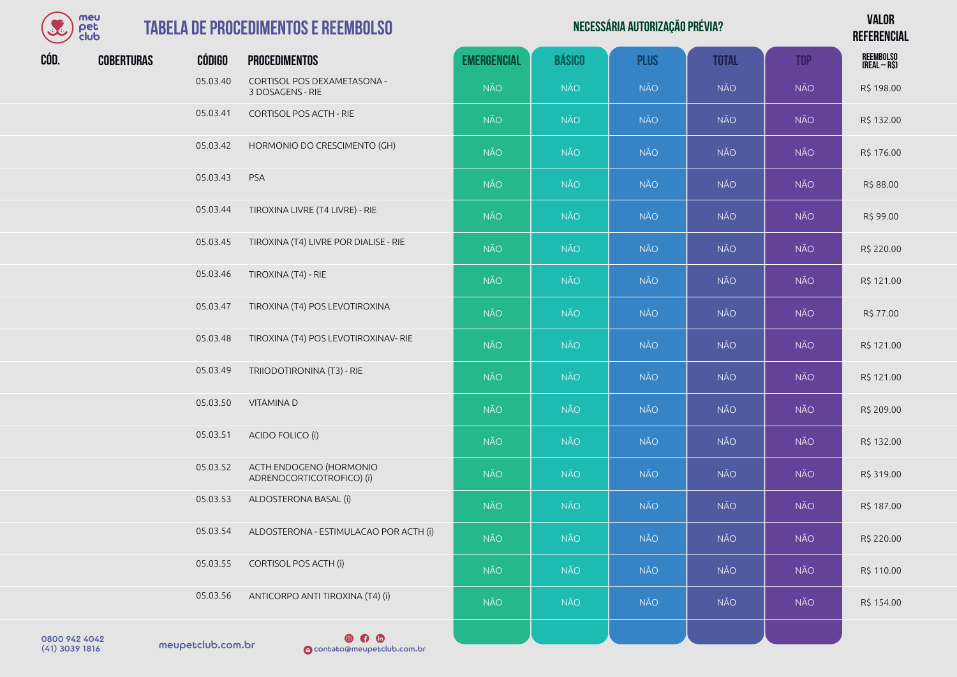| meu        |
|------------|
| оег        |
| מוו<br>- 1 |

## **TABELA DE PROCEDIME**

| S    | meu<br>pet<br>club |               | <b>TABELA DE PROCEDIMENTOS E REEMBOLSO</b>           |                    | <b>VALOR</b><br><b>REFERENCIAL</b> |             |              |            |                           |
|------|--------------------|---------------|------------------------------------------------------|--------------------|------------------------------------|-------------|--------------|------------|---------------------------|
| CÓD. | <b>COBERTURAS</b>  | <b>CÓDIGO</b> | <b>PROCEDIMENTOS</b>                                 | <b>EMERGENCIAL</b> | <b>BÁSICO</b>                      | <b>PLUS</b> | <b>TOTAL</b> | <b>TOP</b> | REEMBOLSO<br>(Real – R\$) |
|      |                    | 05.03.40      | CORTISOL POS DEXAMETASONA -<br>3 DOSAGENS - RIE      | <b>NÃO</b>         | <b>NÃO</b>                         | <b>NÃO</b>  | <b>NÃO</b>   | <b>NÃO</b> | R\$ 198.00                |
|      |                    | 05.03.41      | <b>CORTISOL POS ACTH - RIE</b>                       | <b>NÃO</b>         | <b>NÃO</b>                         | <b>NÃO</b>  | <b>NÃO</b>   | <b>NÃO</b> | R\$ 132.00                |
|      |                    | 05.03.42      | HORMONIO DO CRESCIMENTO (GH)                         | <b>NÃO</b>         | <b>NÃO</b>                         | <b>NÃO</b>  | NÃO          | NÃO        | R\$ 176.00                |
|      |                    | 05.03.43      | PSA                                                  | <b>NÃO</b>         | <b>NÃO</b>                         | <b>NÃO</b>  | <b>NÃO</b>   | NÃO        | R\$88.00                  |
|      |                    | 05.03.44      | TIROXINA LIVRE (T4 LIVRE) - RIE                      | <b>NÃO</b>         | <b>NÃO</b>                         | <b>NÃO</b>  | <b>NÃO</b>   | <b>NÃO</b> | R\$ 99.00                 |
|      |                    | 05.03.45      | TIROXINA (T4) LIVRE POR DIALISE - RIE                | <b>NÃO</b>         | <b>NÃO</b>                         | <b>NÃO</b>  | <b>NÃO</b>   | <b>NÃO</b> | R\$ 220.00                |
|      |                    | 05.03.46      | TIROXINA (T4) - RIE                                  | <b>NÃO</b>         | <b>NÃO</b>                         | <b>NÃO</b>  | <b>NÃO</b>   | <b>NÃO</b> | R\$ 121.00                |
|      |                    | 05.03.47      | TIROXINA (T4) POS LEVOTIROXINA                       | <b>NÃO</b>         | <b>NÃO</b>                         | NÃO         | <b>NÃO</b>   | <b>NÃO</b> | R\$ 77.00                 |
|      |                    | 05.03.48      | TIROXINA (T4) POS LEVOTIROXINAV- RIE                 | <b>NÃO</b>         | <b>NÃO</b>                         | <b>NÃO</b>  | <b>NÃO</b>   | <b>NÃO</b> | R\$ 121.00                |
|      |                    | 05.03.49      | TRIIODOTIRONINA (T3) - RIE                           | NÃO                | <b>NÃO</b>                         | <b>NÃO</b>  | NÃO          | NÃO        | R\$ 121.00                |
|      |                    | 05.03.50      | VITAMINA D                                           | NÃO                | <b>NÃO</b>                         | <b>NÃO</b>  | <b>NÃO</b>   | <b>NÃO</b> | R\$ 209.00                |
|      |                    | 05.03.51      | ACIDO FOLICO (i)                                     | <b>NÃO</b>         | <b>NÃO</b>                         | <b>NÃO</b>  | <b>NÃO</b>   | <b>NÃO</b> | R\$ 132.00                |
|      |                    | 05.03.52      | ACTH ENDOGENO (HORMONIO<br>ADRENOCORTICOTROFICO) (i) | NÃO                | <b>NÃO</b>                         | <b>NÃO</b>  | <b>NÃO</b>   | <b>NÃO</b> | R\$ 319.00                |
|      |                    | 05.03.53      | ALDOSTERONA BASAL (i)                                | <b>NÃO</b>         | <b>NÃO</b>                         | <b>NÃO</b>  | <b>NÃO</b>   | NÃO        | R\$ 187.00                |
|      |                    | 05.03.54      | ALDOSTERONA - ESTIMULACAO POR ACTH (i)               | <b>NÃO</b>         | <b>NÃO</b>                         | <b>NÃO</b>  | NÃO          | NÃO        | R\$ 220.00                |
|      |                    | 05.03.55      | <b>CORTISOL POS ACTH (i)</b>                         | <b>NÃO</b>         | <b>NÃO</b>                         | <b>NÃO</b>  | <b>NÃO</b>   | <b>NÃO</b> | R\$ 110.00                |
|      |                    | 05.03.56      | ANTICORPO ANTI TIROXINA (T4) (i)                     | <b>NÃO</b>         | <b>NÃO</b>                         | NÃO         | <b>NÃO</b>   | NÃO        | R\$ 154.00                |
|      |                    |               |                                                      |                    |                                    |             |              |            |                           |

meupetclub.com.br 0800 942 4042

 $\n **④**\n **④**\n **④**\n **③**\n **③**\n **③**\n **③**\n **③**\n **③**\n **③**\n **③**\n **③**\n **③**\n **③**\n **③**\n **③**\n **③**\n **③**\n **③**\n **③**\n **③**\n **③**\$ (41) 3039 1816 contato@meupetclub.com.br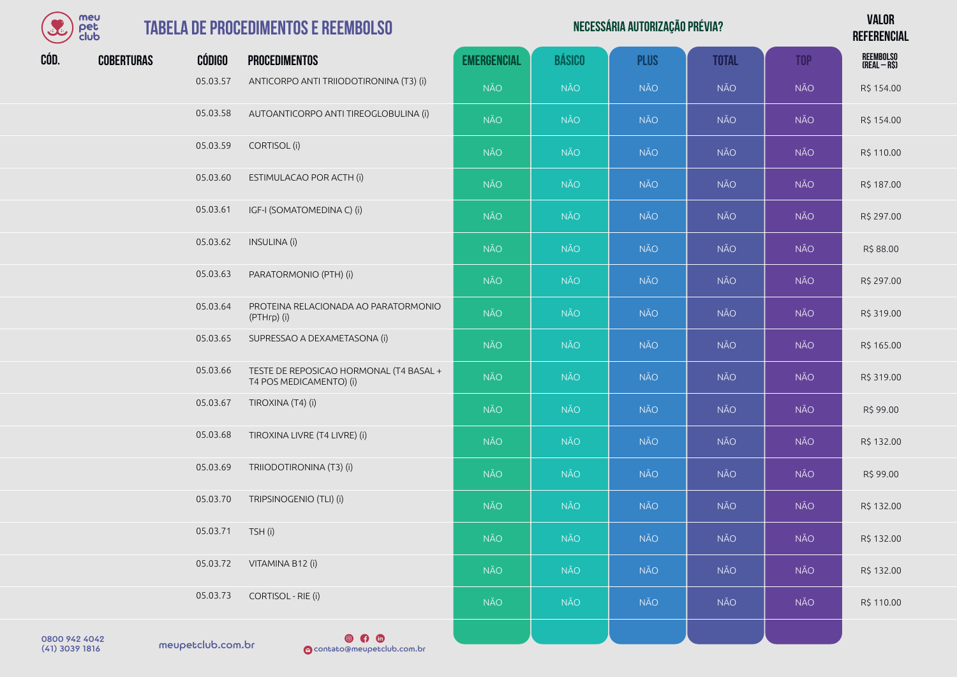

## **TABELA DE PROCEDIMENTO**

| $\mathcal{S}$ | meu<br>pet<br>club |                  | <b>TABELA DE PROCEDIMENTOS E REEMBOLSO</b>                         |                    | <b>VALOR</b><br><b>REFERENCIAL</b> |             |              |            |                                   |
|---------------|--------------------|------------------|--------------------------------------------------------------------|--------------------|------------------------------------|-------------|--------------|------------|-----------------------------------|
| CÓD.          | <b>COBERTURAS</b>  | <b>CÓDIGO</b>    | <b>PROCEDIMENTOS</b>                                               | <b>EMERGENCIAL</b> | <b>BÁSICO</b>                      | <b>PLUS</b> | <b>TOTAL</b> | <b>TOP</b> | <b>REEMBOLSO</b><br>$(REAL - RS)$ |
|               |                    | 05.03.57         | ANTICORPO ANTI TRIIODOTIRONINA (T3) (i)                            | <b>NÃO</b>         | <b>NÃO</b>                         | <b>NÃO</b>  | <b>NÃO</b>   | <b>NÃO</b> | R\$ 154.00                        |
|               |                    | 05.03.58         | AUTOANTICORPO ANTI TIREOGLOBULINA (i)                              | <b>NÃO</b>         | <b>NÃO</b>                         | <b>NÃO</b>  | <b>NÃO</b>   | <b>NÃO</b> | R\$ 154.00                        |
|               |                    | 05.03.59         | CORTISOL (i)                                                       | <b>NÃO</b>         | <b>NÃO</b>                         | <b>NÃO</b>  | <b>NÃO</b>   | <b>NÃO</b> | R\$ 110.00                        |
|               |                    | 05.03.60         | ESTIMULACAO POR ACTH (i)                                           | <b>NÃO</b>         | <b>NÃO</b>                         | <b>NÃO</b>  | <b>NÃO</b>   | <b>NÃO</b> | R\$ 187.00                        |
|               |                    | 05.03.61         | IGF-I (SOMATOMEDINA C) (i)                                         | <b>NÃO</b>         | <b>NÃO</b>                         | <b>NÃO</b>  | <b>NÃO</b>   | <b>NÃO</b> | R\$ 297.00                        |
|               |                    | 05.03.62         | INSULINA (i)                                                       | <b>NÃO</b>         | <b>NÃO</b>                         | <b>NÃO</b>  | <b>NÃO</b>   | <b>NÃO</b> | R\$ 88.00                         |
|               |                    | 05.03.63         | PARATORMONIO (PTH) (i)                                             | <b>NÃO</b>         | <b>NÃO</b>                         | <b>NÃO</b>  | <b>NÃO</b>   | <b>NÃO</b> | R\$ 297.00                        |
|               |                    | 05.03.64         | PROTEINA RELACIONADA AO PARATORMONIO<br>(PTHrp) (i)                | <b>NÃO</b>         | <b>NÃO</b>                         | <b>NÃO</b>  | <b>NÃO</b>   | <b>NÃO</b> | R\$ 319.00                        |
|               |                    | 05.03.65         | SUPRESSAO A DEXAMETASONA (i)                                       | <b>NÃO</b>         | <b>NÃO</b>                         | NÃO         | <b>NÃO</b>   | <b>NÃO</b> | R\$ 165.00                        |
|               |                    | 05.03.66         | TESTE DE REPOSICAO HORMONAL (T4 BASAL +<br>T4 POS MEDICAMENTO) (i) | <b>NÃO</b>         | <b>NÃO</b>                         | <b>NÃO</b>  | <b>NÃO</b>   | <b>NÃO</b> | R\$ 319.00                        |
|               |                    | 05.03.67         | TIROXINA (T4) (i)                                                  | <b>NÃO</b>         | <b>NÃO</b>                         | <b>NÃO</b>  | <b>NÃO</b>   | <b>NÃO</b> | R\$ 99.00                         |
|               |                    | 05.03.68         | TIROXINA LIVRE (T4 LIVRE) (i)                                      | <b>NÃO</b>         | <b>NÃO</b>                         | <b>NÃO</b>  | <b>NÃO</b>   | <b>NÃO</b> | R\$ 132.00                        |
|               |                    | 05.03.69         | TRIIODOTIRONINA (T3) (i)                                           | <b>NÃO</b>         | NÃO                                | <b>NÃO</b>  | <b>NÃO</b>   | <b>NÃO</b> | R\$ 99.00                         |
|               |                    | 05.03.70         | TRIPSINOGENIO (TLI) (i)                                            | <b>NÃO</b>         | <b>NÃO</b>                         | <b>NÃO</b>  | <b>NÃO</b>   | <b>NÃO</b> | R\$ 132.00                        |
|               |                    | 05.03.71 TSH (i) |                                                                    | NÃO                | NÃO                                | <b>NÃO</b>  | <b>NÃO</b>   | <b>NÃO</b> | R\$ 132.00                        |
|               |                    | 05.03.72         | VITAMINA B12 (i)                                                   | <b>NÃO</b>         | NÃO                                | <b>NÃO</b>  | <b>NÃO</b>   | NÃO        | R\$ 132.00                        |
|               |                    | 05.03.73         | CORTISOL - RIE (i)                                                 | <b>NÃO</b>         | NÃO                                | <b>NÃO</b>  | <b>NÃO</b>   | <b>NÃO</b> | R\$ 110.00                        |
| 0200 042 4042 |                    |                  | $@$ $@$ $@$                                                        |                    |                                    |             |              |            |                                   |

meupetclub.com.br 0800 942 4042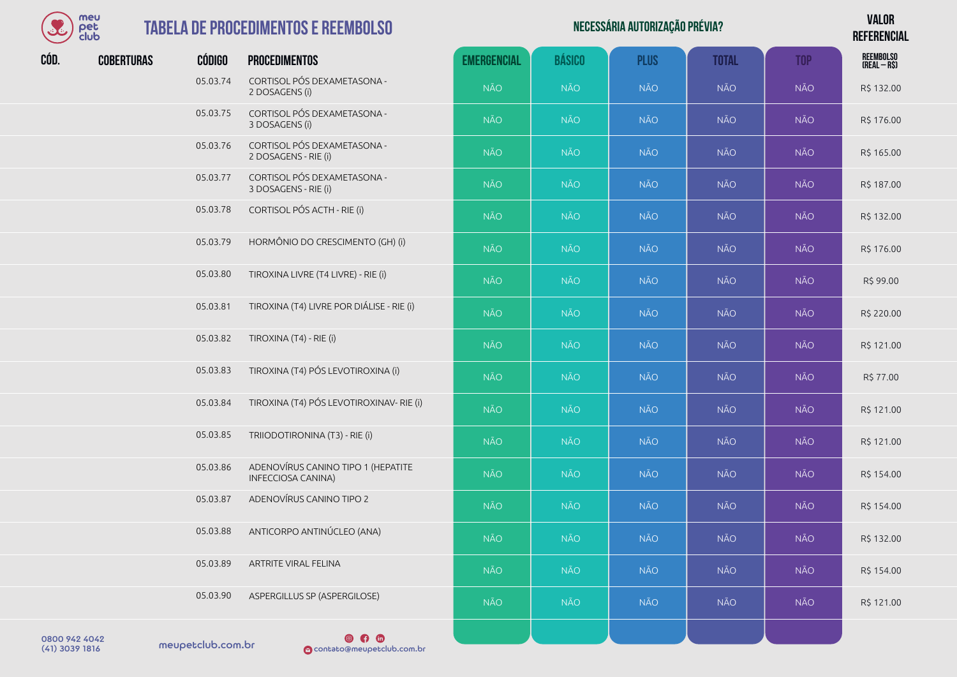

#### **TABELA DE PROCEDIMENT**

|      | meu<br>pet<br>club |               | <b>TABELA DE PROCEDIMENTOS E REEMBOLSO</b>               |                    | <b>VALOR</b><br><b>REFERENCIAL</b> |             |              |            |                                   |
|------|--------------------|---------------|----------------------------------------------------------|--------------------|------------------------------------|-------------|--------------|------------|-----------------------------------|
| CÓD. | <b>COBERTURAS</b>  | <b>CÓDIGO</b> | <b>PROCEDIMENTOS</b>                                     | <b>EMERGENCIAL</b> | <b>BÁSICO</b>                      | <b>PLUS</b> | <b>TOTAL</b> | <b>TOP</b> | <b>REEMBOLSO</b><br>$(REAL - RS)$ |
|      |                    | 05.03.74      | CORTISOL PÓS DEXAMETASONA -<br>2 DOSAGENS (i)            | <b>NÃO</b>         | <b>NÃO</b>                         | <b>NÃO</b>  | <b>NÃO</b>   | <b>NÃO</b> | R\$ 132.00                        |
|      |                    | 05.03.75      | CORTISOL PÓS DEXAMETASONA -<br>3 DOSAGENS (i)            | <b>NÃO</b>         | <b>NÃO</b>                         | <b>NÃO</b>  | <b>NÃO</b>   | <b>NÃO</b> | R\$ 176.00                        |
|      |                    | 05.03.76      | CORTISOL PÓS DEXAMETASONA -<br>2 DOSAGENS - RIE (i)      | <b>NÃO</b>         | <b>NÃO</b>                         | <b>NÃO</b>  | <b>NÃO</b>   | <b>NÃO</b> | R\$ 165.00                        |
|      |                    | 05.03.77      | CORTISOL PÓS DEXAMETASONA -<br>3 DOSAGENS - RIE (i)      | <b>NÃO</b>         | <b>NÃO</b>                         | <b>NÃO</b>  | <b>NÃO</b>   | <b>NÃO</b> | R\$ 187.00                        |
|      |                    | 05.03.78      | CORTISOL PÓS ACTH - RIE (i)                              | <b>NÃO</b>         | <b>NÃO</b>                         | <b>NÃO</b>  | NÃO          | <b>NÃO</b> | R\$ 132.00                        |
|      |                    | 05.03.79      | HORMÔNIO DO CRESCIMENTO (GH) (i)                         | <b>NÃO</b>         | <b>NÃO</b>                         | <b>NÃO</b>  | <b>NÃO</b>   | <b>NÃO</b> | R\$ 176.00                        |
|      |                    | 05.03.80      | TIROXINA LIVRE (T4 LIVRE) - RIE (i)                      | <b>NÃO</b>         | <b>NÃO</b>                         | <b>NÃO</b>  | <b>NÃO</b>   | <b>NÃO</b> | R\$ 99.00                         |
|      |                    | 05.03.81      | TIROXINA (T4) LIVRE POR DIÁLISE - RIE (i)                | <b>NÃO</b>         | NÃO                                | <b>NÃO</b>  | NÃO          | <b>NÃO</b> | R\$ 220.00                        |
|      |                    | 05.03.82      | TIROXINA (T4) - RIE (i)                                  | <b>NÃO</b>         | <b>NÃO</b>                         | <b>NÃO</b>  | <b>NÃO</b>   | <b>NÃO</b> | R\$ 121.00                        |
|      |                    | 05.03.83      | TIROXINA (T4) PÓS LEVOTIROXINA (i)                       | <b>NÃO</b>         | <b>NÃO</b>                         | <b>NÃO</b>  | <b>NÃO</b>   | <b>NÃO</b> | R\$ 77.00                         |
|      |                    | 05.03.84      | TIROXINA (T4) PÓS LEVOTIROXINAV- RIE (i)                 | <b>NÃO</b>         | NÃO                                | <b>NÃO</b>  | <b>NÃO</b>   | <b>NÃO</b> | R\$ 121.00                        |
|      |                    | 05.03.85      | TRIIODOTIRONINA (T3) - RIE (i)                           | <b>NÃO</b>         | NÃO                                | <b>NÃO</b>  | NÃO          | <b>NÃO</b> | R\$ 121.00                        |
|      |                    | 05.03.86      | ADENOVÍRUS CANINO TIPO 1 (HEPATITE<br>INFECCIOSA CANINA) | <b>NÃO</b>         | <b>NÃO</b>                         | <b>NÃO</b>  | <b>NÃO</b>   | <b>NÃO</b> | R\$ 154.00                        |
|      |                    | 05.03.87      | ADENOVÍRUS CANINO TIPO 2                                 | <b>NÃO</b>         | <b>NÃO</b>                         | <b>NÃO</b>  | <b>NÃO</b>   | <b>NÃO</b> | R\$ 154.00                        |
|      |                    | 05.03.88      | ANTICORPO ANTINÚCLEO (ANA)                               | <b>NÃO</b>         | <b>NÃO</b>                         | <b>NÃO</b>  | NÃO          | <b>NÃO</b> | R\$ 132.00                        |
|      |                    | 05.03.89      | ARTRITE VIRAL FELINA                                     | <b>NÃO</b>         | <b>NÃO</b>                         | <b>NÃO</b>  | NÃO          | <b>NÃO</b> | R\$ 154.00                        |
|      |                    | 05.03.90      | ASPERGILLUS SP (ASPERGILOSE)                             | <b>NÃO</b>         | <b>NÃO</b>                         | <b>NÃO</b>  | NÃO          | <b>NÃO</b> | R\$ 121.00                        |
|      |                    |               |                                                          |                    |                                    |             |              |            |                                   |

meupetclub.com.br 0800 942 4042

 $\n **④**\n **④**\n **④**\n **③**\n **③**\n **③**\n **③**\n **③**\n **③**\n **③**\n **③**\n **③**\n **③**\n **③**\n **③**\n **③**\n **③**\n **③**\n **③**\n **③**\n **③**\n **③**\$ (41) 3039 1816 contato@meupetclub.com.br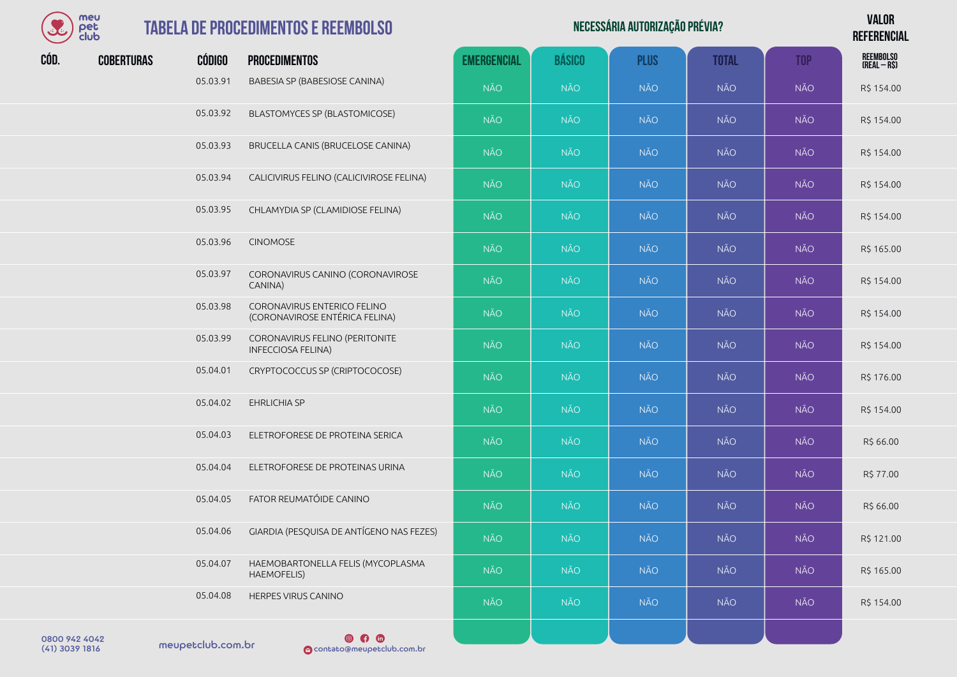

## **TABELA DE PRO**

| رئ            | meu<br>pet<br>club |               | <b>TABELA DE PROCEDIMENTOS E REEMBOLSO</b>                    |                    | <b>VALOR</b><br><b>REFERENCIAL</b> |             |              |            |                                  |
|---------------|--------------------|---------------|---------------------------------------------------------------|--------------------|------------------------------------|-------------|--------------|------------|----------------------------------|
| CÓD.          | <b>COBERTURAS</b>  | <b>CÓDIGO</b> | <b>PROCEDIMENTOS</b>                                          | <b>EMERGENCIAL</b> | <b>BÁSICO</b>                      | <b>PLUS</b> | <b>TOTAL</b> | <b>TOP</b> | <b>REEMBOLSO</b><br>(REAL - R\$) |
|               |                    | 05.03.91      | BABESIA SP (BABESIOSE CANINA)                                 | <b>NÃO</b>         | <b>NÃO</b>                         | <b>NÃO</b>  | <b>NÃO</b>   | <b>NÃO</b> | R\$ 154.00                       |
|               |                    | 05.03.92      | BLASTOMYCES SP (BLASTOMICOSE)                                 | <b>NÃO</b>         | <b>NÃO</b>                         | <b>NÃO</b>  | <b>NÃO</b>   | <b>NÃO</b> | R\$ 154.00                       |
|               |                    | 05.03.93      | BRUCELLA CANIS (BRUCELOSE CANINA)                             | <b>NÃO</b>         | <b>NÃO</b>                         | <b>NÃO</b>  | <b>NÃO</b>   | <b>NÃO</b> | R\$ 154.00                       |
|               |                    | 05.03.94      | CALICIVIRUS FELINO (CALICIVIROSE FELINA)                      | <b>NÃO</b>         | <b>NÃO</b>                         | <b>NÃO</b>  | <b>NÃO</b>   | <b>NÃO</b> | R\$ 154.00                       |
|               |                    | 05.03.95      | CHLAMYDIA SP (CLAMIDIOSE FELINA)                              | <b>NÃO</b>         | <b>NÃO</b>                         | <b>NÃO</b>  | <b>NÃO</b>   | <b>NÃO</b> | R\$ 154.00                       |
|               |                    | 05.03.96      | <b>CINOMOSE</b>                                               | <b>NÃO</b>         | <b>NÃO</b>                         | <b>NÃO</b>  | <b>NÃO</b>   | <b>NÃO</b> | R\$ 165.00                       |
|               |                    | 05.03.97      | CORONAVIRUS CANINO (CORONAVIROSE<br>CANINA)                   | <b>NÃO</b>         | <b>NÃO</b>                         | <b>NÃO</b>  | <b>NÃO</b>   | <b>NÃO</b> | R\$ 154.00                       |
|               |                    | 05.03.98      | CORONAVIRUS ENTERICO FELINO<br>(CORONAVIROSE ENTÉRICA FELINA) | <b>NÃO</b>         | <b>NÃO</b>                         | <b>NÃO</b>  | <b>NÃO</b>   | <b>NÃO</b> | R\$ 154.00                       |
|               |                    | 05.03.99      | CORONAVIRUS FELINO (PERITONITE<br><b>INFECCIOSA FELINA)</b>   | <b>NÃO</b>         | <b>NÃO</b>                         | <b>NÃO</b>  | <b>NÃO</b>   | <b>NÃO</b> | R\$ 154.00                       |
|               |                    | 05.04.01      | CRYPTOCOCCUS SP (CRIPTOCOCOSE)                                | <b>NÃO</b>         | <b>NÃO</b>                         | <b>NÃO</b>  | <b>NÃO</b>   | <b>NÃO</b> | R\$ 176.00                       |
|               |                    | 05.04.02      | EHRLICHIA SP                                                  | <b>NÃO</b>         | <b>NÃO</b>                         | <b>NÃO</b>  | <b>NÃO</b>   | <b>NÃO</b> | R\$ 154.00                       |
|               |                    | 05.04.03      | ELETROFORESE DE PROTEINA SERICA                               | <b>NÃO</b>         | <b>NÃO</b>                         | <b>NÃO</b>  | <b>NÃO</b>   | <b>NÃO</b> | R\$ 66.00                        |
|               |                    | 05.04.04      | ELETROFORESE DE PROTEINAS URINA                               | <b>NÃO</b>         | <b>NÃO</b>                         | <b>NÃO</b>  | <b>NÃO</b>   | <b>NÃO</b> | R\$ 77.00                        |
|               |                    | 05.04.05      | FATOR REUMATÓIDE CANINO                                       | <b>NÃO</b>         | <b>NÃO</b>                         | <b>NÃO</b>  | <b>NÃO</b>   | <b>NÃO</b> | R\$ 66.00                        |
|               |                    | 05.04.06      | GIARDIA (PESQUISA DE ANTÍGENO NAS FEZES)                      | <b>NÃO</b>         | <b>NÃO</b>                         | <b>NÃO</b>  | <b>NÃO</b>   | <b>NÃO</b> | R\$ 121.00                       |
|               |                    | 05.04.07      | HAEMOBARTONELLA FELIS (MYCOPLASMA<br>HAEMOFELIS)              | <b>NÃO</b>         | <b>NÃO</b>                         | <b>NÃO</b>  | <b>NÃO</b>   | <b>NÃO</b> | R\$ 165.00                       |
|               |                    | 05.04.08      | HERPES VIRUS CANINO                                           | <b>NÃO</b>         | <b>NÃO</b>                         | <b>NÃO</b>  | <b>NÃO</b>   | <b>NÃO</b> | R\$ 154.00                       |
| 0.00000101010 |                    |               | @ <u>@</u> @                                                  |                    |                                    |             |              |            |                                  |

0800 942 4042<br>(41) 3039 1816 meupetclub.com.br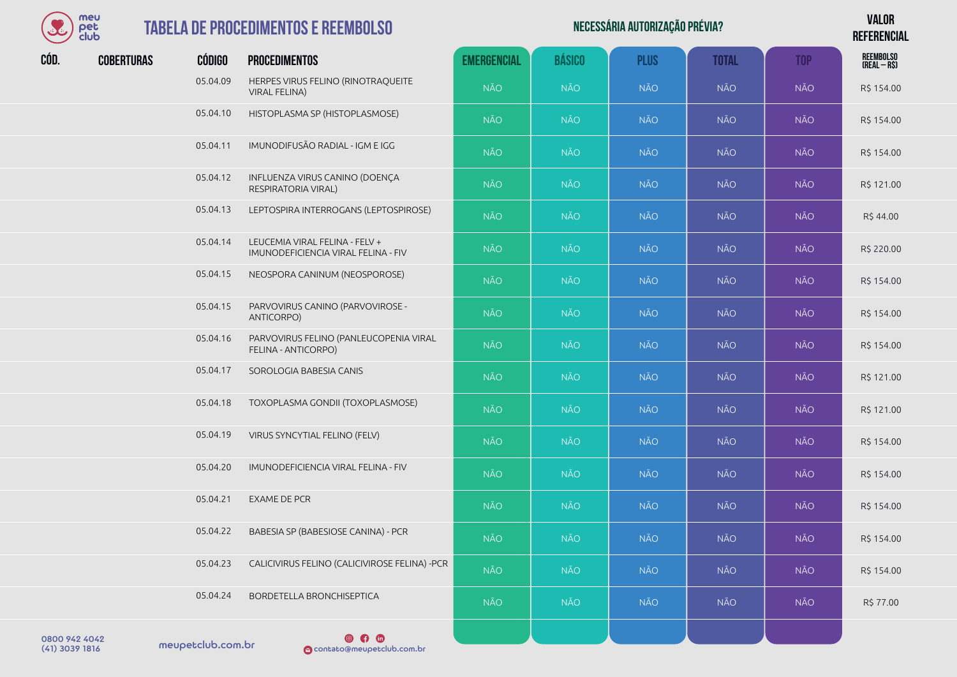

## **TABELA DE PR**

| S             | meu<br>pet<br>club |               | <b>TABELA DE PROCEDIMENTOS E REEMBOLSO</b>                            |                    | <b>VALOR</b><br><b>REFERENCIAL</b> |             |              |            |                                   |
|---------------|--------------------|---------------|-----------------------------------------------------------------------|--------------------|------------------------------------|-------------|--------------|------------|-----------------------------------|
| CÓD.          | <b>COBERTURAS</b>  | <b>CÓDIGO</b> | <b>PROCEDIMENTOS</b>                                                  | <b>EMERGENCIAL</b> | <b>BÁSICO</b>                      | <b>PLUS</b> | <b>TOTAL</b> | <b>TOP</b> | <b>REEMBOLSO</b><br>$(REAL - RS)$ |
|               |                    | 05.04.09      | HERPES VIRUS FELINO (RINOTRAQUEITE<br><b>VIRAL FELINA)</b>            | <b>NÃO</b>         | <b>NÃO</b>                         | <b>NÃO</b>  | <b>NÃO</b>   | <b>NÃO</b> | R\$ 154.00                        |
|               |                    | 05.04.10      | HISTOPLASMA SP (HISTOPLASMOSE)                                        | <b>NÃO</b>         | <b>NÃO</b>                         | <b>NÃO</b>  | <b>NÃO</b>   | <b>NÃO</b> | R\$ 154.00                        |
|               |                    | 05.04.11      | IMUNODIFUSÃO RADIAL - IGM E IGG                                       | <b>NÃO</b>         | <b>NÃO</b>                         | <b>NÃO</b>  | <b>NÃO</b>   | <b>NÃO</b> | R\$ 154.00                        |
|               |                    | 05.04.12      | INFLUENZA VIRUS CANINO (DOENÇA<br>RESPIRATORIA VIRAL)                 | <b>NÃO</b>         | <b>NÃO</b>                         | <b>NÃO</b>  | <b>NÃO</b>   | <b>NÃO</b> | R\$ 121.00                        |
|               |                    | 05.04.13      | LEPTOSPIRA INTERROGANS (LEPTOSPIROSE)                                 | <b>NÃO</b>         | <b>NÃO</b>                         | <b>NÃO</b>  | <b>NÃO</b>   | <b>NÃO</b> | R\$44.00                          |
|               |                    | 05.04.14      | LEUCEMIA VIRAL FELINA - FELV +<br>IMUNODEFICIENCIA VIRAL FELINA - FIV | <b>NÃO</b>         | <b>NÃO</b>                         | <b>NÃO</b>  | <b>NÃO</b>   | <b>NÃO</b> | R\$ 220.00                        |
|               |                    | 05.04.15      | NEOSPORA CANINUM (NEOSPOROSE)                                         | NÃO.               | <b>NÃO</b>                         | <b>NÃO</b>  | <b>NÃO</b>   | <b>NÃO</b> | R\$ 154.00                        |
|               |                    | 05.04.15      | PARVOVIRUS CANINO (PARVOVIROSE -<br>ANTICORPO)                        | <b>NÃO</b>         | <b>NÃO</b>                         | <b>NÃO</b>  | <b>NÃO</b>   | <b>NÃO</b> | R\$ 154.00                        |
|               |                    | 05.04.16      | PARVOVIRUS FELINO (PANLEUCOPENIA VIRAL<br>FELINA - ANTICORPO)         | NÃO.               | <b>NÃO</b>                         | <b>NÃO</b>  | <b>NÃO</b>   | NÃO        | R\$ 154.00                        |
|               |                    | 05.04.17      | SOROLOGIA BABESIA CANIS                                               | <b>NÃO</b>         | <b>NÃO</b>                         | <b>NÃO</b>  | <b>NÃO</b>   | <b>NÃO</b> | R\$ 121.00                        |
|               |                    | 05.04.18      | TOXOPLASMA GONDII (TOXOPLASMOSE)                                      | <b>NÃO</b>         | <b>NÃO</b>                         | <b>NÃO</b>  | <b>NÃO</b>   | NÃO        | R\$ 121.00                        |
|               |                    | 05.04.19      | VIRUS SYNCYTIAL FELINO (FELV)                                         | <b>NÃO</b>         | <b>NÃO</b>                         | <b>NÃO</b>  | <b>NÃO</b>   | <b>NÃO</b> | R\$ 154.00                        |
|               |                    | 05.04.20      | IMUNODEFICIENCIA VIRAL FELINA - FIV                                   | <b>NÃO</b>         | <b>NÃO</b>                         | <b>NÃO</b>  | <b>NÃO</b>   | <b>NÃO</b> | R\$ 154.00                        |
|               |                    | 05.04.21      | <b>EXAME DE PCR</b>                                                   | <b>NÃO</b>         | <b>NÃO</b>                         | <b>NÃO</b>  | <b>NÃO</b>   | NÃO        | R\$ 154.00                        |
|               |                    | 05.04.22      | BABESIA SP (BABESIOSE CANINA) - PCR                                   | <b>NÃO</b>         | <b>NÃO</b>                         | <b>NÃO</b>  | <b>NÃO</b>   | <b>NÃO</b> | R\$ 154.00                        |
|               |                    | 05.04.23      | CALICIVIRUS FELINO (CALICIVIROSE FELINA) - PCR                        | <b>NÃO</b>         | <b>NÃO</b>                         | <b>NÃO</b>  | <b>NÃO</b>   | NÃO        | R\$ 154.00                        |
|               |                    | 05.04.24      | BORDETELLA BRONCHISEPTICA                                             | <b>NÃO</b>         | <b>NÃO</b>                         | <b>NÃO</b>  | <b>NÃO</b>   | NÃO        | R\$ 77.00                         |
| 0800 942 4042 |                    |               | $\circ$ 0                                                             |                    |                                    |             |              |            |                                   |

0800 942 4042<br>(41) 3039 1816 meupetclub.com.br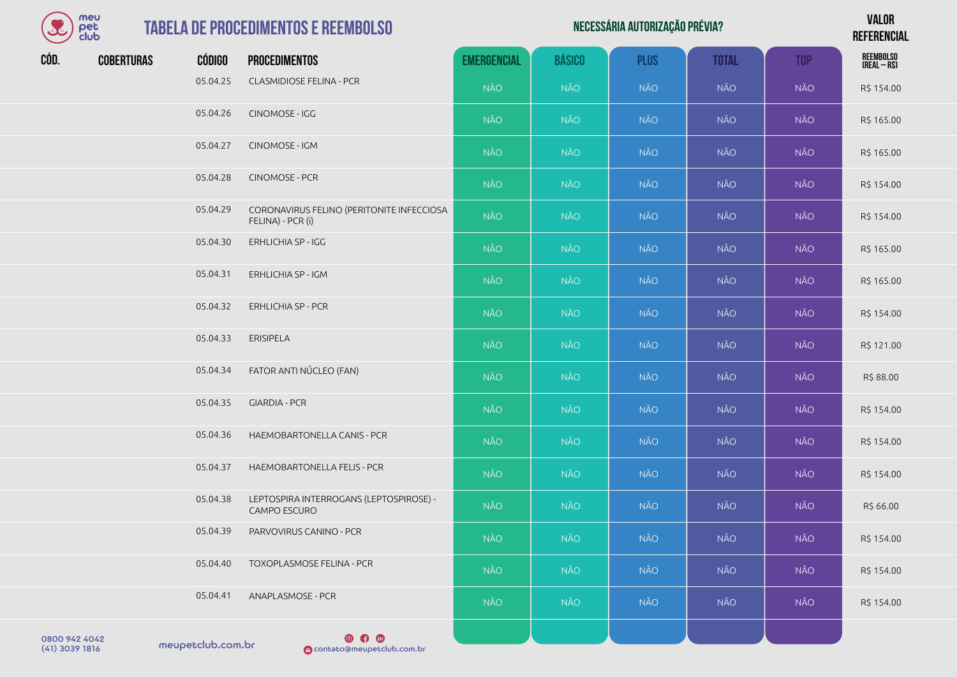| mel  |
|------|
| el   |
| ≘luk |

| Necessária autorização prévia? | <b>VALOR</b>    |
|--------------------------------|-----------------|
|                                | <b>REFERENC</b> |

**REFERENCIAL**

| $\sim$ $\sim$ club |                   |               |                                                                |                    |               |             |              |            | <b>KEFEKENGIAL</b>        |
|--------------------|-------------------|---------------|----------------------------------------------------------------|--------------------|---------------|-------------|--------------|------------|---------------------------|
| CÓD.               | <b>COBERTURAS</b> | <b>CÓDIGO</b> | <b>PROCEDIMENTOS</b>                                           | <b>EMERGENCIAL</b> | <b>BÁSICO</b> | <b>PLUS</b> | <b>TOTAL</b> | <b>TOP</b> | REEMBOLSO<br>(REAL – R\$) |
|                    |                   | 05.04.25      | <b>CLASMIDIOSE FELINA - PCR</b>                                | <b>NÃO</b>         | <b>NÃO</b>    | <b>NÃO</b>  | NÃO          | <b>NÃO</b> | R\$ 154.00                |
|                    |                   | 05.04.26      | CINOMOSE - IGG                                                 | <b>NÃO</b>         | NÃO           | <b>NÃO</b>  | <b>NÃO</b>   | <b>NÃO</b> | R\$ 165.00                |
|                    |                   | 05.04.27      | CINOMOSE - IGM                                                 | NÃO                | <b>NÃO</b>    | <b>NÃO</b>  | NÃO          | NÃO        | R\$ 165.00                |
|                    |                   | 05.04.28      | CINOMOSE - PCR                                                 | NÃO                | <b>NÃO</b>    | <b>NÃO</b>  | <b>NÃO</b>   | <b>NÃO</b> | R\$ 154.00                |
|                    |                   | 05.04.29      | CORONAVIRUS FELINO (PERITONITE INFECCIOSA<br>FELINA) - PCR (i) | <b>NÃO</b>         | NÃO           | <b>NÃO</b>  | <b>NÃO</b>   | <b>NÃO</b> | R\$ 154.00                |
|                    |                   | 05.04.30      | ERHLICHIA SP - IGG                                             | <b>NÃO</b>         | <b>NÃO</b>    | <b>NÃO</b>  | <b>NÃO</b>   | <b>NÃO</b> | R\$ 165.00                |
|                    |                   | 05.04.31      | ERHLICHIA SP - IGM                                             | NÃO                | NÃO           | <b>NÃO</b>  | <b>NÃO</b>   | <b>NÃO</b> | R\$ 165.00                |
|                    |                   | 05.04.32      | <b>ERHLICHIA SP - PCR</b>                                      | <b>NÃO</b>         | <b>NÃO</b>    | <b>NÃO</b>  | <b>NÃO</b>   | <b>NÃO</b> | R\$ 154.00                |
|                    |                   | 05.04.33      | <b>ERISIPELA</b>                                               | NÃO                | <b>NÃO</b>    | <b>NÃO</b>  | <b>NÃO</b>   | <b>NÃO</b> | R\$ 121.00                |
|                    |                   | 05.04.34      | FATOR ANTI NÚCLEO (FAN)                                        | NÃO                | NÃO           | <b>NÃO</b>  | <b>NÃO</b>   | <b>NÃO</b> | R\$ 88.00                 |
|                    |                   | 05.04.35      | <b>GIARDIA - PCR</b>                                           | NÃO                | <b>NÃO</b>    | <b>NÃO</b>  | NÃO          | <b>NÃO</b> | R\$ 154.00                |
|                    |                   | 05.04.36      | HAEMOBARTONELLA CANIS - PCR                                    | NÃO                | NÃO           | NÃO         | <b>NÃO</b>   | <b>NÃO</b> | R\$ 154.00                |
|                    |                   | 05.04.37      | HAEMOBARTONELLA FELIS - PCR                                    | NÃO                | <b>NÃO</b>    | <b>NÃO</b>  | NÃO          | <b>NÃO</b> | R\$ 154.00                |
|                    |                   | 05.04.38      | LEPTOSPIRA INTERROGANS (LEPTOSPIROSE) -<br>CAMPO ESCURO        | NÃO                | NÃO           | <b>NÃO</b>  | <b>NÃO</b>   | <b>NÃO</b> | R\$ 66.00                 |
|                    |                   | 05.04.39      | PARVOVIRUS CANINO - PCR                                        | NÃO.               | <b>NÃO</b>    | <b>NÃO</b>  | NÃO          | NÃO        | R\$ 154.00                |
|                    |                   | 05.04.40      | TOXOPLASMOSE FELINA - PCR                                      | <b>NÃO</b>         | <b>NÃO</b>    | <b>NÃO</b>  | <b>NÃO</b>   | <b>NÃO</b> | R\$ 154.00                |
|                    |                   | 05.04.41      | ANAPLASMOSE - PCR                                              | NÃO                | <b>NÃO</b>    | <b>NÃO</b>  | NÃO          | <b>NÃO</b> | R\$ 154.00                |
|                    |                   |               |                                                                |                    |               |             |              |            |                           |

0800 942 4042<br>(41) 3039 1816 meupetclub.com.br

 $\circ$   $\circ$ (41) 3039 1816 contato@meupetclub.com.br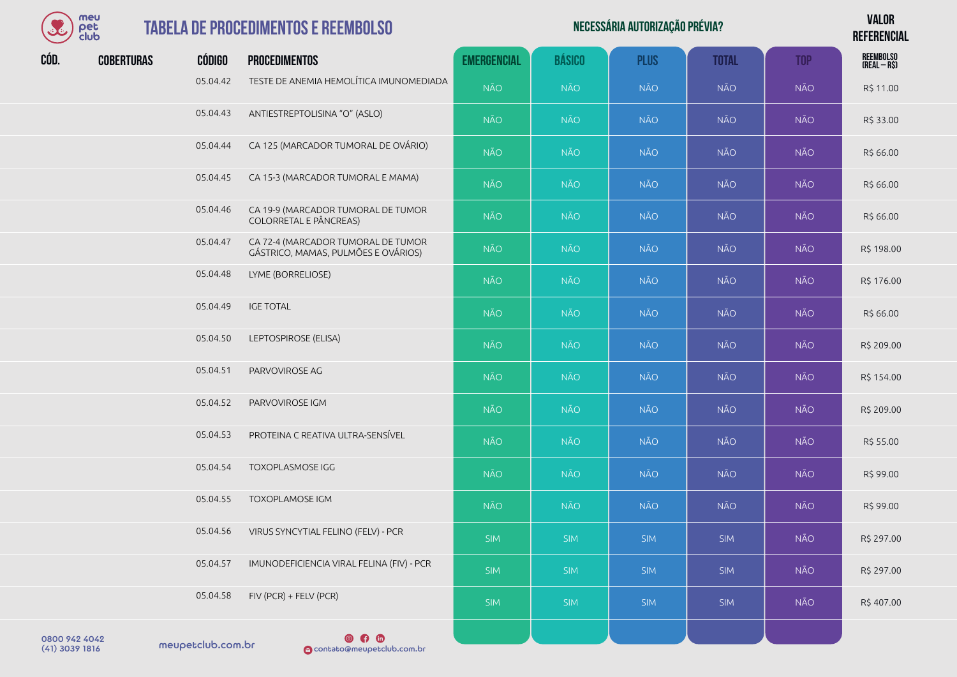

#### **TABELA DE PROCEDIMENTOS**

| $\mathcal{S}_{\hat{c}}$ | meu<br>pet<br>club |          | <b>TABELA DE PROCEDIMENTOS E REEMBOLSO</b>                                |                    |               | <b>VALOR</b><br><b>REFERENCIAL</b> |              |            |                           |
|-------------------------|--------------------|----------|---------------------------------------------------------------------------|--------------------|---------------|------------------------------------|--------------|------------|---------------------------|
| CÓD.                    | <b>COBERTURAS</b>  | CÓDIGO   | <b>PROCEDIMENTOS</b>                                                      | <b>EMERGENCIAL</b> | <b>BÁSICO</b> | <b>PLUS</b>                        | <b>TOTAL</b> | <b>TOP</b> | REEMBOLSO<br>(Real – R\$) |
|                         |                    | 05.04.42 | TESTE DE ANEMIA HEMOLÍTICA IMUNOMEDIADA                                   | <b>NÃO</b>         | <b>NÃO</b>    | <b>NÃO</b>                         | <b>NÃO</b>   | <b>NÃO</b> | R\$ 11.00                 |
|                         |                    | 05.04.43 | ANTIESTREPTOLISINA "O" (ASLO)                                             | <b>NÃO</b>         | <b>NÃO</b>    | <b>NÃO</b>                         | <b>NÃO</b>   | <b>NÃO</b> | R\$ 33.00                 |
|                         |                    | 05.04.44 | CA 125 (MARCADOR TUMORAL DE OVÁRIO)                                       | <b>NÃO</b>         | <b>NÃO</b>    | <b>NÃO</b>                         | <b>NÃO</b>   | <b>NÃO</b> | R\$ 66.00                 |
|                         |                    | 05.04.45 | CA 15-3 (MARCADOR TUMORAL E MAMA)                                         | <b>NÃO</b>         | <b>NÃO</b>    | <b>NÃO</b>                         | NÃO          | <b>NÃO</b> | R\$ 66.00                 |
|                         |                    | 05.04.46 | CA 19-9 (MARCADOR TUMORAL DE TUMOR<br>COLORRETAL E PÂNCREAS)              | <b>NÃO</b>         | <b>NÃO</b>    | <b>NÃO</b>                         | NÃO          | <b>NÃO</b> | R\$ 66.00                 |
|                         |                    | 05.04.47 | CA 72-4 (MARCADOR TUMORAL DE TUMOR<br>GÁSTRICO, MAMAS, PULMÕES E OVÁRIOS) | <b>NÃO</b>         | <b>NÃO</b>    | <b>NÃO</b>                         | NÃO          | <b>NÃO</b> | R\$ 198.00                |
|                         |                    | 05.04.48 | LYME (BORRELIOSE)                                                         | <b>NÃO</b>         | <b>NÃO</b>    | <b>NÃO</b>                         | <b>NÃO</b>   | <b>NÃO</b> | R\$ 176.00                |
|                         |                    | 05.04.49 | <b>IGE TOTAL</b>                                                          | <b>NÃO</b>         | NÃO           | <b>NÃO</b>                         | NÃO          | <b>NÃO</b> | R\$ 66.00                 |
|                         |                    | 05.04.50 | LEPTOSPIROSE (ELISA)                                                      | <b>NÃO</b>         | <b>NÃO</b>    | <b>NÃO</b>                         | <b>NÃO</b>   | <b>NÃO</b> | R\$ 209.00                |
|                         |                    | 05.04.51 | PARVOVIROSE AG                                                            | <b>NÃO</b>         | <b>NÃO</b>    | <b>NÃO</b>                         | <b>NÃO</b>   | <b>NÃO</b> | R\$ 154.00                |
|                         |                    | 05.04.52 | PARVOVIROSE IGM                                                           | <b>NÃO</b>         | <b>NÃO</b>    | <b>NÃO</b>                         | NÃO          | <b>NÃO</b> | R\$ 209.00                |
|                         |                    | 05.04.53 | PROTEINA C REATIVA ULTRA-SENSÍVEL                                         | <b>NÃO</b>         | <b>NÃO</b>    | <b>NÃO</b>                         | NÃO          | <b>NÃO</b> | R\$ 55.00                 |
|                         |                    | 05.04.54 | <b>TOXOPLASMOSE IGG</b>                                                   | <b>NÃO</b>         | <b>NÃO</b>    | <b>NÃO</b>                         | <b>NÃO</b>   | <b>NÃO</b> | R\$ 99.00                 |
|                         |                    | 05.04.55 | <b>TOXOPLAMOSE IGM</b>                                                    | NÃO                | NÃO           | NÃO                                | NÃO          | <b>NÃO</b> | R\$ 99.00                 |
|                         |                    | 05.04.56 | VIRUS SYNCYTIAL FELINO (FELV) - PCR                                       | <b>SIM</b>         | <b>SIM</b>    | <b>SIM</b>                         | SIM          | NÃO        | R\$ 297.00                |
|                         |                    | 05.04.57 | IMUNODEFICIENCIA VIRAL FELINA (FIV) - PCR                                 | <b>SIM</b>         | <b>SIM</b>    | <b>SIM</b>                         | SIM          | <b>NÃO</b> | R\$ 297.00                |
|                         |                    | 05.04.58 | FIV (PCR) + FELV (PCR)                                                    | <b>SIM</b>         | <b>SIM</b>    | <b>SIM</b>                         | SIM          | NÃO        | R\$407.00                 |

meupetclub.com.br 0800 942 4042

 $\n **④**\n **①**\n$ (41) 3039 1816 contato@meupetclub.com.br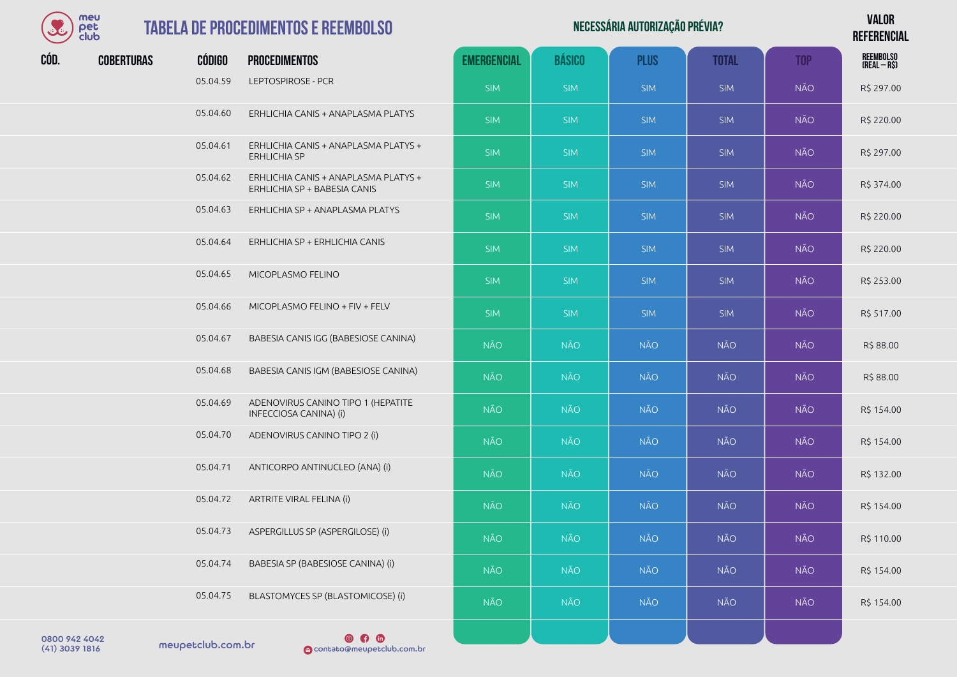

| NECESSÁRIA AUTORIZAÇÃO PRÉVIA? | <b>VALOR</b>    |
|--------------------------------|-----------------|
|                                | <b>REFERENC</b> |
|                                |                 |

*DEEEDENCIAL* 

| $\sim$ $\sim$ $\sim$ $\sim$ |                   |               |                                                                      |                    |               |             |              |            | <b>NEFENEINGIAL</b>       |
|-----------------------------|-------------------|---------------|----------------------------------------------------------------------|--------------------|---------------|-------------|--------------|------------|---------------------------|
| CÓD.                        | <b>COBERTURAS</b> | <b>CÓDIGO</b> | <b>PROCEDIMENTOS</b>                                                 | <b>EMERGENCIAL</b> | <b>BÁSICO</b> | <b>PLUS</b> | <b>TOTAL</b> | <b>TOP</b> | REEMBOLSO<br>(REAL – R\$) |
|                             |                   | 05.04.59      | LEPTOSPIROSE - PCR                                                   | <b>SIM</b>         | <b>SIM</b>    | <b>SIM</b>  | <b>SIM</b>   | <b>NÃO</b> | R\$ 297.00                |
|                             |                   | 05.04.60      | ERHLICHIA CANIS + ANAPLASMA PLATYS                                   | <b>SIM</b>         | <b>SIM</b>    | <b>SIM</b>  | <b>SIM</b>   | <b>NÃO</b> | R\$ 220.00                |
|                             |                   | 05.04.61      | ERHLICHIA CANIS + ANAPLASMA PLATYS +<br><b>ERHLICHIA SP</b>          | <b>SIM</b>         | <b>SIM</b>    | <b>SIM</b>  | <b>SIM</b>   | <b>NÃO</b> | R\$ 297.00                |
|                             |                   | 05.04.62      | ERHLICHIA CANIS + ANAPLASMA PLATYS +<br>ERHLICHIA SP + BABESIA CANIS | <b>SIM</b>         | <b>SIM</b>    | <b>SIM</b>  | <b>SIM</b>   | <b>NÃO</b> | R\$ 374.00                |
|                             |                   | 05.04.63      | ERHLICHIA SP + ANAPLASMA PLATYS                                      | <b>SIM</b>         | <b>SIM</b>    | <b>SIM</b>  | <b>SIM</b>   | <b>NÃO</b> | R\$ 220.00                |
|                             |                   | 05.04.64      | ERHLICHIA SP + ERHLICHIA CANIS                                       | <b>SIM</b>         | <b>SIM</b>    | <b>SIM</b>  | <b>SIM</b>   | <b>NÃO</b> | R\$ 220.00                |
|                             |                   | 05.04.65      | MICOPLASMO FELINO                                                    | <b>SIM</b>         | <b>SIM</b>    | <b>SIM</b>  | <b>SIM</b>   | <b>NÃO</b> | R\$ 253.00                |
|                             |                   | 05.04.66      | MICOPLASMO FELINO + FIV + FELV                                       | <b>SIM</b>         | <b>SIM</b>    | <b>SIM</b>  | <b>SIM</b>   | <b>NÃO</b> | R\$ 517.00                |
|                             |                   | 05.04.67      | BABESIA CANIS IGG (BABESIOSE CANINA)                                 | <b>NÃO</b>         | <b>NÃO</b>    | NÃO         | <b>NÃO</b>   | <b>NÃO</b> | R\$ 88.00                 |
|                             |                   | 05.04.68      | BABESIA CANIS IGM (BABESIOSE CANINA)                                 | <b>NÃO</b>         | NÃO           | <b>NÃO</b>  | <b>NÃO</b>   | <b>NÃO</b> | R\$ 88.00                 |
|                             |                   | 05.04.69      | ADENOVIRUS CANINO TIPO 1 (HEPATITE<br>INFECCIOSA CANINA) (i)         | <b>NÃO</b>         | <b>NÃO</b>    | <b>NÃO</b>  | NÃO          | <b>NÃO</b> | R\$ 154.00                |
|                             |                   | 05.04.70      | ADENOVIRUS CANINO TIPO 2 (i)                                         | <b>NÃO</b>         | <b>NÃO</b>    | <b>NÃO</b>  | NÃO          | <b>NÃO</b> | R\$ 154.00                |
|                             |                   | 05.04.71      | ANTICORPO ANTINUCLEO (ANA) (i)                                       | <b>NÃO</b>         | <b>NÃO</b>    | NÃO         | <b>NÃO</b>   | <b>NÃO</b> | R\$ 132.00                |
|                             |                   | 05.04.72      | ARTRITE VIRAL FELINA (i)                                             | NÃO                | <b>NÃO</b>    | <b>NÃO</b>  | NÃO          | <b>NÃO</b> | R\$ 154.00                |
|                             |                   | 05.04.73      | ASPERGILLUS SP (ASPERGILOSE) (i)                                     | NÃO                | <b>NÃO</b>    | <b>NÃO</b>  | <b>NÃO</b>   | <b>NÃO</b> | R\$ 110.00                |
|                             |                   | 05.04.74      | BABESIA SP (BABESIOSE CANINA) (i)                                    | <b>NÃO</b>         | <b>NÃO</b>    | <b>NÃO</b>  | <b>NÃO</b>   | <b>NÃO</b> | R\$ 154.00                |
|                             |                   | 05.04.75      | BLASTOMYCES SP (BLASTOMICOSE) (i)                                    | <b>NÃO</b>         | NÃO.          | <b>NÃO</b>  | <b>NÃO</b>   | <b>NÃO</b> | R\$ 154.00                |
|                             |                   |               |                                                                      |                    |               |             |              |            |                           |

0800 942 4042<br>(41) 3039 1816 meupetclub.com.br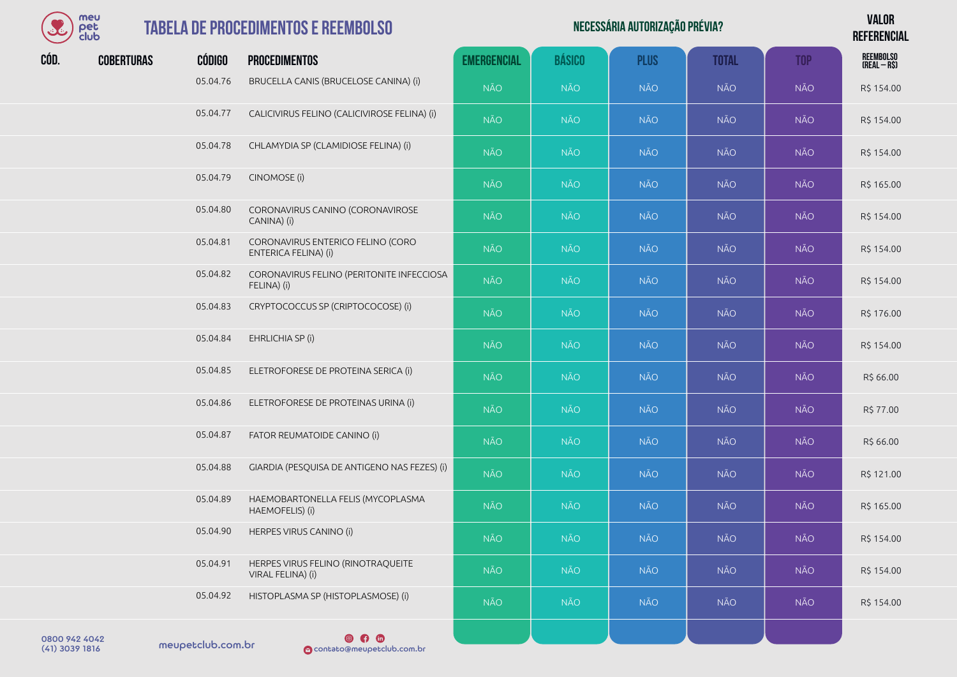

| $\mathcal{S}_{\epsilon}$ | meu<br>pet<br>club |               | <b>TABELA DE PROCEDIMENTOS E REEMBOLSO</b>                |                    |               | NECESSÁRIA AUTORIZAÇÃO PRÉVIA? |              |            | <b>VALOR</b><br><b>REFERENCIAL</b> |
|--------------------------|--------------------|---------------|-----------------------------------------------------------|--------------------|---------------|--------------------------------|--------------|------------|------------------------------------|
| CÓD.                     | <b>COBERTURAS</b>  | <b>CÓDIGO</b> | <b>PROCEDIMENTOS</b>                                      | <b>EMERGENCIAL</b> | <b>BÁSICO</b> | <b>PLUS</b>                    | <b>TOTAL</b> | <b>TOP</b> | <b>REEMBOLSO</b><br>$(REAL - RS)$  |
|                          |                    | 05.04.76      | BRUCELLA CANIS (BRUCELOSE CANINA) (i)                     | <b>NÃO</b>         | <b>NÃO</b>    | <b>NÃO</b>                     | <b>NÃO</b>   | <b>NÃO</b> | R\$ 154.00                         |
|                          |                    | 05.04.77      | CALICIVIRUS FELINO (CALICIVIROSE FELINA) (i)              | <b>NÃO</b>         | <b>NÃO</b>    | <b>NÃO</b>                     | <b>NÃO</b>   | <b>NÃO</b> | R\$ 154.00                         |
|                          |                    | 05.04.78      | CHLAMYDIA SP (CLAMIDIOSE FELINA) (i)                      | <b>NÃO</b>         | <b>NÃO</b>    | <b>NÃO</b>                     | NÃO          | <b>NÃO</b> | R\$ 154.00                         |
|                          |                    | 05.04.79      | CINOMOSE (i)                                              | <b>NÃO</b>         | <b>NÃO</b>    | <b>NÃO</b>                     | <b>NÃO</b>   | <b>NÃO</b> | R\$ 165.00                         |
|                          |                    | 05.04.80      | CORONAVIRUS CANINO (CORONAVIROSE<br>CANINA) (i)           | <b>NÃO</b>         | <b>NÃO</b>    | <b>NÃO</b>                     | <b>NÃO</b>   | <b>NÃO</b> | R\$ 154.00                         |
|                          |                    | 05.04.81      | CORONAVIRUS ENTERICO FELINO (CORO<br>ENTERICA FELINA) (i) | <b>NÃO</b>         | <b>NÃO</b>    | <b>NÃO</b>                     | <b>NÃO</b>   | <b>NÃO</b> | R\$ 154.00                         |
|                          |                    | 05.04.82      | CORONAVIRUS FELINO (PERITONITE INFECCIOSA<br>FELINA) (i)  | <b>NÃO</b>         | <b>NÃO</b>    | <b>NÃO</b>                     | <b>NÃO</b>   | <b>NÃO</b> | R\$ 154.00                         |
|                          |                    | 05.04.83      | CRYPTOCOCCUS SP (CRIPTOCOCOSE) (i)                        | <b>NÃO</b>         | <b>NÃO</b>    | <b>NÃO</b>                     | <b>NÃO</b>   | <b>NÃO</b> | R\$ 176.00                         |
|                          |                    | 05.04.84      | EHRLICHIA SP (i)                                          | <b>NÃO</b>         | <b>NÃO</b>    | <b>NÃO</b>                     | <b>NÃO</b>   | <b>NÃO</b> | R\$ 154.00                         |
|                          |                    | 05.04.85      | ELETROFORESE DE PROTEINA SERICA (i)                       | <b>NÃO</b>         | <b>NÃO</b>    | <b>NÃO</b>                     | <b>NÃO</b>   | <b>NÃO</b> | R\$ 66.00                          |
|                          |                    | 05.04.86      | ELETROFORESE DE PROTEINAS URINA (i)                       | <b>NÃO</b>         | <b>NÃO</b>    | <b>NÃO</b>                     | <b>NÃO</b>   | <b>NÃO</b> | R\$ 77.00                          |
|                          |                    | 05.04.87      | FATOR REUMATOIDE CANINO (i)                               | <b>NÃO</b>         | <b>NÃO</b>    | <b>NÃO</b>                     | <b>NÃO</b>   | <b>NÃO</b> | R\$ 66.00                          |
|                          |                    | 05.04.88      | GIARDIA (PESQUISA DE ANTIGENO NAS FEZES) (i)              | <b>NÃO</b>         | <b>NÃO</b>    | <b>NÃO</b>                     | <b>NÃO</b>   | <b>NÃO</b> | R\$ 121.00                         |
|                          |                    | 05.04.89      | HAEMOBARTONELLA FELIS (MYCOPLASMA<br>HAEMOFELIS) (i)      | <b>NÃO</b>         | <b>NÃO</b>    | <b>NÃO</b>                     | <b>NÃO</b>   | <b>NÃO</b> | R\$ 165.00                         |
|                          |                    | 05.04.90      | HERPES VIRUS CANINO (i)                                   | <b>NÃO</b>         | <b>NÃO</b>    | <b>NÃO</b>                     | NÃO          | <b>NÃO</b> | R\$ 154.00                         |
|                          |                    | 05.04.91      | HERPES VIRUS FELINO (RINOTRAQUEITE<br>VIRAL FELINA) (i)   | <b>NÃO</b>         | <b>NÃO</b>    | <b>NÃO</b>                     | NÃO          | <b>NÃO</b> | R\$ 154.00                         |
|                          |                    | 05.04.92      | HISTOPLASMA SP (HISTOPLASMOSE) (i)                        | <b>NÃO</b>         | NÃO           | <b>NÃO</b>                     | NÃO          | <b>NÃO</b> | R\$ 154.00                         |
| 0800 942 4042            |                    |               | $@$ $@$ $@$                                               |                    |               |                                |              |            |                                    |

0800 942 4042<br>(41) 3039 1816 meupetclub.com.br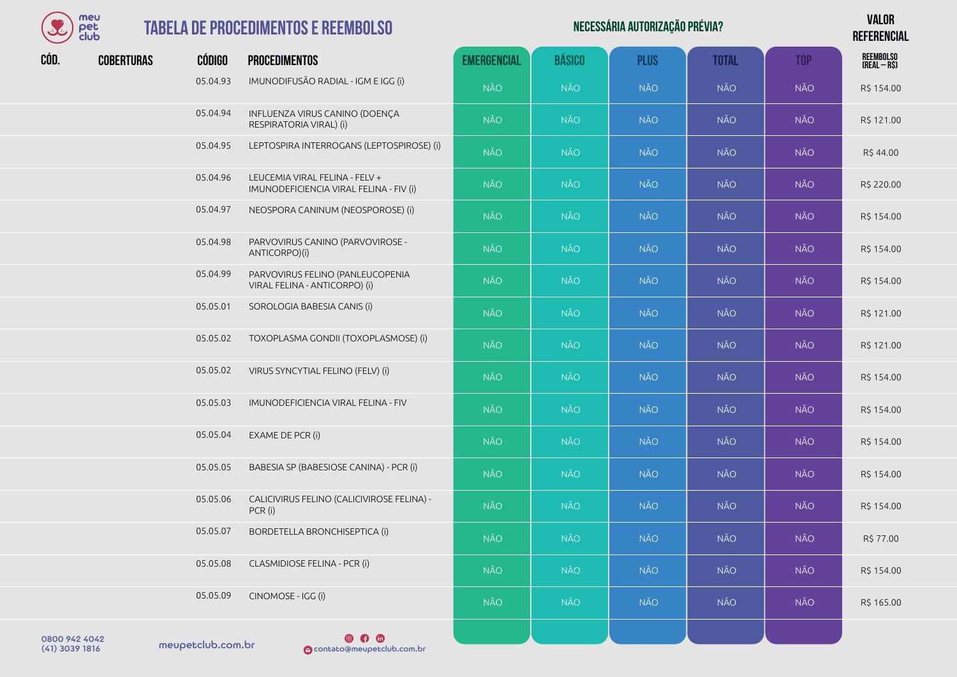

## **TABELA DE PROCEDIM**

|              | meu<br><b>TABELA DE PROCEDIMENTOS E REEMBOLSO</b><br>pet<br>club |               |                                                                           |                    |               | NECESSÁRIA AUTORIZAÇÃO PRÉVIA? |              |            | <b>VALOR</b><br><b>REFERENCIAL</b> |
|--------------|------------------------------------------------------------------|---------------|---------------------------------------------------------------------------|--------------------|---------------|--------------------------------|--------------|------------|------------------------------------|
| CÓD.         | <b>COBERTURAS</b>                                                | <b>CÓDIGO</b> | <b>PROCEDIMENTOS</b>                                                      | <b>EMERGENCIAL</b> | <b>BÁSICO</b> | <b>PLUS</b>                    | <b>TOTAL</b> | <b>TOP</b> | REEMBOLSO<br>(Real – R\$)          |
|              |                                                                  | 05.04.93      | IMUNODIFUSÃO RADIAL - IGM E IGG (i)                                       | <b>NÃO</b>         | <b>NÃO</b>    | <b>NÃO</b>                     | <b>NÃO</b>   | <b>NÃO</b> | R\$ 154.00                         |
|              |                                                                  | 05.04.94      | INFLUENZA VIRUS CANINO (DOENÇA<br>RESPIRATORIA VIRAL) (i)                 | <b>NÃO</b>         | <b>NÃO</b>    | <b>NÃO</b>                     | <b>NÃO</b>   | <b>NÃO</b> | R\$ 121.00                         |
|              |                                                                  | 05.04.95      | LEPTOSPIRA INTERROGANS (LEPTOSPIROSE) (i)                                 | <b>NÃO</b>         | <b>NÃO</b>    | <b>NÃO</b>                     | <b>NÃO</b>   | <b>NÃO</b> | R\$44.00                           |
|              |                                                                  | 05.04.96      | LEUCEMIA VIRAL FELINA - FELV +<br>IMUNODEFICIENCIA VIRAL FELINA - FIV (i) | <b>NÃO</b>         | <b>NÃO</b>    | <b>NÃO</b>                     | <b>NÃO</b>   | <b>NÃO</b> | R\$ 220.00                         |
|              |                                                                  | 05.04.97      | NEOSPORA CANINUM (NEOSPOROSE) (i)                                         | <b>NÃO</b>         | <b>NÃO</b>    | <b>NÃO</b>                     | <b>NÃO</b>   | <b>NÃO</b> | R\$ 154.00                         |
|              |                                                                  | 05.04.98      | PARVOVIRUS CANINO (PARVOVIROSE -<br>ANTICORPO)(i)                         | <b>NÃO</b>         | <b>NÃO</b>    | <b>NÃO</b>                     | <b>NÃO</b>   | <b>NÃO</b> | R\$ 154.00                         |
|              |                                                                  | 05.04.99      | PARVOVIRUS FELINO (PANLEUCOPENIA<br>VIRAL FELINA - ANTICORPO) (i)         | <b>NÃO</b>         | <b>NÃO</b>    | <b>NÃO</b>                     | <b>NÃO</b>   | <b>NÃO</b> | R\$ 154.00                         |
|              |                                                                  | 05.05.01      | SOROLOGIA BABESIA CANIS (i)                                               | <b>NÃO</b>         | <b>NÃO</b>    | <b>NÃO</b>                     | <b>NÃO</b>   | <b>NÃO</b> | R\$ 121.00                         |
|              |                                                                  | 05.05.02      | TOXOPLASMA GONDII (TOXOPLASMOSE) (i)                                      | <b>NÃO</b>         | <b>NÃO</b>    | <b>NÃO</b>                     | <b>NÃO</b>   | <b>NÃO</b> | R\$ 121.00                         |
|              |                                                                  | 05.05.02      | VIRUS SYNCYTIAL FELINO (FELV) (i)                                         | <b>NÃO</b>         | <b>NÃO</b>    | <b>NÃO</b>                     | <b>NÃO</b>   | <b>NÃO</b> | R\$ 154.00                         |
|              |                                                                  | 05.05.03      | IMUNODEFICIENCIA VIRAL FELINA - FIV                                       | <b>NÃO</b>         | <b>NÃO</b>    | <b>NÃO</b>                     | <b>NÃO</b>   | <b>NÃO</b> | R\$ 154.00                         |
|              |                                                                  | 05.05.04      | EXAME DE PCR (i)                                                          | <b>NÃO</b>         | <b>NÃO</b>    | <b>NÃO</b>                     | <b>NÃO</b>   | <b>NÃO</b> | R\$ 154.00                         |
|              |                                                                  | 05.05.05      | BABESIA SP (BABESIOSE CANINA) - PCR (i)                                   | <b>NÃO</b>         | <b>NÃO</b>    | <b>NÃO</b>                     | <b>NÃO</b>   | <b>NÃO</b> | R\$ 154.00                         |
|              |                                                                  | 05.05.06      | CALICIVIRUS FELINO (CALICIVIROSE FELINA) -<br>PCR (i)                     | <b>NÃO</b>         | <b>NÃO</b>    | <b>NÃO</b>                     | <b>NÃO</b>   | <b>NÃO</b> | R\$ 154.00                         |
|              |                                                                  | 05.05.07      | BORDETELLA BRONCHISEPTICA (i)                                             | <b>NÃO</b>         | <b>NÃO</b>    | <b>NÃO</b>                     | NÃO          | <b>NÃO</b> | R\$ 77.00                          |
|              |                                                                  | 05.05.08      | CLASMIDIOSE FELINA - PCR (i)                                              | <b>NÃO</b>         | NÃO           | <b>NÃO</b>                     | NÃO          | <b>NÃO</b> | R\$ 154.00                         |
|              |                                                                  | 05.05.09      | CINOMOSE - IGG (i)                                                        | <b>NÃO</b>         | <b>NÃO</b>    | <b>NÃO</b>                     | NÃO          | <b>NÃO</b> | R\$ 165.00                         |
| 000000101010 |                                                                  |               | @ <u>@</u> @                                                              |                    |               |                                |              |            |                                    |

meupetclub.com.br 0800 942 4042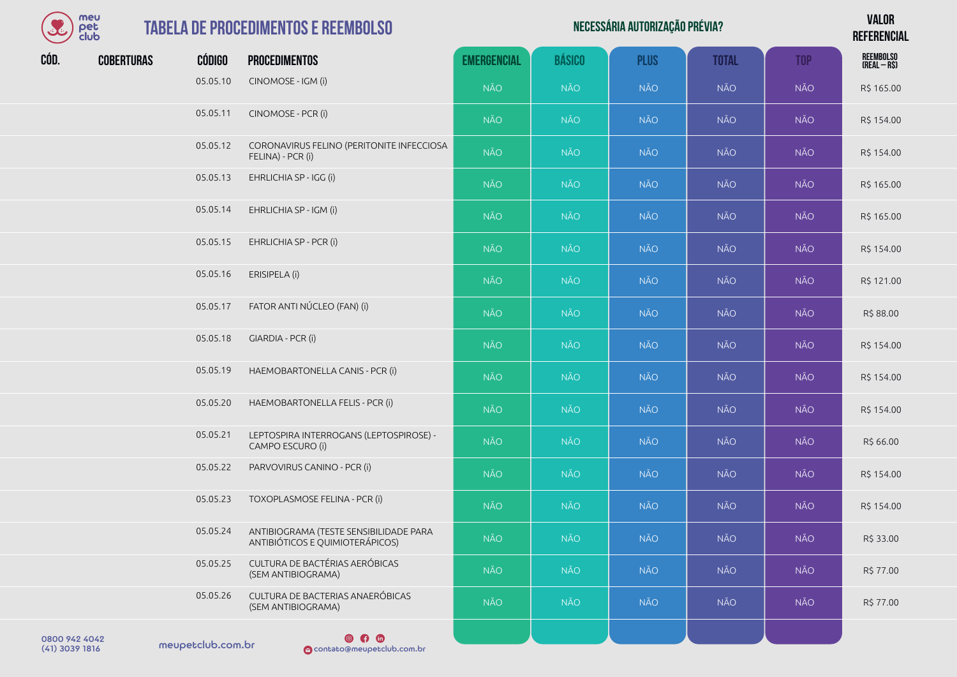| <b>COLE</b> | meu<br>pet<br>club |               | <b>TABELA DE PROCEDIMENTOS E REEMBOLSO</b>                                |                    |               | NECESSÁRIA AUTORIZAÇÃO PRÉVIA? |              |            | <b>VALOR</b><br><b>REFERENCIAL</b> |
|-------------|--------------------|---------------|---------------------------------------------------------------------------|--------------------|---------------|--------------------------------|--------------|------------|------------------------------------|
| CÓD.        | <b>COBERTURAS</b>  | <b>CÓDIGO</b> | <b>PROCEDIMENTOS</b>                                                      | <b>EMERGENCIAL</b> | <b>BÁSICO</b> | <b>PLUS</b>                    | <b>TOTAL</b> | <b>TOP</b> | REEMBOLSO<br>(Real – R\$)          |
|             |                    | 05.05.10      | CINOMOSE - IGM (i)                                                        | <b>NÃO</b>         | <b>NÃO</b>    | <b>NÃO</b>                     | <b>NÃO</b>   | <b>NÃO</b> | R\$ 165.00                         |
|             |                    | 05.05.11      | CINOMOSE - PCR (i)                                                        | <b>NÃO</b>         | <b>NÃO</b>    | <b>NÃO</b>                     | NÃO          | <b>NÃO</b> | R\$ 154.00                         |
|             |                    | 05.05.12      | CORONAVIRUS FELINO (PERITONITE INFECCIOSA<br>FELINA) - PCR (i)            | <b>NÃO</b>         | <b>NÃO</b>    | <b>NÃO</b>                     | <b>NÃO</b>   | <b>NÃO</b> | R\$ 154.00                         |
|             |                    | 05.05.13      | EHRLICHIA SP - IGG (i)                                                    | <b>NÃO</b>         | <b>NÃO</b>    | <b>NÃO</b>                     | <b>NÃO</b>   | <b>NÃO</b> | R\$ 165.00                         |
|             |                    | 05.05.14      | EHRLICHIA SP - IGM (i)                                                    | <b>NÃO</b>         | <b>NÃO</b>    | <b>NÃO</b>                     | <b>NÃO</b>   | <b>NÃO</b> | R\$ 165.00                         |
|             |                    | 05.05.15      | EHRLICHIA SP - PCR (i)                                                    | <b>NÃO</b>         | <b>NÃO</b>    | <b>NÃO</b>                     | <b>NÃO</b>   | <b>NÃO</b> | R\$ 154.00                         |
|             |                    | 05.05.16      | ERISIPELA (i)                                                             | <b>NÃO</b>         | <b>NÃO</b>    | <b>NÃO</b>                     | <b>NÃO</b>   | <b>NÃO</b> | R\$ 121.00                         |
|             |                    | 05.05.17      | FATOR ANTI NÚCLEO (FAN) (i)                                               | <b>NÃO</b>         | <b>NÃO</b>    | <b>NÃO</b>                     | <b>NÃO</b>   | <b>NÃO</b> | R\$ 88.00                          |
|             |                    | 05.05.18      | GIARDIA - PCR (i)                                                         | <b>NÃO</b>         | <b>NÃO</b>    | <b>NÃO</b>                     | <b>NÃO</b>   | <b>NÃO</b> | R\$ 154.00                         |
|             |                    | 05.05.19      | HAEMOBARTONELLA CANIS - PCR (i)                                           | <b>NÃO</b>         | <b>NÃO</b>    | <b>NÃO</b>                     | <b>NÃO</b>   | <b>NÃO</b> | R\$ 154.00                         |
|             |                    | 05.05.20      | HAEMOBARTONELLA FELIS - PCR (i)                                           | <b>NÃO</b>         | <b>NÃO</b>    | <b>NÃO</b>                     | <b>NÃO</b>   | <b>NÃO</b> | R\$ 154.00                         |
|             |                    | 05.05.21      | LEPTOSPIRA INTERROGANS (LEPTOSPIROSE) -<br>CAMPO ESCURO (i)               | <b>NÃO</b>         | <b>NÃO</b>    | <b>NÃO</b>                     | <b>NÃO</b>   | <b>NÃO</b> | R\$ 66.00                          |
|             |                    | 05.05.22      | PARVOVIRUS CANINO - PCR (i)                                               | <b>NÃO</b>         | <b>NÃO</b>    | <b>NÃO</b>                     | <b>NÃO</b>   | NÃO        | R\$ 154.00                         |
|             |                    | 05.05.23      | TOXOPLASMOSE FELINA - PCR (i)                                             | <b>NÃO</b>         | <b>NÃO</b>    | <b>NÃO</b>                     | <b>NÃO</b>   | <b>NÃO</b> | R\$ 154.00                         |
|             |                    | 05.05.24      | ANTIBIOGRAMA (TESTE SENSIBILIDADE PARA<br>ANTIBIÓTICOS E QUIMIOTERÁPICOS) | <b>NÃO</b>         | <b>NÃO</b>    | <b>NÃO</b>                     | <b>NÃO</b>   | <b>NÃO</b> | R\$ 33.00                          |
|             |                    | 05.05.25      | CULTURA DE BACTÉRIAS AERÓBICAS<br>(SEM ANTIBIOGRAMA)                      | <b>NÃO</b>         | <b>NÃO</b>    | <b>NÃO</b>                     | <b>NÃO</b>   | <b>NÃO</b> | R\$ 77.00                          |
|             |                    | 05.05.26      | CULTURA DE BACTERIAS ANAERÓBICAS<br>(SEM ANTIBIOGRAMA)                    | <b>NÃO</b>         | <b>NÃO</b>    | NÃO                            | <b>NÃO</b>   | <b>NÃO</b> | R\$ 77.00                          |
|             |                    |               |                                                                           |                    |               |                                |              |            |                                    |

0800 942 4042<br>(41) 3039 1816 meupetclub.com.br

**O**<br> **O** contato@meupetclub.com.br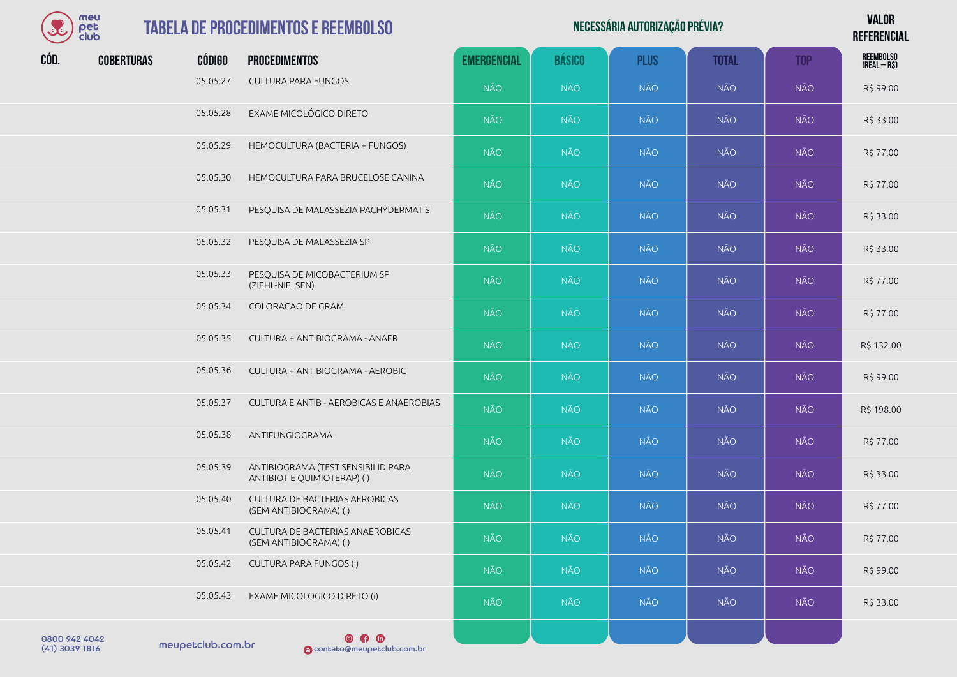| meu  |
|------|
| Υ≏Г  |
| club |

#### **TABELA DE PROCEDIMENTO**

| SC   | meu<br>pet<br>club |               | <b>TABELA DE PROCEDIMENTOS E REEMBOLSO</b>                        |                    |               | NECESSÁRIA AUTORIZAÇÃO PRÉVIA? |              |            | <b>VALOR</b><br><b>REFERENCIAL</b> |
|------|--------------------|---------------|-------------------------------------------------------------------|--------------------|---------------|--------------------------------|--------------|------------|------------------------------------|
| CÓD. | <b>COBERTURAS</b>  | <b>CÓDIGO</b> | <b>PROCEDIMENTOS</b>                                              | <b>EMERGENCIAL</b> | <b>BÁSICO</b> | <b>PLUS</b>                    | <b>TOTAL</b> | <b>TOP</b> | REEMBOLSO<br>(Real – R\$)          |
|      |                    | 05.05.27      | CULTURA PARA FUNGOS                                               | <b>NÃO</b>         | <b>NÃO</b>    | <b>NÃO</b>                     | NÃO          | NÃO        | R\$ 99.00                          |
|      |                    | 05.05.28      | EXAME MICOLÓGICO DIRETO                                           | <b>NÃO</b>         | NÃO.          | NÃO                            | <b>NÃO</b>   | NÃO        | R\$ 33.00                          |
|      |                    | 05.05.29      | HEMOCULTURA (BACTERIA + FUNGOS)                                   | <b>NÃO</b>         | NÃO           | <b>NÃO</b>                     | <b>NÃO</b>   | NÃO        | R\$ 77.00                          |
|      |                    | 05.05.30      | HEMOCULTURA PARA BRUCELOSE CANINA                                 | <b>NÃO</b>         | <b>NÃO</b>    | <b>NÃO</b>                     | NÃO          | NÃO        | R\$ 77.00                          |
|      |                    | 05.05.31      | PESQUISA DE MALASSEZIA PACHYDERMATIS                              | <b>NÃO</b>         | <b>NÃO</b>    | <b>NÃO</b>                     | NÃO          | NÃO        | R\$ 33.00                          |
|      |                    | 05.05.32      | PESQUISA DE MALASSEZIA SP                                         | <b>NÃO</b>         | <b>NÃO</b>    | <b>NÃO</b>                     | NÃO          | NÃO        | R\$ 33.00                          |
|      |                    | 05.05.33      | PESQUISA DE MICOBACTERIUM SP<br>(ZIEHL-NIELSEN)                   | <b>NÃO</b>         | <b>NÃO</b>    | <b>NÃO</b>                     | <b>NÃO</b>   | NÃO        | R\$ 77.00                          |
|      |                    | 05.05.34      | COLORACAO DE GRAM                                                 | <b>NÃO</b>         | <b>NÃO</b>    | <b>NÃO</b>                     | NÃO          | NÃO        | R\$ 77.00                          |
|      |                    | 05.05.35      | CULTURA + ANTIBIOGRAMA - ANAER                                    | <b>NÃO</b>         | NÃO           | <b>NÃO</b>                     | <b>NÃO</b>   | NÃO        | R\$ 132.00                         |
|      |                    | 05.05.36      | CULTURA + ANTIBIOGRAMA - AEROBIC                                  | <b>NÃO</b>         | NÃO           | <b>NÃO</b>                     | <b>NÃO</b>   | NÃO        | R\$ 99.00                          |
|      |                    | 05.05.37      | CULTURA E ANTIB - AEROBICAS E ANAEROBIAS                          | <b>NÃO</b>         | <b>NÃO</b>    | <b>NÃO</b>                     | NÃO          | NÃO        | R\$ 198.00                         |
|      |                    | 05.05.38      | ANTIFUNGIOGRAMA                                                   | <b>NÃO</b>         | <b>NÃO</b>    | <b>NÃO</b>                     | NÃO          | NÃO        | R\$ 77.00                          |
|      |                    | 05.05.39      | ANTIBIOGRAMA (TEST SENSIBILID PARA<br>ANTIBIOT E QUIMIOTERAP) (i) | <b>NÃO</b>         | <b>NÃO</b>    | <b>NÃO</b>                     | NÃO          | NÃO        | R\$ 33.00                          |
|      |                    | 05.05.40      | CULTURA DE BACTERIAS AEROBICAS<br>(SEM ANTIBIOGRAMA) (i)          | <b>NÃO</b>         | <b>NÃO</b>    | <b>NÃO</b>                     | NÃO          | <b>NÃO</b> | R\$ 77.00                          |
|      |                    | 05.05.41      | CULTURA DE BACTERIAS ANAEROBICAS<br>(SEM ANTIBIOGRAMA) (i)        | <b>NÃO</b>         | <b>NÃO</b>    | <b>NÃO</b>                     | NÃO          | NÃO        | R\$ 77.00                          |
|      |                    | 05.05.42      | CULTURA PARA FUNGOS (i)                                           | <b>NÃO</b>         | <b>NÃO</b>    | <b>NÃO</b>                     | NÃO          | NÃO        | R\$ 99.00                          |
|      |                    | 05.05.43      | EXAME MICOLOGICO DIRETO (i)                                       | <b>NÃO</b>         | <b>NÃO</b>    | <b>NÃO</b>                     | NÃO          | NÃO        | R\$ 33.00                          |
|      |                    |               |                                                                   |                    |               |                                |              |            |                                    |

meupetclub.com.br 0800 942 4042

 $\circ$   $\circ$ (41) 3039 1816 contato@meupetclub.com.br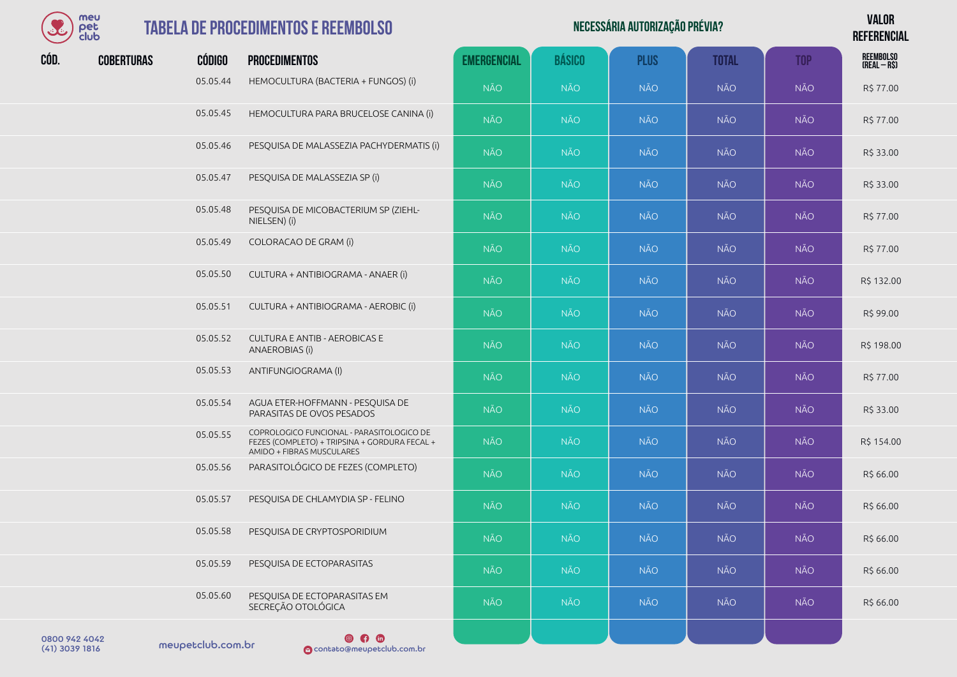

| $\mathcal{L}$ | meu<br>pet<br><b>club</b> |               | <b>TABELA DE PROCEDIMENTOS E REEMBOLSO</b>                                                                              |                    |               | NECESSÁRIA AUTORIZAÇÃO PRÉVIA? |              |            | <b>VALOR</b><br><b>REFERENCIAL</b> |
|---------------|---------------------------|---------------|-------------------------------------------------------------------------------------------------------------------------|--------------------|---------------|--------------------------------|--------------|------------|------------------------------------|
| CÓD.          | <b>COBERTURAS</b>         | <b>CÓDIGO</b> | <b>PROCEDIMENTOS</b>                                                                                                    | <b>EMERGENCIAL</b> | <b>BÁSICO</b> | <b>PLUS</b>                    | <b>TOTAL</b> | <b>TOP</b> | REEMBOLSO<br>(Real – R\$)          |
|               |                           | 05.05.44      | HEMOCULTURA (BACTERIA + FUNGOS) (i)                                                                                     | <b>NÃO</b>         | <b>NÃO</b>    | <b>NÃO</b>                     | <b>NÃO</b>   | <b>NÃO</b> | R\$ 77.00                          |
|               |                           | 05.05.45      | HEMOCULTURA PARA BRUCELOSE CANINA (i)                                                                                   | <b>NÃO</b>         | <b>NÃO</b>    | <b>NÃO</b>                     | <b>NÃO</b>   | NÃO        | R\$ 77.00                          |
|               |                           | 05.05.46      | PESQUISA DE MALASSEZIA PACHYDERMATIS (i)                                                                                | <b>NÃO</b>         | <b>NÃO</b>    | <b>NÃO</b>                     | <b>NÃO</b>   | NÃO        | R\$ 33.00                          |
|               |                           | 05.05.47      | PESQUISA DE MALASSEZIA SP (i)                                                                                           | <b>NÃO</b>         | <b>NÃO</b>    | <b>NÃO</b>                     | <b>NÃO</b>   | NÃO        | R\$ 33.00                          |
|               |                           | 05.05.48      | PESQUISA DE MICOBACTERIUM SP (ZIEHL-<br>NIELSEN) (i)                                                                    | <b>NÃO</b>         | <b>NÃO</b>    | <b>NÃO</b>                     | <b>NÃO</b>   | <b>NÃO</b> | R\$ 77.00                          |
|               |                           | 05.05.49      | COLORACAO DE GRAM (i)                                                                                                   | <b>NÃO</b>         | <b>NÃO</b>    | <b>NÃO</b>                     | <b>NÃO</b>   | NÃO        | R\$ 77.00                          |
|               |                           | 05.05.50      | CULTURA + ANTIBIOGRAMA - ANAER (i)                                                                                      | <b>NÃO</b>         | <b>NÃO</b>    | <b>NÃO</b>                     | <b>NÃO</b>   | <b>NÃO</b> | R\$ 132.00                         |
|               |                           | 05.05.51      | CULTURA + ANTIBIOGRAMA - AEROBIC (i)                                                                                    | <b>NÃO</b>         | <b>NÃO</b>    | <b>NÃO</b>                     | <b>NÃO</b>   | NÃO        | R\$ 99.00                          |
|               |                           | 05.05.52      | <b>CULTURA E ANTIB - AEROBICAS E</b><br>ANAEROBIAS (i)                                                                  | <b>NÃO</b>         | <b>NÃO</b>    | <b>NÃO</b>                     | <b>NÃO</b>   | NÃO        | R\$ 198.00                         |
|               |                           | 05.05.53      | ANTIFUNGIOGRAMA (I)                                                                                                     | <b>NÃO</b>         | <b>NÃO</b>    | <b>NÃO</b>                     | <b>NÃO</b>   | NÃO        | R\$ 77.00                          |
|               |                           | 05.05.54      | AGUA ETER-HOFFMANN - PESQUISA DE<br>PARASITAS DE OVOS PESADOS                                                           | <b>NÃO</b>         | <b>NÃO</b>    | <b>NÃO</b>                     | <b>NÃO</b>   | NÃO        | R\$ 33.00                          |
|               |                           | 05.05.55      | COPROLOGICO FUNCIONAL - PARASITOLOGICO DE<br>FEZES (COMPLETO) + TRIPSINA + GORDURA FECAL +<br>AMIDO + FIBRAS MUSCULARES | <b>NÃO</b>         | <b>NÃO</b>    | <b>NÃO</b>                     | <b>NÃO</b>   | <b>NÃO</b> | R\$ 154.00                         |
|               |                           | 05.05.56      | PARASITOLÓGICO DE FEZES (COMPLETO)                                                                                      | <b>NÃO</b>         | <b>NÃO</b>    | <b>NÃO</b>                     | <b>NÃO</b>   | NÃO        | R\$ 66.00                          |
|               |                           | 05.05.57      | PESQUISA DE CHLAMYDIA SP - FELINO                                                                                       | <b>NÃO</b>         | <b>NÃO</b>    | <b>NÃO</b>                     | <b>NÃO</b>   | NÃO        | R\$ 66.00                          |
|               |                           | 05.05.58      | PESQUISA DE CRYPTOSPORIDIUM                                                                                             | <b>NÃO</b>         | <b>NÃO</b>    | <b>NÃO</b>                     | <b>NÃO</b>   | <b>NÃO</b> | R\$ 66.00                          |
|               |                           | 05.05.59      | PESQUISA DE ECTOPARASITAS                                                                                               | <b>NÃO</b>         | <b>NÃO</b>    | <b>NÃO</b>                     | <b>NÃO</b>   | NÃO        | R\$ 66.00                          |
|               |                           | 05.05.60      | PESQUISA DE ECTOPARASITAS EM<br>SECREÇÃO OTOLÓGICA                                                                      | <b>NÃO</b>         | <b>NÃO</b>    | <b>NÃO</b>                     | <b>NÃO</b>   | NÃO        | R\$ 66.00                          |
| 0.00000000    |                           |               | <b>QAQ</b>                                                                                                              |                    |               |                                |              |            |                                    |

meupetclub.com.br 0800 942 4042

**e (31 m)**<br> **O** contato@meupetclub.com.br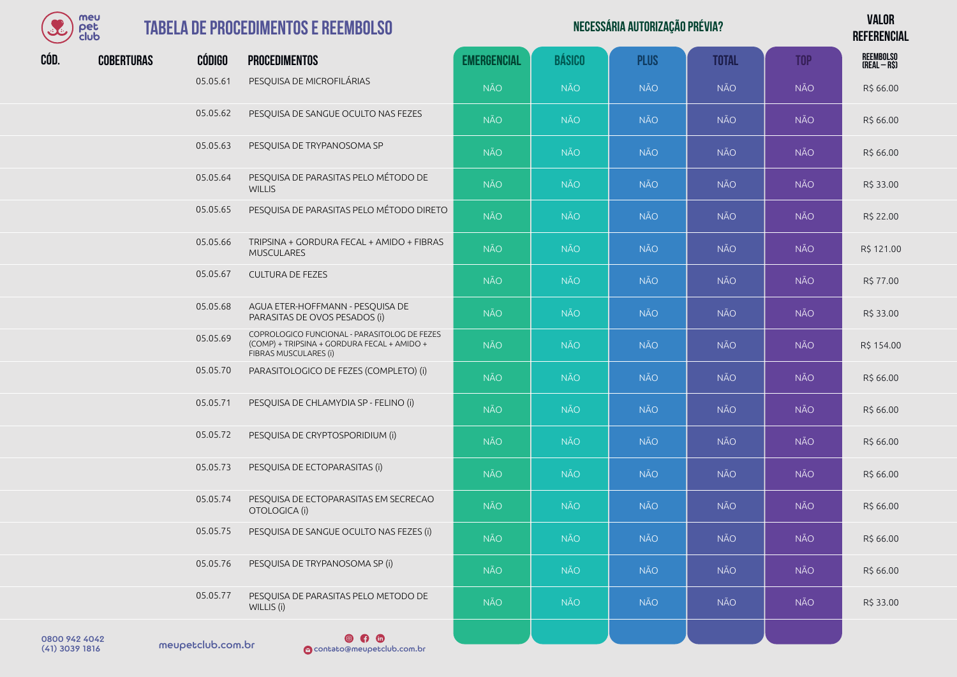

#### **TABELA DE PROCEDIMENTOS E RI**

|      | meu<br>pet<br>club |               | <b>TABELA DE PROCEDIMENTOS E REEMBOLSO</b>                                                                           |                    |               | NECESSÁRIA AUTORIZAÇÃO PRÉVIA? |              |            | <b>VALOR</b><br><b>REFERENCIAL</b> |
|------|--------------------|---------------|----------------------------------------------------------------------------------------------------------------------|--------------------|---------------|--------------------------------|--------------|------------|------------------------------------|
| CÓD. | <b>COBERTURAS</b>  | <b>CÓDIGO</b> | <b>PROCEDIMENTOS</b>                                                                                                 | <b>EMERGENCIAL</b> | <b>BÁSICO</b> | <b>PLUS</b>                    | <b>TOTAL</b> | <b>TOP</b> | <b>REEMBOLSO</b><br>(REAL-R\$)     |
|      |                    | 05.05.61      | PESQUISA DE MICROFILÁRIAS                                                                                            | <b>NÃO</b>         | <b>NÃO</b>    | <b>NÃO</b>                     | <b>NÃO</b>   | <b>NÃO</b> | R\$ 66.00                          |
|      |                    | 05.05.62      | PESQUISA DE SANGUE OCULTO NAS FEZES                                                                                  | <b>NÃO</b>         | <b>NÃO</b>    | <b>NÃO</b>                     | <b>NÃO</b>   | <b>NÃO</b> | R\$ 66.00                          |
|      |                    | 05.05.63      | PESQUISA DE TRYPANOSOMA SP                                                                                           | <b>NÃO</b>         | <b>NÃO</b>    | <b>NÃO</b>                     | <b>NÃO</b>   | <b>NÃO</b> | R\$ 66.00                          |
|      |                    | 05.05.64      | PESQUISA DE PARASITAS PELO MÉTODO DE<br><b>WILLIS</b>                                                                | <b>NÃO</b>         | <b>NÃO</b>    | <b>NÃO</b>                     | <b>NÃO</b>   | NÃO        | R\$ 33.00                          |
|      |                    | 05.05.65      | PESQUISA DE PARASITAS PELO MÉTODO DIRETO                                                                             | <b>NÃO</b>         | <b>NÃO</b>    | <b>NÃO</b>                     | <b>NÃO</b>   | NÃO        | R\$ 22.00                          |
|      |                    | 05.05.66      | TRIPSINA + GORDURA FECAL + AMIDO + FIBRAS<br><b>MUSCULARES</b>                                                       | <b>NÃO</b>         | <b>NÃO</b>    | <b>NÃO</b>                     | <b>NÃO</b>   | <b>NÃO</b> | R\$ 121.00                         |
|      |                    | 05.05.67      | <b>CULTURA DE FEZES</b>                                                                                              | <b>NÃO</b>         | <b>NÃO</b>    | <b>NÃO</b>                     | <b>NÃO</b>   | NÃO        | R\$ 77.00                          |
|      |                    | 05.05.68      | AGUA ETER-HOFFMANN - PESQUISA DE<br>PARASITAS DE OVOS PESADOS (i)                                                    | <b>NÃO</b>         | <b>NÃO</b>    | <b>NÃO</b>                     | <b>NÃO</b>   | NÃO        | R\$ 33.00                          |
|      |                    | 05.05.69      | COPROLOGICO FUNCIONAL - PARASITOLOG DE FEZES<br>(COMP) + TRIPSINA + GORDURA FECAL + AMIDO +<br>FIBRAS MUSCULARES (i) | <b>NÃO</b>         | <b>NÃO</b>    | <b>NÃO</b>                     | <b>NÃO</b>   | <b>NÃO</b> | R\$ 154.00                         |
|      |                    | 05.05.70      | PARASITOLOGICO DE FEZES (COMPLETO) (i)                                                                               | <b>NÃO</b>         | <b>NÃO</b>    | <b>NÃO</b>                     | <b>NÃO</b>   | <b>NÃO</b> | R\$ 66.00                          |
|      |                    | 05.05.71      | PESQUISA DE CHLAMYDIA SP - FELINO (i)                                                                                | <b>NÃO</b>         | <b>NÃO</b>    | <b>NÃO</b>                     | <b>NÃO</b>   | NÃO        | R\$ 66.00                          |
|      |                    | 05.05.72      | PESQUISA DE CRYPTOSPORIDIUM (i)                                                                                      | <b>NÃO</b>         | <b>NÃO</b>    | <b>NÃO</b>                     | <b>NÃO</b>   | <b>NÃO</b> | R\$ 66.00                          |
|      |                    | 05.05.73      | PESQUISA DE ECTOPARASITAS (i)                                                                                        | <b>NÃO</b>         | <b>NÃO</b>    | <b>NÃO</b>                     | <b>NÃO</b>   | <b>NÃO</b> | R\$ 66.00                          |
|      |                    | 05.05.74      | PESQUISA DE ECTOPARASITAS EM SECRECAO<br>OTOLOGICA (i)                                                               | <b>NÃO</b>         | <b>NÃO</b>    | <b>NÃO</b>                     | <b>NÃO</b>   | NÃO        | R\$ 66.00                          |
|      |                    | 05.05.75      | PESQUISA DE SANGUE OCULTO NAS FEZES (i)                                                                              | <b>NÃO</b>         | <b>NÃO</b>    | <b>NÃO</b>                     | <b>NÃO</b>   | <b>NÃO</b> | R\$ 66.00                          |
|      |                    | 05.05.76      | PESQUISA DE TRYPANOSOMA SP (i)                                                                                       | <b>NÃO</b>         | <b>NÃO</b>    | <b>NÃO</b>                     | <b>NÃO</b>   | NÃO        | R\$ 66.00                          |
|      |                    | 05.05.77      | PESQUISA DE PARASITAS PELO METODO DE<br>WILLIS (i)                                                                   | <b>NÃO</b>         | <b>NÃO</b>    | <b>NÃO</b>                     | <b>NÃO</b>   | NÃO        | R\$ 33.00                          |
|      |                    |               |                                                                                                                      |                    |               |                                |              |            |                                    |

0800 942 4042<br>(41) 3039 1816 meupetclub.com.br

 $\n **④**\n **①**\n$ (41) 3039 1816 contato@meupetclub.com.br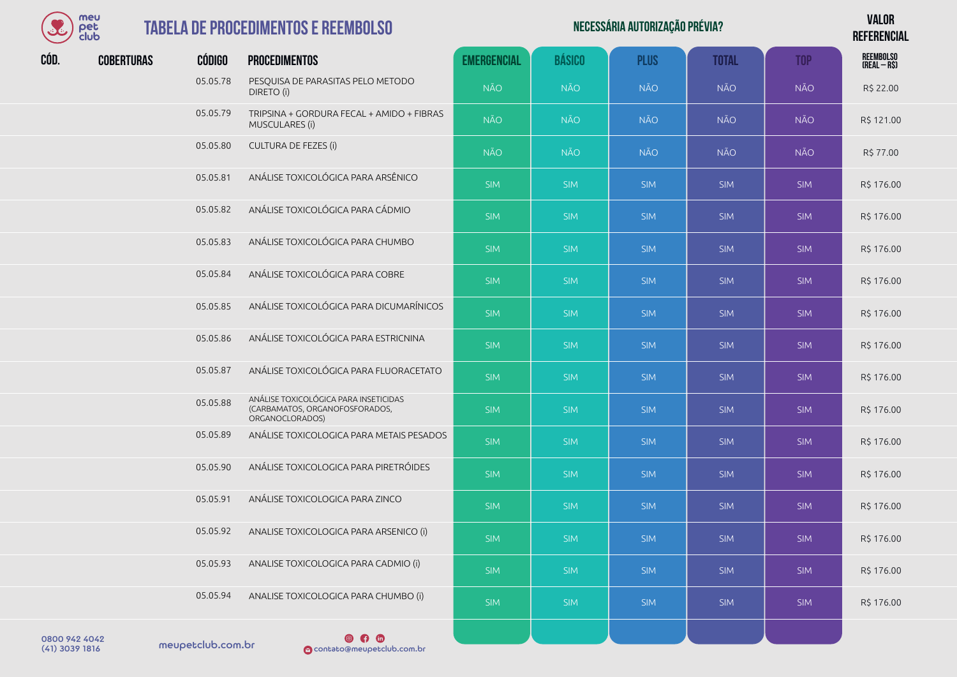

## **TABELA DE PROCED**

|      | meu<br><b>TABELA DE PROCEDIMENTOS E REEMBOLSO</b><br>pet<br>club |               |                                                                                            |                    | NECESSÁRIA AUTORIZAÇÃO PRÉVIA? |             |              |            |                                   |  |  |
|------|------------------------------------------------------------------|---------------|--------------------------------------------------------------------------------------------|--------------------|--------------------------------|-------------|--------------|------------|-----------------------------------|--|--|
| CÓD. | <b>COBERTURAS</b>                                                | <b>CÓDIGO</b> | <b>PROCEDIMENTOS</b>                                                                       | <b>EMERGENCIAL</b> | <b>BÁSICO</b>                  | <b>PLUS</b> | <b>TOTAL</b> | <b>TOP</b> | <b>REEMBOLSO</b><br>$(REAL - RS)$ |  |  |
|      |                                                                  | 05.05.78      | PESQUISA DE PARASITAS PELO METODO<br>DIRETO (i)                                            | <b>NÃO</b>         | <b>NÃO</b>                     | <b>NÃO</b>  | <b>NÃO</b>   | <b>NÃO</b> | R\$ 22.00                         |  |  |
|      |                                                                  | 05.05.79      | TRIPSINA + GORDURA FECAL + AMIDO + FIBRAS<br>MUSCULARES (i)                                | <b>NÃO</b>         | <b>NÃO</b>                     | <b>NÃO</b>  | <b>NÃO</b>   | NÃO        | R\$ 121.00                        |  |  |
|      |                                                                  | 05.05.80      | <b>CULTURA DE FEZES (i)</b>                                                                | <b>NÃO</b>         | <b>NÃO</b>                     | <b>NÃO</b>  | <b>NÃO</b>   | <b>NÃO</b> | R\$ 77.00                         |  |  |
|      |                                                                  | 05.05.81      | ANÁLISE TOXICOLÓGICA PARA ARSÊNICO                                                         | <b>SIM</b>         | <b>SIM</b>                     | <b>SIM</b>  | <b>SIM</b>   | <b>SIM</b> | R\$ 176.00                        |  |  |
|      |                                                                  | 05.05.82      | ANÁLISE TOXICOLÓGICA PARA CÁDMIO                                                           | <b>SIM</b>         | <b>SIM</b>                     | <b>SIM</b>  | <b>SIM</b>   | <b>SIM</b> | R\$ 176.00                        |  |  |
|      |                                                                  | 05.05.83      | ANÁLISE TOXICOLÓGICA PARA CHUMBO                                                           | <b>SIM</b>         | <b>SIM</b>                     | <b>SIM</b>  | <b>SIM</b>   | <b>SIM</b> | R\$ 176.00                        |  |  |
|      |                                                                  | 05.05.84      | ANÁLISE TOXICOLÓGICA PARA COBRE                                                            | <b>SIM</b>         | <b>SIM</b>                     | <b>SIM</b>  | <b>SIM</b>   | <b>SIM</b> | R\$ 176.00                        |  |  |
|      |                                                                  | 05.05.85      | ANÁLISE TOXICOLÓGICA PARA DICUMARÍNICOS                                                    | <b>SIM</b>         | <b>SIM</b>                     | <b>SIM</b>  | <b>SIM</b>   | <b>SIM</b> | R\$ 176.00                        |  |  |
|      |                                                                  | 05.05.86      | ANÁLISE TOXICOLÓGICA PARA ESTRICNINA                                                       | <b>SIM</b>         | <b>SIM</b>                     | <b>SIM</b>  | <b>SIM</b>   | <b>SIM</b> | R\$ 176.00                        |  |  |
|      |                                                                  | 05.05.87      | ANÁLISE TOXICOLÓGICA PARA FLUORACETATO                                                     | <b>SIM</b>         | <b>SIM</b>                     | <b>SIM</b>  | <b>SIM</b>   | <b>SIM</b> | R\$ 176.00                        |  |  |
|      |                                                                  | 05.05.88      | ANÁLISE TOXICOLÓGICA PARA INSETICIDAS<br>(CARBAMATOS, ORGANOFOSFORADOS,<br>ORGANOCLORADOS) | <b>SIM</b>         | <b>SIM</b>                     | <b>SIM</b>  | <b>SIM</b>   | <b>SIM</b> | R\$ 176.00                        |  |  |
|      |                                                                  | 05.05.89      | ANÁLISE TOXICOLOGICA PARA METAIS PESADOS                                                   | <b>SIM</b>         | <b>SIM</b>                     | <b>SIM</b>  | <b>SIM</b>   | <b>SIM</b> | R\$ 176.00                        |  |  |
|      |                                                                  | 05.05.90      | ANÁLISE TOXICOLOGICA PARA PIRETRÓIDES                                                      | <b>SIM</b>         | <b>SIM</b>                     | <b>SIM</b>  | <b>SIM</b>   | <b>SIM</b> | R\$ 176.00                        |  |  |
|      |                                                                  | 05.05.91      | ANÁLISE TOXICOLOGICA PARA ZINCO                                                            | <b>SIM</b>         | <b>SIM</b>                     | <b>SIM</b>  | <b>SIM</b>   | <b>SIM</b> | R\$ 176.00                        |  |  |
|      |                                                                  | 05.05.92      | ANALISE TOXICOLOGICA PARA ARSENICO (i)                                                     | <b>SIM</b>         | <b>SIM</b>                     | <b>SIM</b>  | <b>SIM</b>   | <b>SIM</b> | R\$ 176.00                        |  |  |
|      |                                                                  | 05.05.93      | ANALISE TOXICOLOGICA PARA CADMIO (i)                                                       | <b>SIM</b>         | <b>SIM</b>                     | <b>SIM</b>  | <b>SIM</b>   | <b>SIM</b> | R\$ 176.00                        |  |  |
|      |                                                                  | 05.05.94      | ANALISE TOXICOLOGICA PARA CHUMBO (i)                                                       | <b>SIM</b>         | <b>SIM</b>                     | <b>SIM</b>  | <b>SIM</b>   | <b>SIM</b> | R\$ 176.00                        |  |  |

0800 942 4042<br>(41) 3039 1816 meupetclub.com.br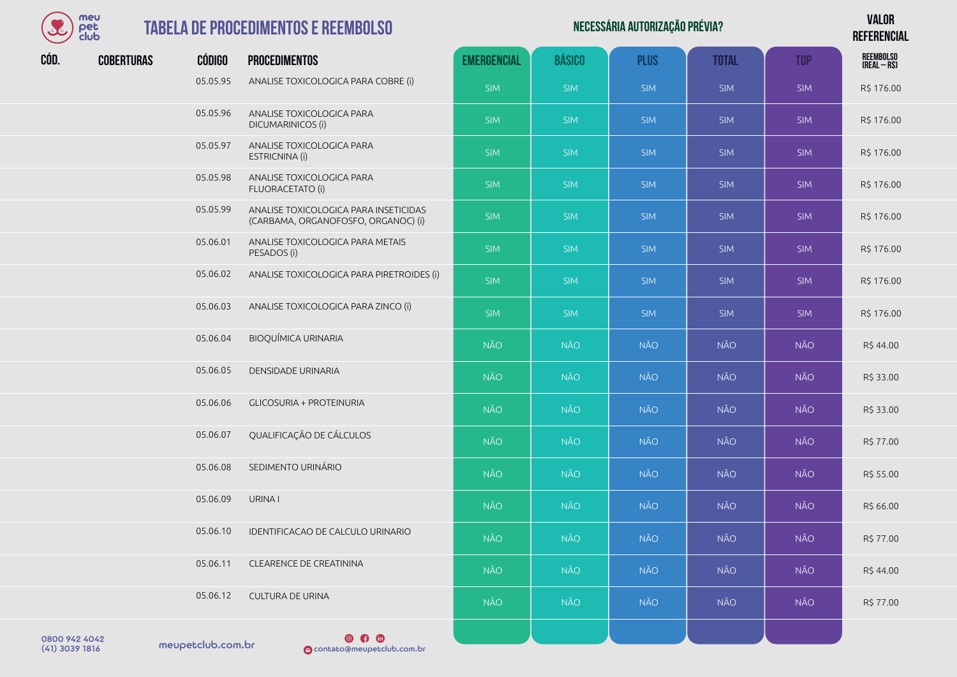

## **TABELA DE PROCEI**

| OC   | meu<br>pet<br>club |               | <b>TABELA DE PROCEDIMENTOS E REEMBOLSO</b>                                   |                    |               | NECESSÁRIA AUTORIZAÇÃO PRÉVIA? |              |            | <b>VALOR</b><br><b>REFERENCIAL</b> |
|------|--------------------|---------------|------------------------------------------------------------------------------|--------------------|---------------|--------------------------------|--------------|------------|------------------------------------|
| CÓD. | <b>COBERTURAS</b>  | <b>CÓDIGO</b> | <b>PROCEDIMENTOS</b>                                                         | <b>EMERGENCIAL</b> | <b>BÁSICO</b> | <b>PLUS</b>                    | <b>TOTAL</b> | <b>TOP</b> | <b>REEMBOLSO</b><br>$(REAL - RS)$  |
|      |                    | 05.05.95      | ANALISE TOXICOLOGICA PARA COBRE (i)                                          | <b>SIM</b>         | <b>SIM</b>    | <b>SIM</b>                     | <b>SIM</b>   | <b>SIM</b> | R\$ 176.00                         |
|      |                    | 05.05.96      | ANALISE TOXICOLOGICA PARA<br>DICUMARINICOS (i)                               | <b>SIM</b>         | <b>SIM</b>    | <b>SIM</b>                     | <b>SIM</b>   | <b>SIM</b> | R\$ 176.00                         |
|      |                    | 05.05.97      | ANALISE TOXICOLOGICA PARA<br>ESTRICNINA (i)                                  | <b>SIM</b>         | <b>SIM</b>    | <b>SIM</b>                     | <b>SIM</b>   | <b>SIM</b> | R\$ 176.00                         |
|      |                    | 05.05.98      | ANALISE TOXICOLOGICA PARA<br>FLUORACETATO (i)                                | <b>SIM</b>         | <b>SIM</b>    | <b>SIM</b>                     | <b>SIM</b>   | <b>SIM</b> | R\$ 176.00                         |
|      |                    | 05.05.99      | ANALISE TOXICOLOGICA PARA INSETICIDAS<br>(CARBAMA, ORGANOFOSFO, ORGANOC) (i) | <b>SIM</b>         | <b>SIM</b>    | <b>SIM</b>                     | <b>SIM</b>   | <b>SIM</b> | R\$ 176.00                         |
|      |                    | 05.06.01      | ANALISE TOXICOLOGICA PARA METAIS<br>PESADOS (i)                              | <b>SIM</b>         | <b>SIM</b>    | <b>SIM</b>                     | <b>SIM</b>   | <b>SIM</b> | R\$ 176.00                         |
|      |                    | 05.06.02      | ANALISE TOXICOLOGICA PARA PIRETROIDES (i)                                    | <b>SIM</b>         | <b>SIM</b>    | <b>SIM</b>                     | <b>SIM</b>   | <b>SIM</b> | R\$ 176.00                         |
|      |                    | 05.06.03      | ANALISE TOXICOLOGICA PARA ZINCO (i)                                          | SIM                | <b>SIM</b>    | <b>SIM</b>                     | <b>SIM</b>   | <b>SIM</b> | R\$ 176.00                         |
|      |                    | 05.06.04      | <b>BIOQUÍMICA URINARIA</b>                                                   | <b>NÃO</b>         | NÃO           | <b>NÃO</b>                     | <b>NÃO</b>   | <b>NÃO</b> | R\$44.00                           |
|      |                    | 05.06.05      | DENSIDADE URINARIA                                                           | <b>NÃO</b>         | <b>NÃO</b>    | <b>NÃO</b>                     | <b>NÃO</b>   | <b>NÃO</b> | R\$ 33.00                          |
|      |                    | 05.06.06      | <b>GLICOSURIA + PROTEINURIA</b>                                              | <b>NÃO</b>         | <b>NÃO</b>    | <b>NÃO</b>                     | <b>NÃO</b>   | <b>NÃO</b> | R\$ 33.00                          |
|      |                    | 05.06.07      | QUALIFICAÇÃO DE CÁLCULOS                                                     | <b>NÃO</b>         | NÃO           | NÃO                            | <b>NÃO</b>   | <b>NÃO</b> | R\$ 77.00                          |
|      |                    | 05.06.08      | SEDIMENTO URINÁRIO                                                           | <b>NÃO</b>         | <b>NÃO</b>    | <b>NÃO</b>                     | <b>NÃO</b>   | <b>NÃO</b> | R\$ 55.00                          |
|      |                    | 05.06.09      | URINA I                                                                      | <b>NÃO</b>         | NÃO           | <b>NÃO</b>                     | <b>NÃO</b>   | <b>NÃO</b> | R\$ 66.00                          |
|      |                    | 05.06.10      | IDENTIFICACAO DE CALCULO URINARIO                                            | <b>NÃO</b>         | <b>NÃO</b>    | <b>NÃO</b>                     | <b>NÃO</b>   | <b>NÃO</b> | R\$ 77.00                          |
|      |                    | 05.06.11      | CLEARENCE DE CREATININA                                                      | <b>NÃO</b>         | <b>NÃO</b>    | <b>NÃO</b>                     | <b>NÃO</b>   | <b>NÃO</b> | R\$44.00                           |
|      |                    | 05.06.12      | CULTURA DE URINA                                                             | <b>NÃO</b>         | <b>NÃO</b>    | <b>NÃO</b>                     | <b>NÃO</b>   | <b>NÃO</b> | R\$ 77.00                          |
|      |                    |               |                                                                              |                    |               |                                |              |            |                                    |

meupetclub.com.br 0800 942 4042

 $\circ$   $\circ$ (41) 3039 1816 contato@meupetclub.com.br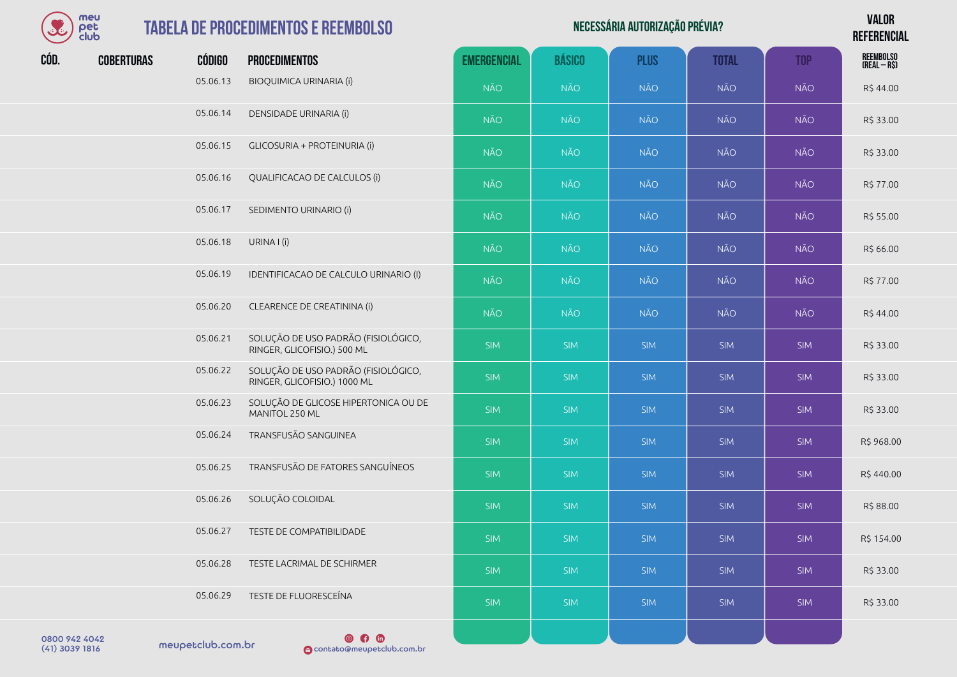| meu      |
|----------|
| I≏F      |
| lub<br>м |

#### **TABELA DE PROCEDIMENTOS**

|      | meu<br>pet<br>club |               | <b>TABELA DE PROCEDIMENTOS E REEMBOLSO</b>                          |                    |               | NECESSÁRIA AUTORIZAÇÃO PRÉVIA? |              |            | <b>VALOR</b><br><b>REFERENCIAL</b> |
|------|--------------------|---------------|---------------------------------------------------------------------|--------------------|---------------|--------------------------------|--------------|------------|------------------------------------|
| CÓD. | <b>COBERTURAS</b>  | <b>CÓDIGO</b> | <b>PROCEDIMENTOS</b>                                                | <b>EMERGENCIAL</b> | <b>BÁSICO</b> | <b>PLUS</b>                    | <b>TOTAL</b> | <b>TOP</b> | <b>REEMBOLSO</b><br>$(REAL - RS)$  |
|      |                    | 05.06.13      | <b>BIOQUIMICA URINARIA (i)</b>                                      | <b>NÃO</b>         | <b>NÃO</b>    | <b>NÃO</b>                     | <b>NÃO</b>   | <b>NÃO</b> | R\$44.00                           |
|      |                    | 05.06.14      | DENSIDADE URINARIA (i)                                              | <b>NÃO</b>         | <b>NÃO</b>    | <b>NÃO</b>                     | <b>NÃO</b>   | <b>NÃO</b> | R\$ 33.00                          |
|      |                    | 05.06.15      | GLICOSURIA + PROTEINURIA (i)                                        | <b>NÃO</b>         | NÃO           | <b>NÃO</b>                     | <b>NÃO</b>   | <b>NÃO</b> | R\$ 33.00                          |
|      |                    | 05.06.16      | QUALIFICACAO DE CALCULOS (i)                                        | <b>NÃO</b>         | <b>NÃO</b>    | <b>NÃO</b>                     | <b>NÃO</b>   | <b>NÃO</b> | R\$ 77.00                          |
|      |                    | 05.06.17      | SEDIMENTO URINARIO (i)                                              | <b>NÃO</b>         | <b>NÃO</b>    | <b>NÃO</b>                     | NÃO          | <b>NÃO</b> | R\$ 55.00                          |
|      |                    | 05.06.18      | URINA I (i)                                                         | <b>NÃO</b>         | <b>NÃO</b>    | <b>NÃO</b>                     | <b>NÃO</b>   | <b>NÃO</b> | R\$ 66.00                          |
|      |                    | 05.06.19      | IDENTIFICACAO DE CALCULO URINARIO (I)                               | <b>NÃO</b>         | <b>NÃO</b>    | <b>NÃO</b>                     | NÃO          | <b>NÃO</b> | R\$ 77.00                          |
|      |                    | 05.06.20      | CLEARENCE DE CREATININA (i)                                         | <b>NÃO</b>         | <b>NÃO</b>    | <b>NÃO</b>                     | NÃO          | <b>NÃO</b> | R\$44.00                           |
|      |                    | 05.06.21      | SOLUÇÃO DE USO PADRÃO (FISIOLÓGICO,<br>RINGER, GLICOFISIO.) 500 ML  | <b>SIM</b>         | <b>SIM</b>    | <b>SIM</b>                     | <b>SIM</b>   | <b>SIM</b> | R\$ 33.00                          |
|      |                    | 05.06.22      | SOLUÇÃO DE USO PADRÃO (FISIOLÓGICO,<br>RINGER, GLICOFISIO.) 1000 ML | <b>SIM</b>         | <b>SIM</b>    | <b>SIM</b>                     | <b>SIM</b>   | <b>SIM</b> | R\$ 33.00                          |
|      |                    | 05.06.23      | SOLUÇÃO DE GLICOSE HIPERTONICA OU DE<br>MANITOL 250 ML              | SIM                | <b>SIM</b>    | <b>SIM</b>                     | <b>SIM</b>   | <b>SIM</b> | R\$ 33.00                          |
|      |                    | 05.06.24      | TRANSFUSÃO SANGUINEA                                                | <b>SIM</b>         | <b>SIM</b>    | <b>SIM</b>                     | <b>SIM</b>   | <b>SIM</b> | R\$ 968.00                         |
|      |                    | 05.06.25      | TRANSFUSÃO DE FATORES SANGUÍNEOS                                    | <b>SIM</b>         | <b>SIM</b>    | <b>SIM</b>                     | <b>SIM</b>   | <b>SIM</b> | R\$440.00                          |
|      |                    | 05.06.26      | SOLUÇÃO COLOIDAL                                                    | SIM -              | SIM           | <b>SIM</b>                     | SIM          | <b>SIM</b> | R\$ 88.00                          |
|      |                    | 05.06.27      | TESTE DE COMPATIBILIDADE                                            | <b>SIM</b>         | <b>SIM</b>    | <b>SIM</b>                     | <b>SIM</b>   | <b>SIM</b> | R\$ 154.00                         |
|      |                    | 05.06.28      | TESTE LACRIMAL DE SCHIRMER                                          | <b>SIM</b>         | <b>SIM</b>    | <b>SIM</b>                     | <b>SIM</b>   | <b>SIM</b> | R\$ 33.00                          |
|      |                    | 05.06.29      | TESTE DE FLUORESCEÍNA                                               | SIM                | <b>SIM</b>    | SIM                            | SIM          | SIM        | R\$ 33.00                          |

0800 942 4042<br>(41) 3039 1816 meupetclub.com.br

 $\n **④**\n **①**\n$ (41) 3039 1816 contato@meupetclub.com.br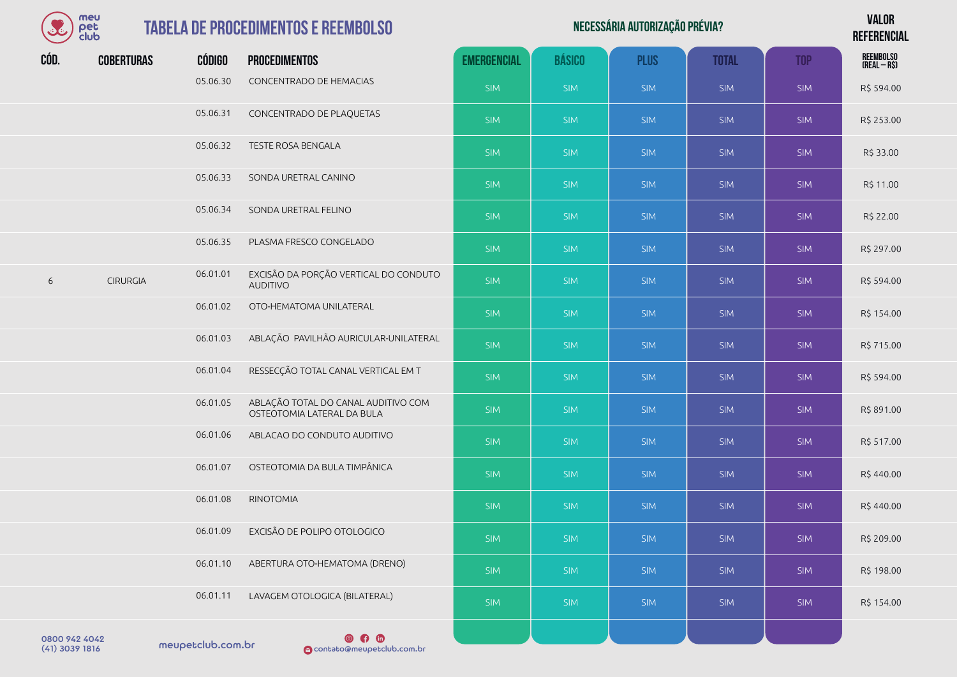| meu<br>pet<br>club        |                       | <b>TABELA DE PROCEDIMENTOS E REEMBOLSO</b>                        |                    |               | <b>VALOR</b><br><b>REFERENCIAL</b> |              |            |                           |
|---------------------------|-----------------------|-------------------------------------------------------------------|--------------------|---------------|------------------------------------|--------------|------------|---------------------------|
| CÓD.<br><b>COBERTURAS</b> | <b>CÓDIGO</b>         | <b>PROCEDIMENTOS</b>                                              | <b>EMERGENCIAL</b> | <b>BÁSICO</b> | <b>PLUS</b>                        | <b>TOTAL</b> | <b>TOP</b> | REEMBOLSO<br>(Real – R\$) |
|                           | 05.06.30              | CONCENTRADO DE HEMACIAS                                           | <b>SIM</b>         | <b>SIM</b>    | <b>SIM</b>                         | <b>SIM</b>   | <b>SIM</b> | R\$ 594.00                |
|                           | 05.06.31              | CONCENTRADO DE PLAQUETAS                                          | <b>SIM</b>         | <b>SIM</b>    | <b>SIM</b>                         | <b>SIM</b>   | <b>SIM</b> | R\$ 253.00                |
|                           | 05.06.32              | TESTE ROSA BENGALA                                                | <b>SIM</b>         | <b>SIM</b>    | <b>SIM</b>                         | <b>SIM</b>   | <b>SIM</b> | R\$ 33.00                 |
|                           | 05.06.33              | SONDA URETRAL CANINO                                              | <b>SIM</b>         | <b>SIM</b>    | <b>SIM</b>                         | <b>SIM</b>   | <b>SIM</b> | R\$ 11.00                 |
|                           | 05.06.34              | SONDA URETRAL FELINO                                              | <b>SIM</b>         | <b>SIM</b>    | <b>SIM</b>                         | <b>SIM</b>   | <b>SIM</b> | R\$ 22.00                 |
|                           | 05.06.35              | PLASMA FRESCO CONGELADO                                           | <b>SIM</b>         | <b>SIM</b>    | <b>SIM</b>                         | <b>SIM</b>   | <b>SIM</b> | R\$ 297.00                |
| 6<br><b>CIRURGIA</b>      | 06.01.01              | EXCISÃO DA PORÇÃO VERTICAL DO CONDUTO<br><b>AUDITIVO</b>          | <b>SIM</b>         | <b>SIM</b>    | <b>SIM</b>                         | <b>SIM</b>   | <b>SIM</b> | R\$ 594.00                |
|                           | 06.01.02              | OTO-HEMATOMA UNILATERAL                                           | <b>SIM</b>         | <b>SIM</b>    | <b>SIM</b>                         | <b>SIM</b>   | <b>SIM</b> | R\$ 154.00                |
|                           | 06.01.03              | ABLAÇÃO PAVILHÃO AURICULAR-UNILATERAL                             | <b>SIM</b>         | <b>SIM</b>    | <b>SIM</b>                         | <b>SIM</b>   | <b>SIM</b> | R\$ 715.00                |
|                           | 06.01.04              | RESSECÇÃO TOTAL CANAL VERTICAL EM T                               | <b>SIM</b>         | <b>SIM</b>    | <b>SIM</b>                         | <b>SIM</b>   | <b>SIM</b> | R\$ 594.00                |
|                           | 06.01.05              | ABLAÇÃO TOTAL DO CANAL AUDITIVO COM<br>OSTEOTOMIA LATERAL DA BULA | <b>SIM</b>         | <b>SIM</b>    | <b>SIM</b>                         | <b>SIM</b>   | <b>SIM</b> | R\$ 891.00                |
|                           | 06.01.06              | ABLACAO DO CONDUTO AUDITIVO                                       | <b>SIM</b>         | <b>SIM</b>    | <b>SIM</b>                         | <b>SIM</b>   | <b>SIM</b> | R\$ 517.00                |
|                           | 06.01.07              | OSTEOTOMIA DA BULA TIMPÂNICA                                      | <b>SIM</b>         | <b>SIM</b>    | <b>SIM</b>                         | <b>SIM</b>   | <b>SIM</b> | R\$440.00                 |
|                           | 06.01.08              | <b>RINOTOMIA</b>                                                  | <b>SIM</b>         | <b>SIM</b>    | <b>SIM</b>                         | <b>SIM</b>   | <b>SIM</b> | R\$440.00                 |
|                           | 06.01.09              | EXCISÃO DE POLIPO OTOLOGICO                                       | <b>SIM</b>         | <b>SIM</b>    | <b>SIM</b>                         | <b>SIM</b>   | <b>SIM</b> | R\$ 209.00                |
|                           | 06.01.10              | ABERTURA OTO-HEMATOMA (DRENO)                                     | <b>SIM</b>         | <b>SIM</b>    | <b>SIM</b>                         | <b>SIM</b>   | <b>SIM</b> | R\$ 198.00                |
|                           | 06.01.11              | LAVAGEM OTOLOGICA (BILATERAL)                                     | <b>SIM</b>         | <b>SIM</b>    | <b>SIM</b>                         | <b>SIM</b>   | <b>SIM</b> | R\$ 154.00                |
| 0800 942 4042             | nou opholulo oppo lor | $\circ$ $\bullet$                                                 |                    |               |                                    |              |            |                           |

 $(41)$  3039 1816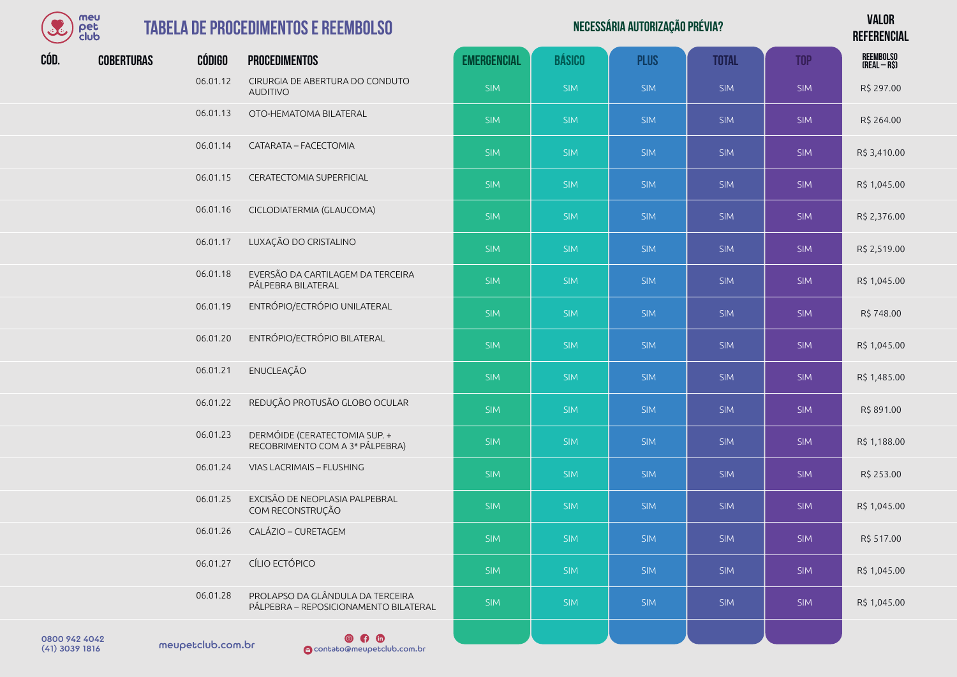

| S             | meu<br>pet<br>club |               | <b>TABELA DE PROCEDIMENTOS E REEMBOLSO</b>                                |                    | <b>VALOR</b><br><b>REFERENCIAL</b> |             |              |            |                                   |
|---------------|--------------------|---------------|---------------------------------------------------------------------------|--------------------|------------------------------------|-------------|--------------|------------|-----------------------------------|
| CÓD.          | <b>COBERTURAS</b>  | <b>CÓDIGO</b> | <b>PROCEDIMENTOS</b>                                                      | <b>EMERGENCIAL</b> | <b>BÁSICO</b>                      | <b>PLUS</b> | <b>TOTAL</b> | <b>TOP</b> | <b>REEMBOLSO</b><br>$(REAL - RS)$ |
|               |                    | 06.01.12      | CIRURGIA DE ABERTURA DO CONDUTO<br><b>AUDITIVO</b>                        | <b>SIM</b>         | <b>SIM</b>                         | <b>SIM</b>  | <b>SIM</b>   | <b>SIM</b> | R\$ 297.00                        |
|               |                    | 06.01.13      | OTO-HEMATOMA BILATERAL                                                    | <b>SIM</b>         | <b>SIM</b>                         | <b>SIM</b>  | <b>SIM</b>   | <b>SIM</b> | R\$ 264.00                        |
|               |                    | 06.01.14      | CATARATA - FACECTOMIA                                                     | <b>SIM</b>         | <b>SIM</b>                         | <b>SIM</b>  | <b>SIM</b>   | <b>SIM</b> | R\$ 3,410.00                      |
|               |                    | 06.01.15      | CERATECTOMIA SUPERFICIAL                                                  | <b>SIM</b>         | <b>SIM</b>                         | <b>SIM</b>  | <b>SIM</b>   | <b>SIM</b> | R\$ 1,045.00                      |
|               |                    | 06.01.16      | CICLODIATERMIA (GLAUCOMA)                                                 | <b>SIM</b>         | <b>SIM</b>                         | <b>SIM</b>  | <b>SIM</b>   | <b>SIM</b> | R\$ 2,376.00                      |
|               |                    | 06.01.17      | LUXAÇÃO DO CRISTALINO                                                     | <b>SIM</b>         | <b>SIM</b>                         | <b>SIM</b>  | <b>SIM</b>   | <b>SIM</b> | R\$ 2,519.00                      |
|               |                    | 06.01.18      | EVERSÃO DA CARTILAGEM DA TERCEIRA<br>PÁLPEBRA BILATERAL                   | <b>SIM</b>         | <b>SIM</b>                         | <b>SIM</b>  | <b>SIM</b>   | <b>SIM</b> | R\$ 1,045.00                      |
|               |                    | 06.01.19      | ENTRÓPIO/ECTRÓPIO UNILATERAL                                              | <b>SIM</b>         | <b>SIM</b>                         | <b>SIM</b>  | <b>SIM</b>   | <b>SIM</b> | R\$748.00                         |
|               |                    | 06.01.20      | ENTRÓPIO/ECTRÓPIO BILATERAL                                               | <b>SIM</b>         | <b>SIM</b>                         | <b>SIM</b>  | <b>SIM</b>   | <b>SIM</b> | R\$ 1,045.00                      |
|               |                    | 06.01.21      | ENUCLEAÇÃO                                                                | <b>SIM</b>         | <b>SIM</b>                         | <b>SIM</b>  | <b>SIM</b>   | <b>SIM</b> | R\$ 1,485.00                      |
|               |                    | 06.01.22      | REDUÇÃO PROTUSÃO GLOBO OCULAR                                             | <b>SIM</b>         | <b>SIM</b>                         | <b>SIM</b>  | <b>SIM</b>   | <b>SIM</b> | R\$ 891.00                        |
|               |                    | 06.01.23      | DERMÓIDE (CERATECTOMIA SUP. +<br>RECOBRIMENTO COM A 3ª PÁLPEBRA)          | <b>SIM</b>         | <b>SIM</b>                         | <b>SIM</b>  | <b>SIM</b>   | <b>SIM</b> | R\$ 1,188.00                      |
|               |                    | 06.01.24      | VIAS LACRIMAIS - FLUSHING                                                 | <b>SIM</b>         | <b>SIM</b>                         | <b>SIM</b>  | <b>SIM</b>   | <b>SIM</b> | R\$ 253.00                        |
|               |                    | 06.01.25      | EXCISÃO DE NEOPLASIA PALPEBRAL<br>COM RECONSTRUÇÃO                        | <b>SIM</b>         | <b>SIM</b>                         | <b>SIM</b>  | <b>SIM</b>   | <b>SIM</b> | R\$ 1,045.00                      |
|               |                    | 06.01.26      | CALÁZIO - CURETAGEM                                                       | <b>SIM</b>         | <b>SIM</b>                         | <b>SIM</b>  | <b>SIM</b>   | <b>SIM</b> | R\$ 517.00                        |
|               |                    | 06.01.27      | CÍLIO ECTÓPICO                                                            | <b>SIM</b>         | <b>SIM</b>                         | <b>SIM</b>  | <b>SIM</b>   | <b>SIM</b> | R\$ 1,045.00                      |
|               |                    | 06.01.28      | PROLAPSO DA GLÂNDULA DA TERCEIRA<br>PÁLPEBRA - REPOSICIONAMENTO BILATERAL | <b>SIM</b>         | <b>SIM</b>                         | <b>SIM</b>  | <b>SIM</b>   | <b>SIM</b> | R\$ 1,045.00                      |
| 0800 942 4042 |                    |               | $\circ$ $\circ$                                                           |                    |                                    |             |              |            |                                   |

0800 942 4042<br>(41) 3039 1816 meupetclub.com.br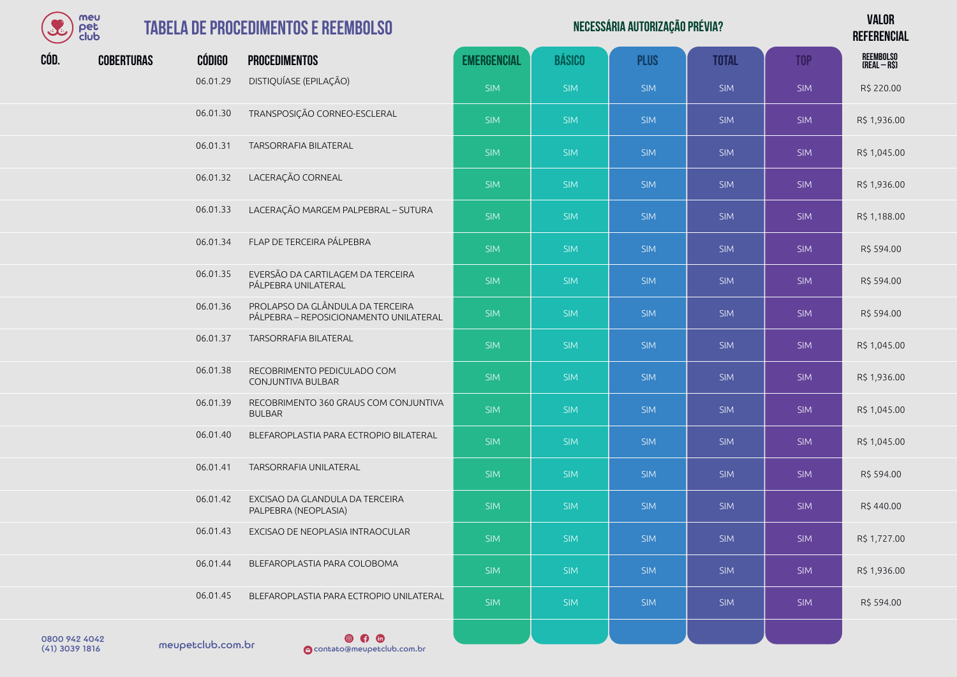| meu  |
|------|
| Υ≏Г  |
| club |

| Necessária autorização prévia? | <b>VALOR</b>    |
|--------------------------------|-----------------|
|                                | <b>REFERENC</b> |
|                                |                 |

**REFERENCIAL**

|      | <b>CIUU</b>       |               |                                                                            |                    |               |             |              |            | <b>NETENENUIAL</b>        |
|------|-------------------|---------------|----------------------------------------------------------------------------|--------------------|---------------|-------------|--------------|------------|---------------------------|
| CÓD. | <b>COBERTURAS</b> | <b>CÓDIGO</b> | <b>PROCEDIMENTOS</b>                                                       | <b>EMERGENCIAL</b> | <b>BÁSICO</b> | <b>PLUS</b> | <b>TOTAL</b> | <b>TOP</b> | REEMBOLSO<br>(Real – R\$) |
|      |                   | 06.01.29      | DISTIQUÍASE (EPILAÇÃO)                                                     | <b>SIM</b>         | <b>SIM</b>    | <b>SIM</b>  | <b>SIM</b>   | <b>SIM</b> | R\$ 220.00                |
|      |                   | 06.01.30      | TRANSPOSIÇÃO CORNEO-ESCLERAL                                               | <b>SIM</b>         | <b>SIM</b>    | <b>SIM</b>  | <b>SIM</b>   | <b>SIM</b> | R\$ 1,936.00              |
|      |                   | 06.01.31      | TARSORRAFIA BILATERAL                                                      | <b>SIM</b>         | <b>SIM</b>    | <b>SIM</b>  | <b>SIM</b>   | <b>SIM</b> | R\$ 1,045.00              |
|      |                   | 06.01.32      | LACERAÇÃO CORNEAL                                                          | <b>SIM</b>         | <b>SIM</b>    | <b>SIM</b>  | <b>SIM</b>   | <b>SIM</b> | R\$ 1,936.00              |
|      |                   | 06.01.33      | LACERAÇÃO MARGEM PALPEBRAL - SUTURA                                        | <b>SIM</b>         | <b>SIM</b>    | <b>SIM</b>  | <b>SIM</b>   | <b>SIM</b> | R\$ 1,188.00              |
|      |                   | 06.01.34      | FLAP DE TERCEIRA PÁLPEBRA                                                  | <b>SIM</b>         | <b>SIM</b>    | <b>SIM</b>  | <b>SIM</b>   | <b>SIM</b> | R\$ 594.00                |
|      |                   | 06.01.35      | EVERSÃO DA CARTILAGEM DA TERCEIRA<br>PÁLPEBRA UNILATERAL                   | <b>SIM</b>         | <b>SIM</b>    | <b>SIM</b>  | <b>SIM</b>   | <b>SIM</b> | R\$ 594.00                |
|      |                   | 06.01.36      | PROLAPSO DA GLÂNDULA DA TERCEIRA<br>PÁLPEBRA - REPOSICIONAMENTO UNILATERAL | <b>SIM</b>         | <b>SIM</b>    | <b>SIM</b>  | <b>SIM</b>   | <b>SIM</b> | R\$ 594.00                |
|      |                   | 06.01.37      | TARSORRAFIA BILATERAL                                                      | <b>SIM</b>         | <b>SIM</b>    | <b>SIM</b>  | <b>SIM</b>   | <b>SIM</b> | R\$ 1,045.00              |
|      |                   | 06.01.38      | RECOBRIMENTO PEDICULADO COM<br>CONJUNTIVA BULBAR                           | <b>SIM</b>         | <b>SIM</b>    | <b>SIM</b>  | <b>SIM</b>   | <b>SIM</b> | R\$ 1,936.00              |
|      |                   | 06.01.39      | RECOBRIMENTO 360 GRAUS COM CONJUNTIVA<br><b>BULBAR</b>                     | <b>SIM</b>         | <b>SIM</b>    | <b>SIM</b>  | <b>SIM</b>   | <b>SIM</b> | R\$ 1,045.00              |
|      |                   | 06.01.40      | BLEFAROPLASTIA PARA ECTROPIO BILATERAL                                     | <b>SIM</b>         | <b>SIM</b>    | <b>SIM</b>  | <b>SIM</b>   | <b>SIM</b> | R\$ 1,045.00              |
|      |                   | 06.01.41      | TARSORRAFIA UNILATERAL                                                     | <b>SIM</b>         | <b>SIM</b>    | <b>SIM</b>  | <b>SIM</b>   | <b>SIM</b> | R\$ 594.00                |
|      |                   | 06.01.42      | EXCISAO DA GLANDULA DA TERCEIRA<br>PALPEBRA (NEOPLASIA)                    | <b>SIM</b>         | <b>SIM</b>    | SIM         | <b>SIM</b>   | <b>SIM</b> | R\$440.00                 |
|      |                   | 06.01.43      | EXCISAO DE NEOPLASIA INTRAOCULAR                                           | <b>SIM</b>         | <b>SIM</b>    | <b>SIM</b>  | <b>SIM</b>   | <b>SIM</b> | R\$ 1,727.00              |
|      |                   | 06.01.44      | BLEFAROPLASTIA PARA COLOBOMA                                               | <b>SIM</b>         | <b>SIM</b>    | <b>SIM</b>  | <b>SIM</b>   | <b>SIM</b> | R\$ 1,936.00              |
|      |                   | 06.01.45      | BLEFAROPLASTIA PARA ECTROPIO UNILATERAL                                    | <b>SIM</b>         | <b>SIM</b>    | SIM         | <b>SIM</b>   | <b>SIM</b> | R\$ 594.00                |
|      |                   |               |                                                                            |                    |               |             |              |            |                           |

0800 942 4042<br>(41) 3039 1816 meupetclub.com.br

 $\circ$  0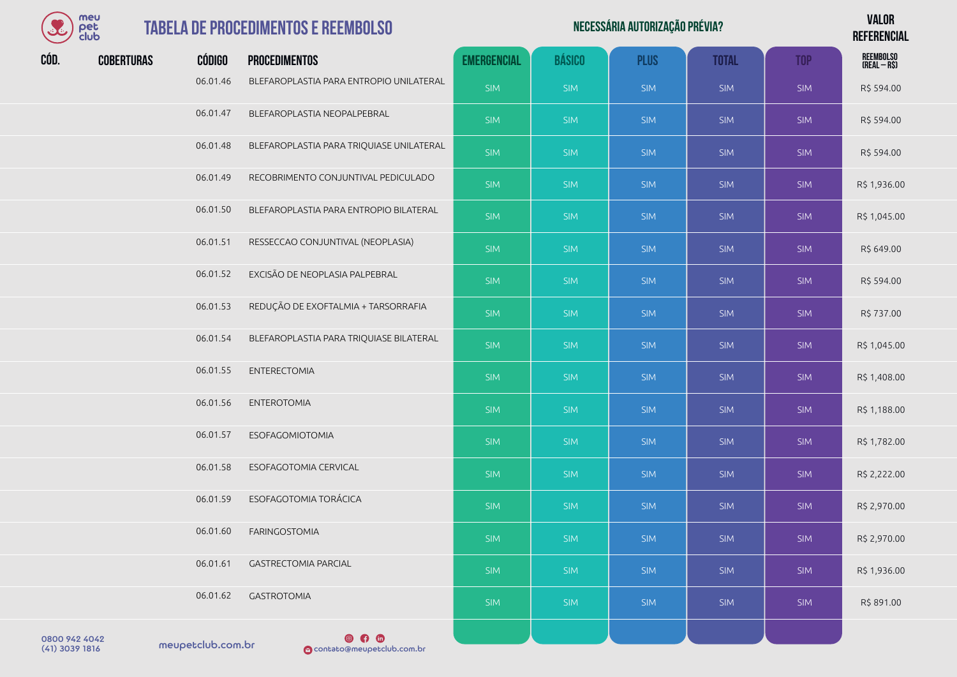

| Necessária autorização prévia? | <b>VALOR</b>    |
|--------------------------------|-----------------|
|                                | <b>DEFEBENA</b> |

**REFERENCIAL**

| CÓD. | <b>COBERTURAS</b> | <b>CÓDIGO</b> | <b>PROCEDIMENTOS</b>                     | <b>EMERGENCIAL</b> | <b>BÁSICO</b> | <b>PLUS</b> | <b>TOTAL</b> | <b>TOP</b> | REEMBOLSO<br>(REAL – R\$) |
|------|-------------------|---------------|------------------------------------------|--------------------|---------------|-------------|--------------|------------|---------------------------|
|      |                   | 06.01.46      | BLEFAROPLASTIA PARA ENTROPIO UNILATERAL  | <b>SIM</b>         | <b>SIM</b>    | <b>SIM</b>  | <b>SIM</b>   | <b>SIM</b> | R\$ 594.00                |
|      |                   | 06.01.47      | BLEFAROPLASTIA NEOPALPEBRAL              | <b>SIM</b>         | <b>SIM</b>    | <b>SIM</b>  | <b>SIM</b>   | <b>SIM</b> | R\$ 594.00                |
|      |                   | 06.01.48      | BLEFAROPLASTIA PARA TRIQUIASE UNILATERAL | <b>SIM</b>         | <b>SIM</b>    | <b>SIM</b>  | <b>SIM</b>   | <b>SIM</b> | R\$ 594.00                |
|      |                   | 06.01.49      | RECOBRIMENTO CONJUNTIVAL PEDICULADO      | <b>SIM</b>         | <b>SIM</b>    | <b>SIM</b>  | <b>SIM</b>   | <b>SIM</b> | R\$ 1,936.00              |
|      |                   | 06.01.50      | BLEFAROPLASTIA PARA ENTROPIO BILATERAL   | <b>SIM</b>         | <b>SIM</b>    | <b>SIM</b>  | <b>SIM</b>   | <b>SIM</b> | R\$ 1,045.00              |
|      |                   | 06.01.51      | RESSECCAO CONJUNTIVAL (NEOPLASIA)        | <b>SIM</b>         | <b>SIM</b>    | <b>SIM</b>  | <b>SIM</b>   | <b>SIM</b> | R\$ 649.00                |
|      |                   | 06.01.52      | EXCISÃO DE NEOPLASIA PALPEBRAL           | <b>SIM</b>         | <b>SIM</b>    | <b>SIM</b>  | <b>SIM</b>   | <b>SIM</b> | R\$ 594.00                |
|      |                   | 06.01.53      | REDUÇÃO DE EXOFTALMIA + TARSORRAFIA      | <b>SIM</b>         | <b>SIM</b>    | <b>SIM</b>  | <b>SIM</b>   | <b>SIM</b> | R\$ 737.00                |
|      |                   | 06.01.54      | BLEFAROPLASTIA PARA TRIQUIASE BILATERAL  | <b>SIM</b>         | <b>SIM</b>    | <b>SIM</b>  | <b>SIM</b>   | <b>SIM</b> | R\$ 1,045.00              |
|      |                   | 06.01.55      | <b>ENTERECTOMIA</b>                      | <b>SIM</b>         | <b>SIM</b>    | <b>SIM</b>  | <b>SIM</b>   | <b>SIM</b> | R\$ 1,408.00              |
|      |                   | 06.01.56      | <b>ENTEROTOMIA</b>                       | <b>SIM</b>         | <b>SIM</b>    | <b>SIM</b>  | <b>SIM</b>   | <b>SIM</b> | R\$ 1,188.00              |
|      |                   | 06.01.57      | <b>ESOFAGOMIOTOMIA</b>                   | <b>SIM</b>         | <b>SIM</b>    | <b>SIM</b>  | <b>SIM</b>   | <b>SIM</b> | R\$ 1,782.00              |
|      |                   | 06.01.58      | ESOFAGOTOMIA CERVICAL                    | <b>SIM</b>         | <b>SIM</b>    | <b>SIM</b>  | <b>SIM</b>   | <b>SIM</b> | R\$ 2,222.00              |
|      |                   | 06.01.59      | ESOFAGOTOMIA TORÁCICA                    | <b>SIM</b>         | <b>SIM</b>    | <b>SIM</b>  | <b>SIM</b>   | <b>SIM</b> | R\$ 2,970.00              |
|      |                   | 06.01.60      | <b>FARINGOSTOMIA</b>                     | <b>SIM</b>         | <b>SIM</b>    | <b>SIM</b>  | <b>SIM</b>   | <b>SIM</b> | R\$ 2,970.00              |
|      |                   | 06.01.61      | <b>GASTRECTOMIA PARCIAL</b>              | <b>SIM</b>         | <b>SIM</b>    | <b>SIM</b>  | SIM          | <b>SIM</b> | R\$ 1,936.00              |
|      |                   | 06.01.62      | <b>GASTROTOMIA</b>                       | <b>SIM</b>         | <b>SIM</b>    | <b>SIM</b>  | <b>SIM</b>   | <b>SIM</b> | R\$ 891.00                |
|      |                   |               |                                          |                    |               |             |              |            |                           |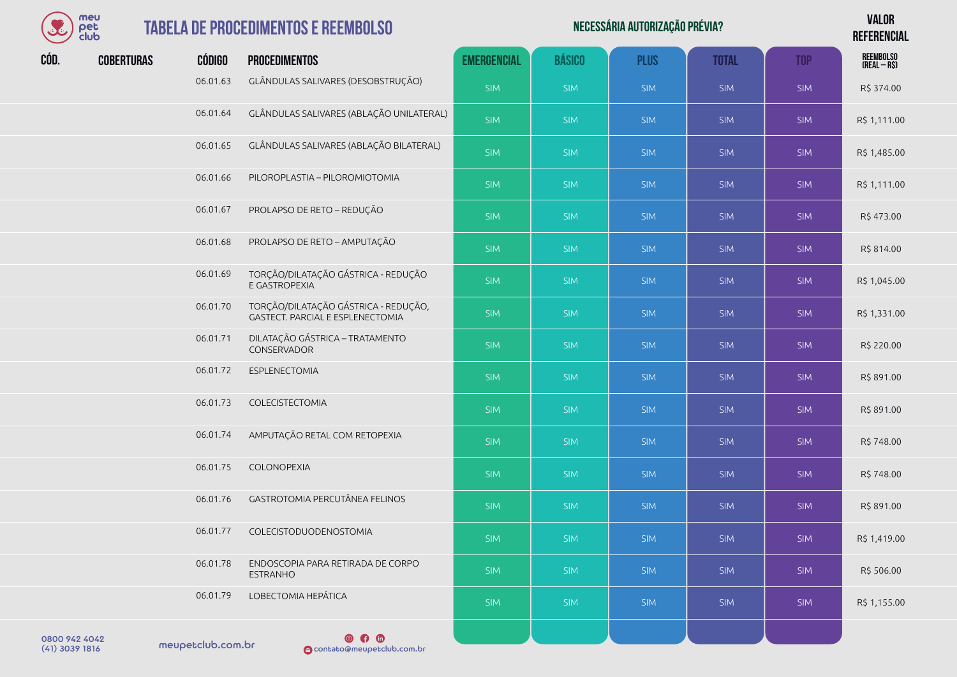

## $TABELA$ <sup>D</sup>

| E    | meu<br>pet<br>club |               | <b>TABELA DE PROCEDIMENTOS E REEMBOLSO</b>                               |                    |               | NECESSÁRIA AUTORIZAÇÃO PRÉVIA? |              |            | <b>VALOR</b><br><b>REFERENCIAL</b> |
|------|--------------------|---------------|--------------------------------------------------------------------------|--------------------|---------------|--------------------------------|--------------|------------|------------------------------------|
| CÓD. | <b>COBERTURAS</b>  | <b>CÓDIGO</b> | <b>PROCEDIMENTOS</b>                                                     | <b>EMERGENCIAL</b> | <b>BÁSICO</b> | <b>PLUS</b>                    | <b>TOTAL</b> | <b>TOP</b> | REEMBOLSO<br>(Real – R\$)          |
|      |                    | 06.01.63      | GLÂNDULAS SALIVARES (DESOBSTRUÇÃO)                                       | <b>SIM</b>         | <b>SIM</b>    | <b>SIM</b>                     | <b>SIM</b>   | <b>SIM</b> | R\$ 374.00                         |
|      |                    | 06.01.64      | GLÂNDULAS SALIVARES (ABLAÇÃO UNILATERAL)                                 | <b>SIM</b>         | <b>SIM</b>    | <b>SIM</b>                     | <b>SIM</b>   | <b>SIM</b> | R\$ 1,111.00                       |
|      |                    | 06.01.65      | GLÂNDULAS SALIVARES (ABLAÇÃO BILATERAL)                                  | <b>SIM</b>         | <b>SIM</b>    | <b>SIM</b>                     | <b>SIM</b>   | <b>SIM</b> | R\$ 1,485.00                       |
|      |                    | 06.01.66      | PILOROPLASTIA - PILOROMIOTOMIA                                           | <b>SIM</b>         | <b>SIM</b>    | <b>SIM</b>                     | <b>SIM</b>   | <b>SIM</b> | R\$ 1,111.00                       |
|      |                    | 06.01.67      | PROLAPSO DE RETO - REDUÇÃO                                               | <b>SIM</b>         | <b>SIM</b>    | <b>SIM</b>                     | <b>SIM</b>   | <b>SIM</b> | R\$473.00                          |
|      |                    | 06.01.68      | PROLAPSO DE RETO - AMPUTAÇÃO                                             | <b>SIM</b>         | <b>SIM</b>    | <b>SIM</b>                     | SIM          | <b>SIM</b> | R\$ 814.00                         |
|      |                    | 06.01.69      | TORÇÃO/DILATAÇÃO GÁSTRICA - REDUÇÃO<br>E GASTROPEXIA                     | <b>SIM</b>         | <b>SIM</b>    | <b>SIM</b>                     | <b>SIM</b>   | <b>SIM</b> | R\$ 1,045.00                       |
|      |                    | 06.01.70      | TORÇÃO/DILATAÇÃO GÁSTRICA - REDUÇÃO,<br>GASTECT. PARCIAL E ESPLENECTOMIA | <b>SIM</b>         | <b>SIM</b>    | <b>SIM</b>                     | <b>SIM</b>   | <b>SIM</b> | R\$ 1,331.00                       |
|      |                    | 06.01.71      | DILATAÇÃO GÁSTRICA - TRATAMENTO<br>CONSERVADOR                           | <b>SIM</b>         | <b>SIM</b>    | <b>SIM</b>                     | <b>SIM</b>   | <b>SIM</b> | R\$ 220.00                         |
|      |                    | 06.01.72      | ESPLENECTOMIA                                                            | <b>SIM</b>         | <b>SIM</b>    | <b>SIM</b>                     | <b>SIM</b>   | <b>SIM</b> | R\$ 891.00                         |
|      |                    | 06.01.73      | COLECISTECTOMIA                                                          | <b>SIM</b>         | <b>SIM</b>    | <b>SIM</b>                     | <b>SIM</b>   | <b>SIM</b> | R\$ 891.00                         |
|      |                    | 06.01.74      | AMPUTAÇÃO RETAL COM RETOPEXIA                                            | <b>SIM</b>         | <b>SIM</b>    | <b>SIM</b>                     | <b>SIM</b>   | <b>SIM</b> | R\$ 748.00                         |
|      |                    | 06.01.75      | COLONOPEXIA                                                              | <b>SIM</b>         | <b>SIM</b>    | <b>SIM</b>                     | <b>SIM</b>   | <b>SIM</b> | R\$ 748.00                         |
|      |                    | 06.01.76      | GASTROTOMIA PERCUTÂNEA FELINOS                                           | <b>SIM</b>         | <b>SIM</b>    | <b>SIM</b>                     | <b>SIM</b>   | <b>SIM</b> | R\$ 891.00                         |
|      |                    | 06.01.77      | COLECISTODUODENOSTOMIA                                                   | <b>SIM</b>         | <b>SIM</b>    | <b>SIM</b>                     | <b>SIM</b>   | <b>SIM</b> | R\$ 1,419.00                       |
|      |                    | 06.01.78      | ENDOSCOPIA PARA RETIRADA DE CORPO<br><b>ESTRANHO</b>                     | <b>SIM</b>         | <b>SIM</b>    | <b>SIM</b>                     | <b>SIM</b>   | <b>SIM</b> | R\$ 506.00                         |
|      |                    | 06.01.79      | LOBECTOMIA HEPÁTICA                                                      | <b>SIM</b>         | <b>SIM</b>    | <b>SIM</b>                     | <b>SIM</b>   | <b>SIM</b> | R\$ 1,155.00                       |
|      |                    |               | െക                                                                       |                    |               |                                |              |            |                                    |

meupetclub.com.br 0800 942 4042

**COMP 1916**<br> **O**contato@meupetclub.com.br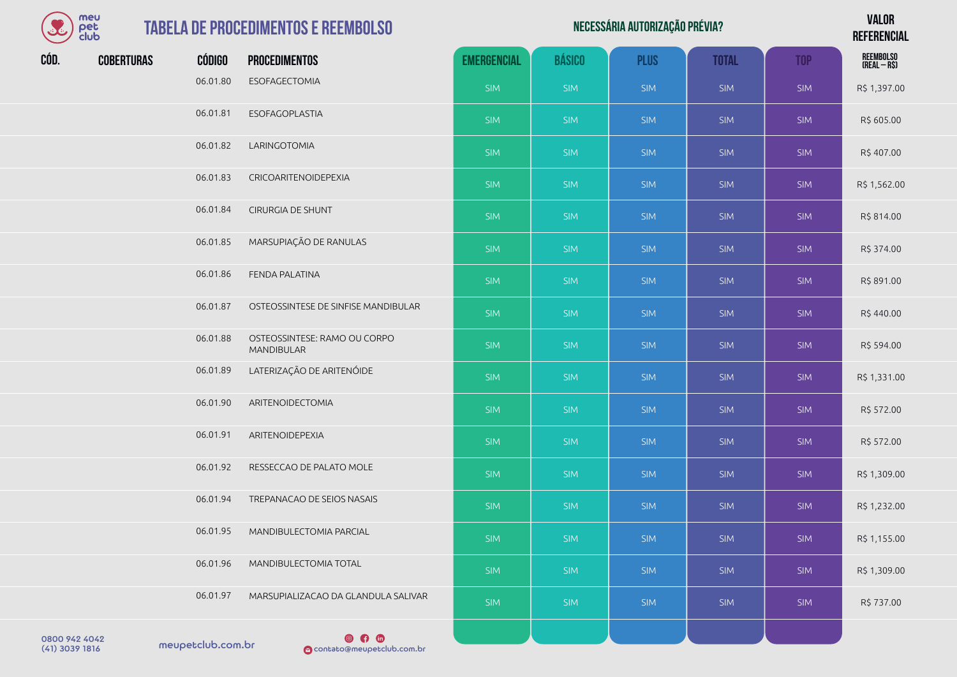| S                               | meu<br>pet<br>club |                   | <b>TABELA DE PROCEDIMENTOS E REEMBOLSO</b>   | NECESSÁRIA AUTORIZAÇÃO PRÉVIA? |               |             |              |            |                           |
|---------------------------------|--------------------|-------------------|----------------------------------------------|--------------------------------|---------------|-------------|--------------|------------|---------------------------|
| CÓD.                            | <b>COBERTURAS</b>  | CÓDIGO            | <b>PROCEDIMENTOS</b>                         | <b>EMERGENCIAL</b>             | <b>BÁSICO</b> | <b>PLUS</b> | <b>TOTAL</b> | <b>TOP</b> | REEMBOLSO<br>(Real – R\$) |
|                                 |                    | 06.01.80          | ESOFAGECTOMIA                                | <b>SIM</b>                     | <b>SIM</b>    | <b>SIM</b>  | <b>SIM</b>   | <b>SIM</b> | R\$ 1,397.00              |
|                                 |                    | 06.01.81          | ESOFAGOPLASTIA                               | <b>SIM</b>                     | <b>SIM</b>    | <b>SIM</b>  | <b>SIM</b>   | <b>SIM</b> | R\$ 605.00                |
|                                 |                    | 06.01.82          | LARINGOTOMIA                                 | <b>SIM</b>                     | <b>SIM</b>    | <b>SIM</b>  | <b>SIM</b>   | <b>SIM</b> | R\$407.00                 |
|                                 |                    | 06.01.83          | CRICOARITENOIDEPEXIA                         | SIM                            | <b>SIM</b>    | <b>SIM</b>  | <b>SIM</b>   | <b>SIM</b> | R\$ 1,562.00              |
|                                 |                    | 06.01.84          | CIRURGIA DE SHUNT                            | <b>SIM</b>                     | <b>SIM</b>    | <b>SIM</b>  | <b>SIM</b>   | <b>SIM</b> | R\$ 814.00                |
|                                 |                    | 06.01.85          | MARSUPIAÇÃO DE RANULAS                       | SIM                            | <b>SIM</b>    | <b>SIM</b>  | <b>SIM</b>   | <b>SIM</b> | R\$ 374.00                |
|                                 |                    | 06.01.86          | FENDA PALATINA                               | SIM                            | <b>SIM</b>    | <b>SIM</b>  | <b>SIM</b>   | <b>SIM</b> | R\$ 891.00                |
|                                 |                    | 06.01.87          | OSTEOSSINTESE DE SINFISE MANDIBULAR          | <b>SIM</b>                     | <b>SIM</b>    | <b>SIM</b>  | <b>SIM</b>   | <b>SIM</b> | R\$440.00                 |
|                                 |                    | 06.01.88          | OSTEOSSINTESE: RAMO OU CORPO<br>MANDIBULAR   | SIM                            | <b>SIM</b>    | <b>SIM</b>  | <b>SIM</b>   | <b>SIM</b> | R\$ 594.00                |
|                                 |                    | 06.01.89          | LATERIZAÇÃO DE ARITENÓIDE                    | <b>SIM</b>                     | <b>SIM</b>    | <b>SIM</b>  | <b>SIM</b>   | <b>SIM</b> | R\$ 1,331.00              |
|                                 |                    | 06.01.90          | ARITENOIDECTOMIA                             | SIM                            | <b>SIM</b>    | <b>SIM</b>  | <b>SIM</b>   | <b>SIM</b> | R\$ 572.00                |
|                                 |                    | 06.01.91          | ARITENOIDEPEXIA                              | <b>SIM</b>                     | <b>SIM</b>    | <b>SIM</b>  | <b>SIM</b>   | <b>SIM</b> | R\$ 572.00                |
|                                 |                    | 06.01.92          | RESSECCAO DE PALATO MOLE                     | SIM                            | <b>SIM</b>    | <b>SIM</b>  | <b>SIM</b>   | <b>SIM</b> | R\$ 1,309.00              |
|                                 |                    | 06.01.94          | TREPANACAO DE SEIOS NASAIS                   | <b>SIM</b>                     | <b>SIM</b>    | <b>SIM</b>  | <b>SIM</b>   | <b>SIM</b> | R\$ 1,232.00              |
|                                 |                    | 06.01.95          | MANDIBULECTOMIA PARCIAL                      | <b>SIM</b>                     | <b>SIM</b>    | <b>SIM</b>  | <b>SIM</b>   | <b>SIM</b> | R\$ 1,155.00              |
|                                 |                    | 06.01.96          | MANDIBULECTOMIA TOTAL                        | <b>SIM</b>                     | <b>SIM</b>    | <b>SIM</b>  | <b>SIM</b>   | <b>SIM</b> | R\$ 1,309.00              |
|                                 |                    | 06.01.97          | MARSUPIALIZACAO DA GLANDULA SALIVAR          | <b>SIM</b>                     | <b>SIM</b>    | <b>SIM</b>  | <b>SIM</b>   | <b>SIM</b> | R\$ 737.00                |
| 0800 942 4042<br>(41) 3039 1816 |                    | meupetclub.com.br | $\circ$ $\circ$<br>contato@meupetclub.com.br |                                |               |             |              |            |                           |

والمستنصر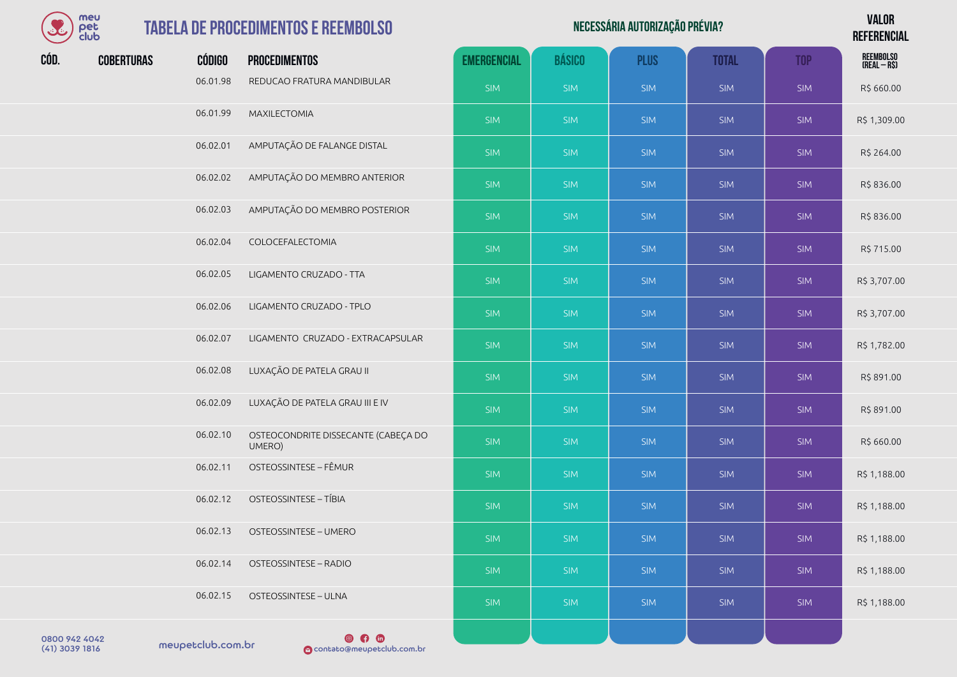| meu  |
|------|
| rer  |
| club |

#### **TABELA DE PROCEDIMENTOS E REEM**

|      | meu<br>pet<br>club |               | <b>TABELA DE PROCEDIMENTOS E REEMBOLSO</b>    |                    | <b>VALOR</b><br><b>REFERENCIAL</b> |             |              |            |                           |
|------|--------------------|---------------|-----------------------------------------------|--------------------|------------------------------------|-------------|--------------|------------|---------------------------|
| CÓD. | <b>COBERTURAS</b>  | <b>CÓDIGO</b> | <b>PROCEDIMENTOS</b>                          | <b>EMERGENCIAL</b> | <b>BÁSICO</b>                      | <b>PLUS</b> | <b>TOTAL</b> | <b>TOP</b> | REEMBOLSO<br>(Real – R\$) |
|      |                    | 06.01.98      | REDUCAO FRATURA MANDIBULAR                    | <b>SIM</b>         | <b>SIM</b>                         | <b>SIM</b>  | SIM          | <b>SIM</b> | R\$ 660.00                |
|      |                    | 06.01.99      | <b>MAXILECTOMIA</b>                           | <b>SIM</b>         | <b>SIM</b>                         | <b>SIM</b>  | SIM          | <b>SIM</b> | R\$ 1,309.00              |
|      |                    | 06.02.01      | AMPUTAÇÃO DE FALANGE DISTAL                   | <b>SIM</b>         | <b>SIM</b>                         | <b>SIM</b>  | <b>SIM</b>   | <b>SIM</b> | R\$ 264.00                |
|      |                    | 06.02.02      | AMPUTAÇÃO DO MEMBRO ANTERIOR                  | <b>SIM</b>         | <b>SIM</b>                         | <b>SIM</b>  | <b>SIM</b>   | <b>SIM</b> | R\$836.00                 |
|      |                    | 06.02.03      | AMPUTAÇÃO DO MEMBRO POSTERIOR                 | <b>SIM</b>         | <b>SIM</b>                         | <b>SIM</b>  | SIM          | <b>SIM</b> | R\$836.00                 |
|      |                    | 06.02.04      | COLOCEFALECTOMIA                              | <b>SIM</b>         | <b>SIM</b>                         | <b>SIM</b>  | <b>SIM</b>   | <b>SIM</b> | R\$ 715.00                |
|      |                    | 06.02.05      | LIGAMENTO CRUZADO - TTA                       | <b>SIM</b>         | <b>SIM</b>                         | <b>SIM</b>  | <b>SIM</b>   | <b>SIM</b> | R\$ 3,707.00              |
|      |                    | 06.02.06      | LIGAMENTO CRUZADO - TPLO                      | <b>SIM</b>         | <b>SIM</b>                         | <b>SIM</b>  | <b>SIM</b>   | <b>SIM</b> | R\$ 3,707.00              |
|      |                    | 06.02.07      | LIGAMENTO CRUZADO - EXTRACAPSULAR             | <b>SIM</b>         | <b>SIM</b>                         | <b>SIM</b>  | <b>SIM</b>   | <b>SIM</b> | R\$ 1,782.00              |
|      |                    | 06.02.08      | LUXAÇÃO DE PATELA GRAU II                     | SIM                | <b>SIM</b>                         | <b>SIM</b>  | SIM          | <b>SIM</b> | R\$ 891.00                |
|      |                    | 06.02.09      | LUXAÇÃO DE PATELA GRAU III E IV               | <b>SIM</b>         | <b>SIM</b>                         | <b>SIM</b>  | <b>SIM</b>   | <b>SIM</b> | R\$ 891.00                |
|      |                    | 06.02.10      | OSTEOCONDRITE DISSECANTE (CABEÇA DO<br>UMERO) | <b>SIM</b>         | <b>SIM</b>                         | <b>SIM</b>  | <b>SIM</b>   | <b>SIM</b> | R\$ 660.00                |
|      |                    | 06.02.11      | OSTEOSSINTESE - FÊMUR                         | <b>SIM</b>         | <b>SIM</b>                         | <b>SIM</b>  | <b>SIM</b>   | <b>SIM</b> | R\$ 1,188.00              |
|      |                    | 06.02.12      | <b>OSTEOSSINTESE - TÍBIA</b>                  | <b>SIM</b>         | <b>SIM</b>                         | <b>SIM</b>  | <b>SIM</b>   | <b>SIM</b> | R\$ 1,188.00              |
|      |                    | 06.02.13      | OSTEOSSINTESE - UMERO                         | <b>SIM</b>         | <b>SIM</b>                         | <b>SIM</b>  | <b>SIM</b>   | <b>SIM</b> | R\$ 1,188.00              |

SIM SIM SIM SIM SIM R\$ 1,188.00

SIM | SIM | SIM | SIM | SIM | R\$ 1,188.00

06.02.12 OSTEOSSINTESE – TÍBIA 06.02.13 OSTEOSSINTESE - UMERO 06.02.14 OSTEOSSINTESE – RADIO 06.02.15 OSTEOSSINTESE – ULNA

0800 942 4042<br>(41) 3039 1816 meupetclub.com.br

 $\circ$   $\circ$   $\circ$ (41) 3039 1816 contato@meupetclub.com.br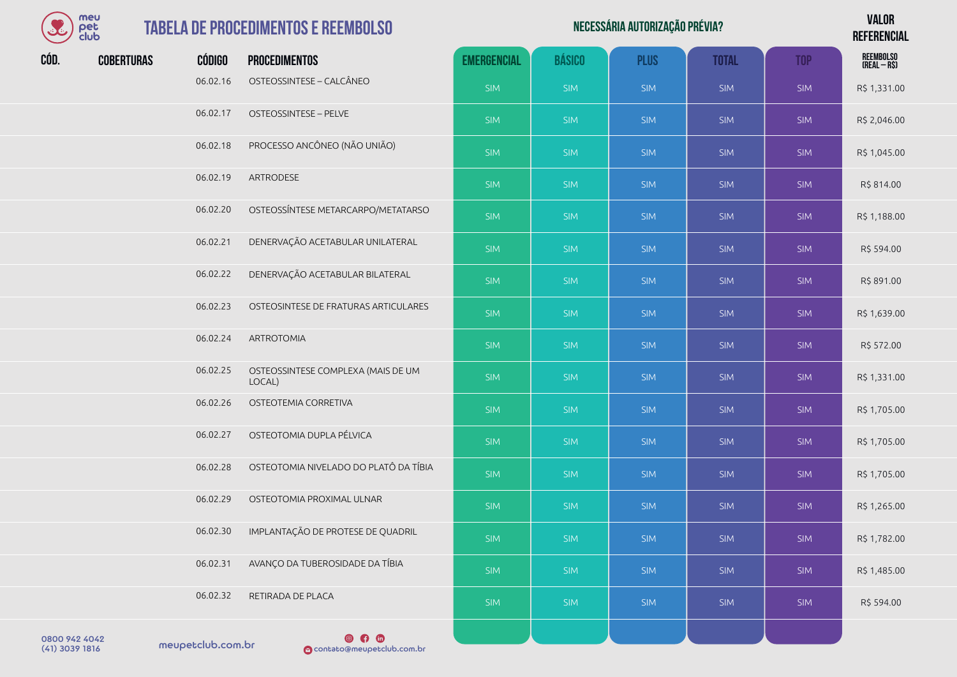| mer  |
|------|
| det  |
| eluk |

06.02.23 OSTEOSINTESE DE FRATURAS ARTICULARES

06.02.25 OSTEOSSINTESE COMPLEXA (MAIS DE UM

06.02.28 OSTEOTOMIA NIVELADO DO PLATÔ DA TÍBIA

06.02.19 ARTRODESE

06.02.24 ARTROTOMIA

06.02.26 OSTEOTEMIA CORRETIVA

06.02.27 OSTEOTOMIA DUPLA PÉLVICA

06.02.29 OSTEOTOMIA PROXIMAL ULNAR

06.02.32 RETIRADA DE PLACA

| B    | meu<br><b>TABELA DE PROCEDIMENTOS E REEMBOLSO</b><br>pet<br>club |               |                          |                    | NECESSÁRIA AUTORIZAÇÃO PRÉVIA? |             |              |            |                                  |  |  |
|------|------------------------------------------------------------------|---------------|--------------------------|--------------------|--------------------------------|-------------|--------------|------------|----------------------------------|--|--|
| CÓD. | <b>COBERTURAS</b>                                                | <b>CÓDIGO</b> | <b>PROCEDIMENTOS</b>     | <b>EMERGENCIAL</b> | <b>BÁSICO</b>                  | <b>PLUS</b> | <b>TOTAL</b> | <b>TOP</b> | <b>REEMBOLSO</b><br>(REAL – R\$) |  |  |
|      |                                                                  | 06.02.16      | OSTEOSSINTESE - CALCÂNEO | <b>SIM</b>         | <b>SIM</b>                     | <b>SIM</b>  | <b>SIM</b>   | <b>SIM</b> | R\$ 1,331.00                     |  |  |
|      |                                                                  | 06.02.17      | OSTEOSSINTESE - PELVE    | <b>SIM</b>         | <b>SIM</b>                     | <b>SIM</b>  | <b>SIM</b>   | <b>SIM</b> | R\$ 2,046.00                     |  |  |

SIM SIM SIM SIM SIM R\$ 814.00

SIM SIM SIM SIM SIM R\$ 1,639.00

SIM SIM SIM SIM SIM R\$ 572.00

SIM SIM SIM SIM SIM R\$ 1,705.00

SIM SIM SIM SIM SIM R\$ 1,705.00

SIM SIM SIM SIM SIM SIM SIM R\$ 1,705.00

SIM SIM SIM SIM SIM R\$ 1,265.00

SIM SIM SIM SIM SIM R\$ 594.00

06.02.18 PROCESSO ANCÔNEO (NÃO UNIÃO) SIM SIM SIM SIM SIM SIM SIM SIM SIM R\$ 1,045.00

06.02.20 OSTEOSSÍNTESE METARCARPO/METATARSO SIM SIM SIM SIM SIM R\$ 1,188.00

06.02.21 DENERVAÇÃO ACETABULAR UNILATERAL NO SIM SIM SIM SIM SIM SIM SIM SIM R\$ 594.00

06.02.22 DENERVAÇÃO ACETABULAR BILATERAL NE SIM SIM SIM SIM SIM SIM SIM SIM R\$ 891.00

06.02.30 IMPLANTAÇÃO DE PROTESE DE QUADRIL SIM SIM SIM SIM SIM R\$ 1,782.00

06.02.31 AVANÇO DA TUBEROSIDADE DA TÍBIA SIM SIM SIM SIM SIM R\$ 1,485.00

LOCAL) SIM SIM SIM SIM SIM R\$ 1,331.00

0800 942 4042<br>(41) 3039 1816 meupetclub.com.br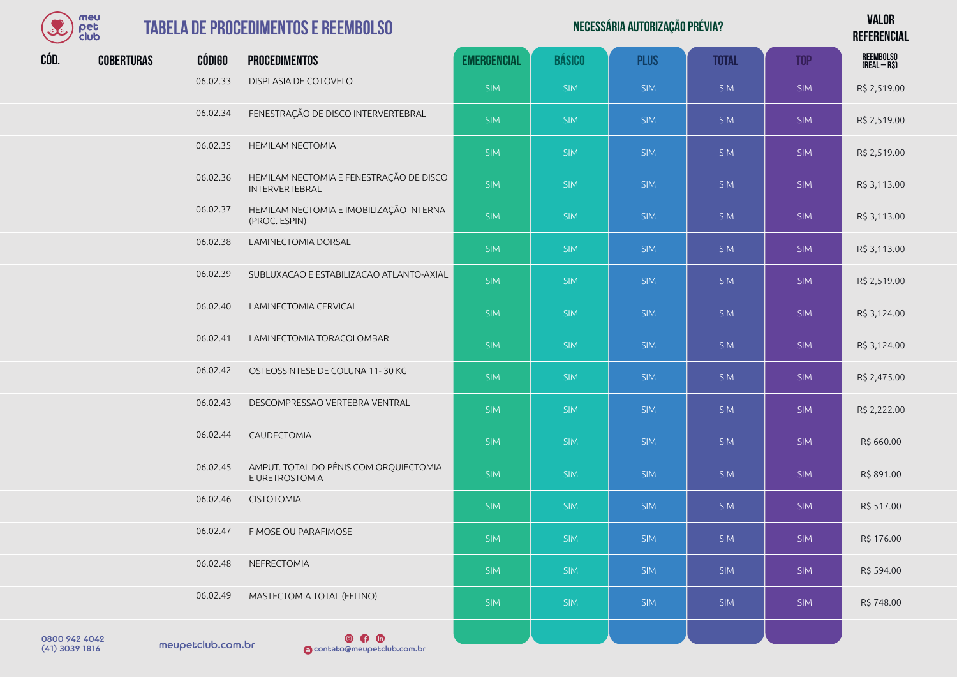| meu  |
|------|
| I≏F  |
| club |

| Necessária autorização prévia? | <b>VALOR</b>    |
|--------------------------------|-----------------|
|                                | <b>DEFEBENA</b> |

**REFERENCIAL**

|      | <b>CIOO</b>       |               |                                                                  |                    |               |             |              |            | <b>ULLEULIAN</b>          |
|------|-------------------|---------------|------------------------------------------------------------------|--------------------|---------------|-------------|--------------|------------|---------------------------|
| CÓD. | <b>COBERTURAS</b> | <b>CÓDIGO</b> | <b>PROCEDIMENTOS</b>                                             | <b>EMERGENCIAL</b> | <b>BÁSICO</b> | <b>PLUS</b> | <b>TOTAL</b> | <b>TOP</b> | REEMBOLSO<br>(Real – R\$) |
|      |                   | 06.02.33      | DISPLASIA DE COTOVELO                                            | <b>SIM</b>         | <b>SIM</b>    | <b>SIM</b>  | <b>SIM</b>   | SIM        | R\$ 2,519.00              |
|      |                   | 06.02.34      | FENESTRAÇÃO DE DISCO INTERVERTEBRAL                              | <b>SIM</b>         | <b>SIM</b>    | <b>SIM</b>  | <b>SIM</b>   | SIM        | R\$ 2,519.00              |
|      |                   | 06.02.35      | HEMILAMINECTOMIA                                                 | SIM                | <b>SIM</b>    | <b>SIM</b>  | <b>SIM</b>   | <b>SIM</b> | R\$ 2,519.00              |
|      |                   | 06.02.36      | HEMILAMINECTOMIA E FENESTRAÇÃO DE DISCO<br><b>INTERVERTEBRAL</b> | <b>SIM</b>         | <b>SIM</b>    | <b>SIM</b>  | <b>SIM</b>   | SIM        | R\$ 3,113.00              |
|      |                   | 06.02.37      | HEMILAMINECTOMIA E IMOBILIZAÇÃO INTERNA<br>(PROC. ESPIN)         | <b>SIM</b>         | <b>SIM</b>    | <b>SIM</b>  | <b>SIM</b>   | <b>SIM</b> | R\$ 3,113.00              |
|      |                   | 06.02.38      | LAMINECTOMIA DORSAL                                              | <b>SIM</b>         | <b>SIM</b>    | <b>SIM</b>  | <b>SIM</b>   | SIM        | R\$ 3,113.00              |
|      |                   | 06.02.39      | SUBLUXACAO E ESTABILIZACAO ATLANTO-AXIAL                         | <b>SIM</b>         | <b>SIM</b>    | <b>SIM</b>  | <b>SIM</b>   | <b>SIM</b> | R\$ 2,519.00              |
|      |                   | 06.02.40      | LAMINECTOMIA CERVICAL                                            | <b>SIM</b>         | <b>SIM</b>    | <b>SIM</b>  | <b>SIM</b>   | SIM        | R\$ 3,124.00              |
|      |                   | 06.02.41      | LAMINECTOMIA TORACOLOMBAR                                        | <b>SIM</b>         | <b>SIM</b>    | <b>SIM</b>  | <b>SIM</b>   | <b>SIM</b> | R\$ 3,124.00              |
|      |                   | 06.02.42      | OSTEOSSINTESE DE COLUNA 11-30 KG                                 | SIM                | <b>SIM</b>    | <b>SIM</b>  | <b>SIM</b>   | <b>SIM</b> | R\$ 2,475.00              |
|      |                   | 06.02.43      | DESCOMPRESSAO VERTEBRA VENTRAL                                   | <b>SIM</b>         | <b>SIM</b>    | <b>SIM</b>  | <b>SIM</b>   | <b>SIM</b> | R\$ 2,222.00              |
|      |                   | 06.02.44      | CAUDECTOMIA                                                      | <b>SIM</b>         | <b>SIM</b>    | <b>SIM</b>  | <b>SIM</b>   | <b>SIM</b> | R\$ 660.00                |
|      |                   | 06.02.45      | AMPUT. TOTAL DO PÊNIS COM ORQUIECTOMIA<br>E URETROSTOMIA         | <b>SIM</b>         | <b>SIM</b>    | <b>SIM</b>  | <b>SIM</b>   | SIM        | R\$ 891.00                |
|      |                   | 06.02.46      | <b>CISTOTOMIA</b>                                                | <b>SIM</b>         | <b>SIM</b>    | <b>SIM</b>  | <b>SIM</b>   | <b>SIM</b> | R\$ 517.00                |
|      |                   | 06.02.47      | FIMOSE OU PARAFIMOSE                                             | <b>SIM</b>         | <b>SIM</b>    | <b>SIM</b>  | <b>SIM</b>   | <b>SIM</b> | R\$ 176.00                |
|      |                   | 06.02.48      | NEFRECTOMIA                                                      | <b>SIM</b>         | <b>SIM</b>    | <b>SIM</b>  | <b>SIM</b>   | <b>SIM</b> | R\$ 594.00                |
|      |                   | 06.02.49      | MASTECTOMIA TOTAL (FELINO)                                       | <b>SIM</b>         | <b>SIM</b>    | <b>SIM</b>  | <b>SIM</b>   | <b>SIM</b> | R\$748.00                 |
|      |                   |               | a a a                                                            |                    |               |             |              |            |                           |

0800 942 4042<br>(41) 3039 1816 meupetclub.com.br

**COMP 1916**<br> **O**contato@meupetclub.com.br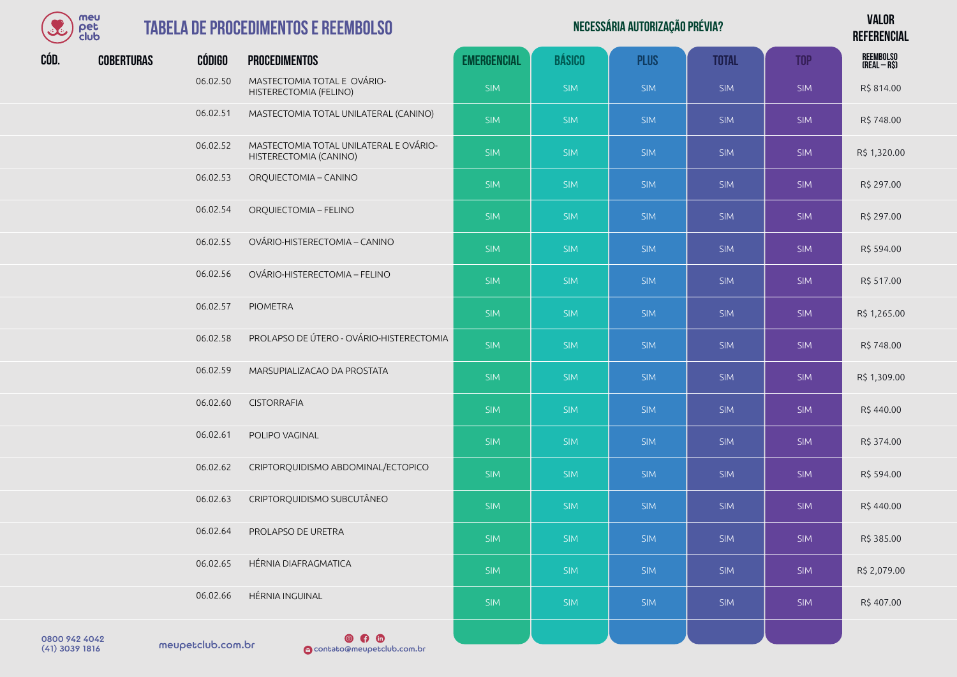

| Necessária autorização prévia? | <b>VALOR</b>    |
|--------------------------------|-----------------|
|                                | <b>DEFEBENA</b> |

**REFERENCIAL** 

| $\sim$ $\sim$ $\sim$ |                   |               |                                                                  |                    |               |             |              |            | <b>ULI LULIVUAL</b>       |
|----------------------|-------------------|---------------|------------------------------------------------------------------|--------------------|---------------|-------------|--------------|------------|---------------------------|
| CÓD.                 | <b>COBERTURAS</b> | <b>CÓDIGO</b> | <b>PROCEDIMENTOS</b>                                             | <b>EMERGENCIAL</b> | <b>BÁSICO</b> | <b>PLUS</b> | <b>TOTAL</b> | <b>TOP</b> | REEMBOLSO<br>(REAL – R\$) |
|                      |                   | 06.02.50      | MASTECTOMIA TOTAL E OVÁRIO-<br>HISTERECTOMIA (FELINO)            | <b>SIM</b>         | <b>SIM</b>    | <b>SIM</b>  | <b>SIM</b>   | <b>SIM</b> | R\$ 814.00                |
|                      |                   | 06.02.51      | MASTECTOMIA TOTAL UNILATERAL (CANINO)                            | <b>SIM</b>         | <b>SIM</b>    | <b>SIM</b>  | <b>SIM</b>   | <b>SIM</b> | R\$748.00                 |
|                      |                   | 06.02.52      | MASTECTOMIA TOTAL UNILATERAL E OVÁRIO-<br>HISTERECTOMIA (CANINO) | <b>SIM</b>         | <b>SIM</b>    | <b>SIM</b>  | <b>SIM</b>   | <b>SIM</b> | R\$ 1,320.00              |
|                      |                   | 06.02.53      | ORQUIECTOMIA - CANINO                                            | <b>SIM</b>         | <b>SIM</b>    | <b>SIM</b>  | <b>SIM</b>   | <b>SIM</b> | R\$ 297.00                |
|                      |                   | 06.02.54      | ORQUIECTOMIA - FELINO                                            | <b>SIM</b>         | <b>SIM</b>    | <b>SIM</b>  | <b>SIM</b>   | <b>SIM</b> | R\$ 297.00                |
|                      |                   | 06.02.55      | OVÁRIO-HISTERECTOMIA - CANINO                                    | <b>SIM</b>         | <b>SIM</b>    | <b>SIM</b>  | <b>SIM</b>   | <b>SIM</b> | R\$ 594.00                |
|                      |                   | 06.02.56      | OVÁRIO-HISTERECTOMIA - FELINO                                    | <b>SIM</b>         | <b>SIM</b>    | <b>SIM</b>  | <b>SIM</b>   | <b>SIM</b> | R\$ 517.00                |
|                      |                   | 06.02.57      | <b>PIOMETRA</b>                                                  | <b>SIM</b>         | <b>SIM</b>    | <b>SIM</b>  | <b>SIM</b>   | SIM        | R\$ 1,265.00              |
|                      |                   | 06.02.58      | PROLAPSO DE ÚTERO - OVÁRIO-HISTERECTOMIA                         | <b>SIM</b>         | <b>SIM</b>    | <b>SIM</b>  | <b>SIM</b>   | <b>SIM</b> | R\$748.00                 |
|                      |                   | 06.02.59      | MARSUPIALIZACAO DA PROSTATA                                      | <b>SIM</b>         | <b>SIM</b>    | <b>SIM</b>  | <b>SIM</b>   | <b>SIM</b> | R\$ 1,309.00              |
|                      |                   | 06.02.60      | <b>CISTORRAFIA</b>                                               | <b>SIM</b>         | <b>SIM</b>    | <b>SIM</b>  | <b>SIM</b>   | <b>SIM</b> | R\$440.00                 |
|                      |                   | 06.02.61      | POLIPO VAGINAL                                                   | <b>SIM</b>         | <b>SIM</b>    | <b>SIM</b>  | <b>SIM</b>   | <b>SIM</b> | R\$ 374.00                |
|                      |                   | 06.02.62      | CRIPTORQUIDISMO ABDOMINAL/ECTOPICO                               | <b>SIM</b>         | <b>SIM</b>    | <b>SIM</b>  | <b>SIM</b>   | <b>SIM</b> | R\$ 594.00                |
|                      |                   | 06.02.63      | CRIPTORQUIDISMO SUBCUTÂNEO                                       | <b>SIM</b>         | <b>SIM</b>    | <b>SIM</b>  | <b>SIM</b>   | <b>SIM</b> | R\$440.00                 |
|                      |                   | 06.02.64      | PROLAPSO DE URETRA                                               | <b>SIM</b>         | <b>SIM</b>    | <b>SIM</b>  | <b>SIM</b>   | <b>SIM</b> | R\$ 385.00                |
|                      |                   | 06.02.65      | HÉRNIA DIAFRAGMATICA                                             | <b>SIM</b>         | <b>SIM</b>    | <b>SIM</b>  | <b>SIM</b>   | <b>SIM</b> | R\$ 2,079.00              |
|                      |                   | 06.02.66      | HÉRNIA INGUINAL                                                  | <b>SIM</b>         | <b>SIM</b>    | <b>SIM</b>  | <b>SIM</b>   | <b>SIM</b> | R\$407.00                 |
|                      |                   |               |                                                                  |                    |               |             |              |            |                           |

0800 942 4042<br>(41) 3039 1816 meupetclub.com.br

 $\circ$   $\circ$ (41) 3039 1816 contato@meupetclub.com.br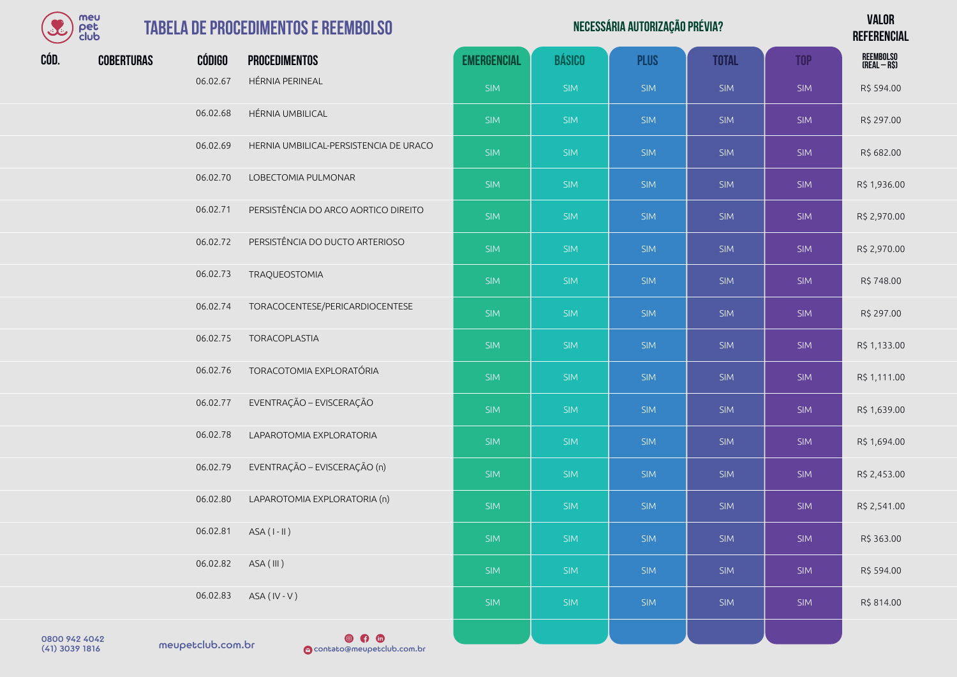| meu  |
|------|
| der  |
| club |

|      |                                                                                  |          |                                        |                    |               |                                |              |            | <b>VALOR</b>              |
|------|----------------------------------------------------------------------------------|----------|----------------------------------------|--------------------|---------------|--------------------------------|--------------|------------|---------------------------|
|      | meu<br>pet<br>club<br>$\mathbf{S}$<br><b>TABELA DE PROCEDIMENTOS E REEMBOLSO</b> |          |                                        |                    |               | NECESSÁRIA AUTORIZAÇÃO PRÉVIA? |              |            | <b>REFERENCIAL</b>        |
| CÓD. | <b>COBERTURAS</b>                                                                | CÓDIGO   | <b>PROCEDIMENTOS</b>                   | <b>EMERGENCIAL</b> | <b>BÁSICO</b> | <b>PLUS</b>                    | <b>TOTAL</b> | <b>TOP</b> | REEMBOLSO<br>(Real – R\$) |
|      |                                                                                  | 06.02.67 | HÉRNIA PERINEAL                        | <b>SIM</b>         | <b>SIM</b>    | <b>SIM</b>                     | <b>SIM</b>   | <b>SIM</b> | R\$ 594.00                |
|      |                                                                                  | 06.02.68 | HÉRNIA UMBILICAL                       | <b>SIM</b>         | <b>SIM</b>    | <b>SIM</b>                     | <b>SIM</b>   | <b>SIM</b> | R\$ 297.00                |
|      |                                                                                  | 06.02.69 | HERNIA UMBILICAL-PERSISTENCIA DE URACO | <b>SIM</b>         | <b>SIM</b>    | <b>SIM</b>                     | <b>SIM</b>   | <b>SIM</b> | R\$ 682.00                |
|      |                                                                                  | 06.02.70 | LOBECTOMIA PULMONAR                    | <b>SIM</b>         | <b>SIM</b>    | <b>SIM</b>                     | <b>SIM</b>   | <b>SIM</b> | R\$ 1,936.00              |
|      |                                                                                  | 06.02.71 | PERSISTÊNCIA DO ARCO AORTICO DIREITO   | <b>SIM</b>         | <b>SIM</b>    | <b>SIM</b>                     | <b>SIM</b>   | <b>SIM</b> | R\$ 2,970.00              |
|      |                                                                                  | 06.02.72 | PERSISTÊNCIA DO DUCTO ARTERIOSO        | <b>SIM</b>         | <b>SIM</b>    | <b>SIM</b>                     | <b>SIM</b>   | <b>SIM</b> | R\$ 2,970.00              |
|      |                                                                                  | 06.02.73 | TRAQUEOSTOMIA                          | <b>SIM</b>         | <b>SIM</b>    | <b>SIM</b>                     | <b>SIM</b>   | <b>SIM</b> | R\$748.00                 |
|      |                                                                                  | 06.02.74 | TORACOCENTESE/PERICARDIOCENTESE        | <b>SIM</b>         | <b>SIM</b>    | <b>SIM</b>                     | <b>SIM</b>   | <b>SIM</b> | R\$ 297.00                |
|      |                                                                                  | 06.02.75 | TORACOPLASTIA                          | <b>SIM</b>         | <b>SIM</b>    | <b>SIM</b>                     | <b>SIM</b>   | <b>SIM</b> | R\$ 1,133.00              |
|      |                                                                                  | 06.02.76 | TORACOTOMIA EXPLORATÓRIA               | <b>SIM</b>         | <b>SIM</b>    | <b>SIM</b>                     | <b>SIM</b>   | <b>SIM</b> | R\$ 1,111.00              |
|      |                                                                                  | 06.02.77 | EVENTRAÇÃO - EVISCERAÇÃO               | <b>SIM</b>         | <b>SIM</b>    | <b>SIM</b>                     | <b>SIM</b>   | <b>SIM</b> | R\$ 1,639.00              |

SIM SIM SIM SIM SIM R\$ 1,694.00

06.02.76 TORACOTOMIA EXPLORATÓRIA 06.02.77 EVENTRAÇÃO – EVISCERAÇÃO 06.02.78 LAPAROTOMIA EXPLORATORIA 06.02.79 EVENTRAÇÃO – EVISCERAÇÃO (n) SIM SIM SIM SIM SIM SIM SIM SIM SIM R\$ 2,453.00 06.02.80 LAPAROTOMIA EXPLORATORIA (n) SIM SIM SIM SIM SIM SIM SIM SIM SIM R\$ 2,541.00 06.02.81 ASA ( I - II ) SIM SIM SIM SIM SIM R\$ 363.00 06.02.82 ASA(III) SIM SIM <mark> SIM SIM SIM R\$ 594.00</mark> 06.02.83 ASA ( IV - V ) SIM SIM SIM SIM SIM R\$ 814.00

0800 942 4042<br>(41) 3039 1816 meupetclub.com.br

 $\circ$   $\circ$   $\circ$ (41) 3039 1816 contato@meupetclub.com.br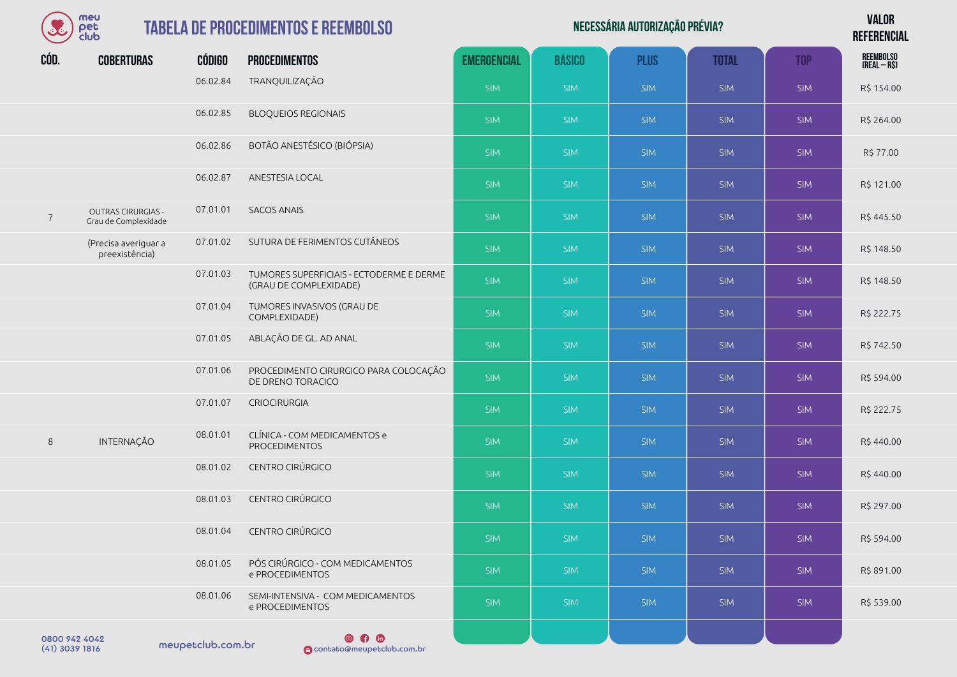|                | meu<br>pet<br>club                                |                   | <b>TABELA DE PROCEDIMENTOS E REEMBOLSO</b>                         | NECESSÁRIA AUTORIZAÇÃO PRÉVIA? |               |             |              |            |                                  |
|----------------|---------------------------------------------------|-------------------|--------------------------------------------------------------------|--------------------------------|---------------|-------------|--------------|------------|----------------------------------|
| CÓD.           | <b>COBERTURAS</b>                                 | <b>CÓDIGO</b>     | <b>PROCEDIMENTOS</b>                                               | <b>EMERGENCIAL</b>             | <b>BÁSICO</b> | <b>PLUS</b> | <b>TOTAL</b> | <b>TOP</b> | <b>REEMBOLSO</b><br>(REAL – R\$) |
|                |                                                   | 06.02.84          | TRANQUILIZAÇÃO                                                     | <b>SIM</b>                     | <b>SIM</b>    | <b>SIM</b>  | <b>SIM</b>   | <b>SIM</b> | R\$ 154.00                       |
|                |                                                   | 06.02.85          | <b>BLOQUEIOS REGIONAIS</b>                                         | <b>SIM</b>                     | <b>SIM</b>    | <b>SIM</b>  | <b>SIM</b>   | <b>SIM</b> | R\$ 264.00                       |
|                |                                                   | 06.02.86          | BOTÃO ANESTÉSICO (BIÓPSIA)                                         | <b>SIM</b>                     | <b>SIM</b>    | <b>SIM</b>  | <b>SIM</b>   | <b>SIM</b> | R\$ 77.00                        |
|                |                                                   | 06.02.87          | ANESTESIA LOCAL                                                    | <b>SIM</b>                     | <b>SIM</b>    | <b>SIM</b>  | <b>SIM</b>   | <b>SIM</b> | R\$ 121.00                       |
| $\overline{7}$ | <b>OUTRAS CIRURGIAS -</b><br>Grau de Complexidade | 07.01.01          | <b>SACOS ANAIS</b>                                                 | <b>SIM</b>                     | <b>SIM</b>    | <b>SIM</b>  | <b>SIM</b>   | <b>SIM</b> | R\$445.50                        |
|                | (Precisa averiguar a<br>preexistência)            | 07.01.02          | SUTURA DE FERIMENTOS CUTÂNEOS                                      | <b>SIM</b>                     | <b>SIM</b>    | <b>SIM</b>  | <b>SIM</b>   | <b>SIM</b> | R\$ 148.50                       |
|                |                                                   | 07.01.03          | TUMORES SUPERFICIAIS - ECTODERME E DERME<br>(GRAU DE COMPLEXIDADE) | <b>SIM</b>                     | <b>SIM</b>    | <b>SIM</b>  | <b>SIM</b>   | <b>SIM</b> | R\$ 148.50                       |
|                |                                                   | 07.01.04          | TUMORES INVASIVOS (GRAU DE<br>COMPLEXIDADE)                        | <b>SIM</b>                     | <b>SIM</b>    | <b>SIM</b>  | <b>SIM</b>   | <b>SIM</b> | R\$ 222.75                       |
|                |                                                   | 07.01.05          | ABLAÇÃO DE GL. AD ANAL                                             | <b>SIM</b>                     | <b>SIM</b>    | <b>SIM</b>  | <b>SIM</b>   | <b>SIM</b> | R\$742.50                        |
|                |                                                   | 07.01.06          | PROCEDIMENTO CIRURGICO PARA COLOCAÇÃO<br>DE DRENO TORACICO         | <b>SIM</b>                     | <b>SIM</b>    | <b>SIM</b>  | <b>SIM</b>   | <b>SIM</b> | R\$ 594.00                       |
|                |                                                   | 07.01.07          | <b>CRIOCIRURGIA</b>                                                | <b>SIM</b>                     | <b>SIM</b>    | <b>SIM</b>  | <b>SIM</b>   | <b>SIM</b> | R\$ 222.75                       |
| $\,8\,$        | INTERNAÇÃO                                        | 08.01.01          | CLÍNICA - COM MEDICAMENTOS e<br><b>PROCEDIMENTOS</b>               | <b>SIM</b>                     | <b>SIM</b>    | <b>SIM</b>  | <b>SIM</b>   | SIM        | R\$440.00                        |
|                |                                                   | 08.01.02          | CENTRO CIRÚRGICO                                                   | <b>SIM</b>                     | <b>SIM</b>    | <b>SIM</b>  | <b>SIM</b>   | <b>SIM</b> | R\$440.00                        |
|                |                                                   | 08.01.03          | CENTRO CIRÚRGICO                                                   | <b>SIM</b>                     | <b>SIM</b>    | <b>SIM</b>  | <b>SIM</b>   | <b>SIM</b> | R\$ 297.00                       |
|                |                                                   | 08.01.04          | CENTRO CIRÚRGICO                                                   | <b>SIM</b>                     | <b>SIM</b>    | <b>SIM</b>  | <b>SIM</b>   | <b>SIM</b> | R\$ 594.00                       |
|                |                                                   | 08.01.05          | PÓS CIRÚRGICO - COM MEDICAMENTOS<br>e PROCEDIMENTOS                | <b>SIM</b>                     | <b>SIM</b>    | <b>SIM</b>  | <b>SIM</b>   | <b>SIM</b> | R\$ 891.00                       |
|                |                                                   | 08.01.06          | SEMI-INTENSIVA - COM MEDICAMENTOS<br>e PROCEDIMENTOS               | <b>SIM</b>                     | <b>SIM</b>    | <b>SIM</b>  | <b>SIM</b>   | <b>SIM</b> | R\$ 539.00                       |
| 0800 942 4042  |                                                   | maugatclub com be | $\circ$ $\circ$                                                    |                                |               |             |              |            |                                  |

meupetclub.com.br 0800 942 4042